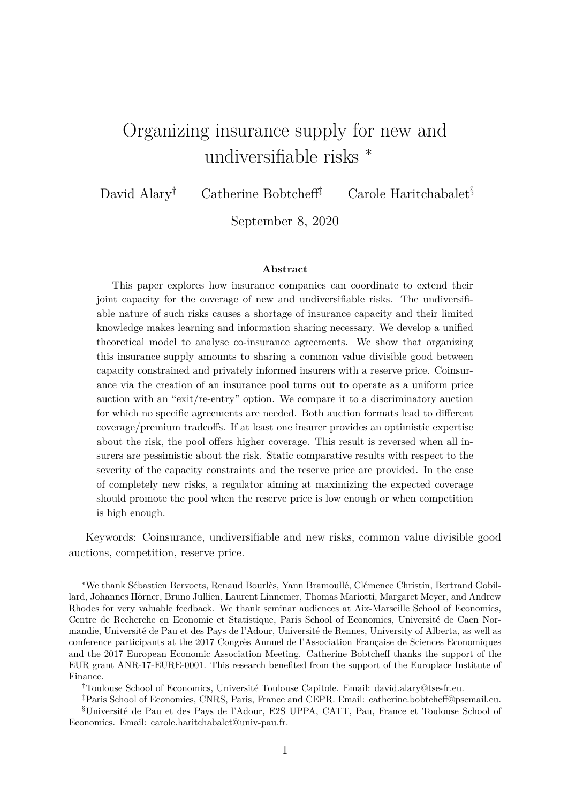# Organizing insurance supply for new and undiversifiable risks <sup>∗</sup>

David Alary<sup>†</sup> Catherine Bobtcheff<sup>‡</sup> Carole Haritchabalet<sup>§</sup>

September 8, 2020

#### **Abstract**

This paper explores how insurance companies can coordinate to extend their joint capacity for the coverage of new and undiversifiable risks. The undiversifiable nature of such risks causes a shortage of insurance capacity and their limited knowledge makes learning and information sharing necessary. We develop a unified theoretical model to analyse co-insurance agreements. We show that organizing this insurance supply amounts to sharing a common value divisible good between capacity constrained and privately informed insurers with a reserve price. Coinsurance via the creation of an insurance pool turns out to operate as a uniform price auction with an "exit/re-entry" option. We compare it to a discriminatory auction for which no specific agreements are needed. Both auction formats lead to different coverage/premium tradeoffs. If at least one insurer provides an optimistic expertise about the risk, the pool offers higher coverage. This result is reversed when all insurers are pessimistic about the risk. Static comparative results with respect to the severity of the capacity constraints and the reserve price are provided. In the case of completely new risks, a regulator aiming at maximizing the expected coverage should promote the pool when the reserve price is low enough or when competition is high enough.

Keywords: Coinsurance, undiversifiable and new risks, common value divisible good auctions, competition, reserve price.

<sup>\*</sup>We thank Sébastien Bervoets, Renaud Bourlès, Yann Bramoullé, Clémence Christin, Bertrand Gobillard, Johannes Hörner, Bruno Jullien, Laurent Linnemer, Thomas Mariotti, Margaret Meyer, and Andrew Rhodes for very valuable feedback. We thank seminar audiences at Aix-Marseille School of Economics, Centre de Recherche en Economie et Statistique, Paris School of Economics, Université de Caen Normandie, Université de Pau et des Pays de l'Adour, Université de Rennes, University of Alberta, as well as conference participants at the 2017 Congrès Annuel de l'Association Française de Sciences Economiques and the 2017 European Economic Association Meeting. Catherine Bobtcheff thanks the support of the EUR grant ANR-17-EURE-0001. This research benefited from the support of the Europlace Institute of Finance.

<sup>&</sup>lt;sup>†</sup>Toulouse School of Economics, Université Toulouse Capitole. Email: david.alary@tse-fr.eu.

<sup>‡</sup>Paris School of Economics, CNRS, Paris, France and CEPR. Email: catherine.bobtcheff@psemail.eu. §Universit´e de Pau et des Pays de l'Adour, E2S UPPA, CATT, Pau, France et Toulouse School of Economics. Email: carole.haritchabalet@univ-pau.fr.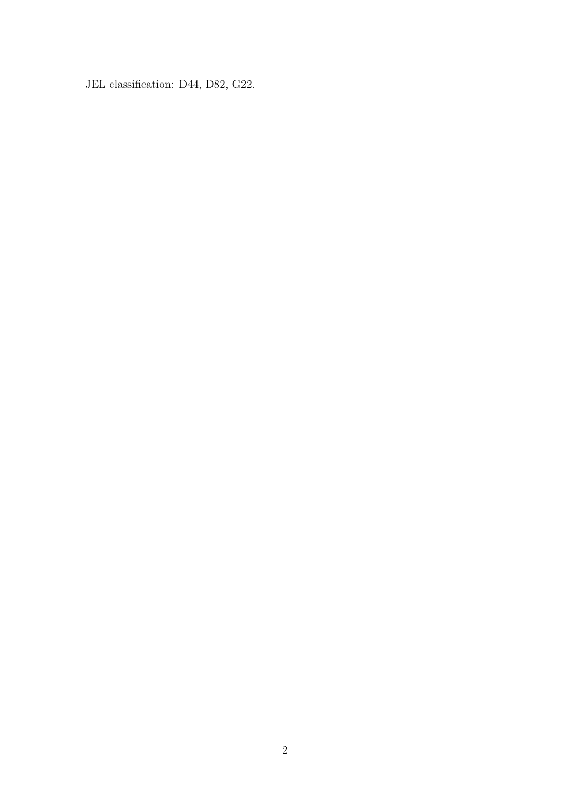JEL classification: D44, D82, G22.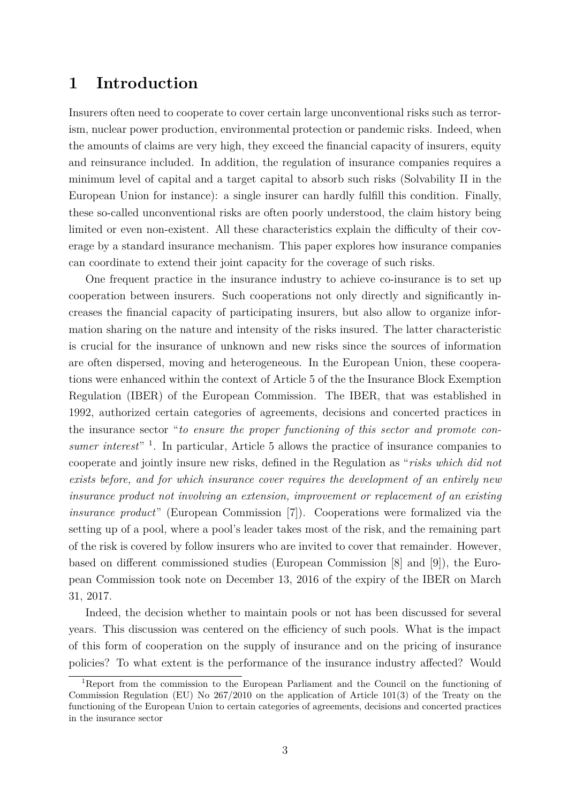## **1 Introduction**

Insurers often need to cooperate to cover certain large unconventional risks such as terrorism, nuclear power production, environmental protection or pandemic risks. Indeed, when the amounts of claims are very high, they exceed the financial capacity of insurers, equity and reinsurance included. In addition, the regulation of insurance companies requires a minimum level of capital and a target capital to absorb such risks (Solvability II in the European Union for instance): a single insurer can hardly fulfill this condition. Finally, these so-called unconventional risks are often poorly understood, the claim history being limited or even non-existent. All these characteristics explain the difficulty of their coverage by a standard insurance mechanism. This paper explores how insurance companies can coordinate to extend their joint capacity for the coverage of such risks.

One frequent practice in the insurance industry to achieve co-insurance is to set up cooperation between insurers. Such cooperations not only directly and significantly increases the financial capacity of participating insurers, but also allow to organize information sharing on the nature and intensity of the risks insured. The latter characteristic is crucial for the insurance of unknown and new risks since the sources of information are often dispersed, moving and heterogeneous. In the European Union, these cooperations were enhanced within the context of Article 5 of the the Insurance Block Exemption Regulation (IBER) of the European Commission. The IBER, that was established in 1992, authorized certain categories of agreements, decisions and concerted practices in the insurance sector "*to ensure the proper functioning of this sector and promote consumer interest*" 1 . In particular, Article 5 allows the practice of insurance companies to cooperate and jointly insure new risks, defined in the Regulation as "*risks which did not exists before, and for which insurance cover requires the development of an entirely new insurance product not involving an extension, improvement or replacement of an existing insurance product*" (European Commission [7]). Cooperations were formalized via the setting up of a pool, where a pool's leader takes most of the risk, and the remaining part of the risk is covered by follow insurers who are invited to cover that remainder. However, based on different commissioned studies (European Commission [8] and [9]), the European Commission took note on December 13, 2016 of the expiry of the IBER on March 31, 2017.

Indeed, the decision whether to maintain pools or not has been discussed for several years. This discussion was centered on the efficiency of such pools. What is the impact of this form of cooperation on the supply of insurance and on the pricing of insurance policies? To what extent is the performance of the insurance industry affected? Would

<sup>1</sup>Report from the commission to the European Parliament and the Council on the functioning of Commission Regulation (EU) No 267/2010 on the application of Article 101(3) of the Treaty on the functioning of the European Union to certain categories of agreements, decisions and concerted practices in the insurance sector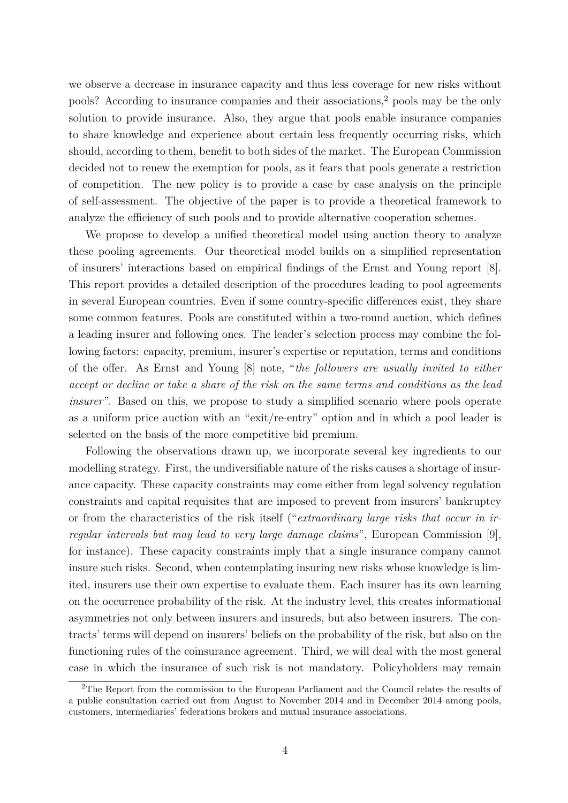we observe a decrease in insurance capacity and thus less coverage for new risks without pools? According to insurance companies and their associations,<sup>2</sup> pools may be the only solution to provide insurance. Also, they argue that pools enable insurance companies to share knowledge and experience about certain less frequently occurring risks, which should, according to them, benefit to both sides of the market. The European Commission decided not to renew the exemption for pools, as it fears that pools generate a restriction of competition. The new policy is to provide a case by case analysis on the principle of self-assessment. The objective of the paper is to provide a theoretical framework to analyze the efficiency of such pools and to provide alternative cooperation schemes.

We propose to develop a unified theoretical model using auction theory to analyze these pooling agreements. Our theoretical model builds on a simplified representation of insurers' interactions based on empirical findings of the Ernst and Young report [8]. This report provides a detailed description of the procedures leading to pool agreements in several European countries. Even if some country-specific differences exist, they share some common features. Pools are constituted within a two-round auction, which defines a leading insurer and following ones. The leader's selection process may combine the following factors: capacity, premium, insurer's expertise or reputation, terms and conditions of the offer. As Ernst and Young [8] note, "*the followers are usually invited to either accept or decline or take a share of the risk on the same terms and conditions as the lead insurer*". Based on this, we propose to study a simplified scenario where pools operate as a uniform price auction with an "exit/re-entry" option and in which a pool leader is selected on the basis of the more competitive bid premium.

Following the observations drawn up, we incorporate several key ingredients to our modelling strategy. First, the undiversifiable nature of the risks causes a shortage of insurance capacity. These capacity constraints may come either from legal solvency regulation constraints and capital requisites that are imposed to prevent from insurers' bankruptcy or from the characteristics of the risk itself ("*extraordinary large risks that occur in irregular intervals but may lead to very large damage claims*", European Commission [9], for instance). These capacity constraints imply that a single insurance company cannot insure such risks. Second, when contemplating insuring new risks whose knowledge is limited, insurers use their own expertise to evaluate them. Each insurer has its own learning on the occurrence probability of the risk. At the industry level, this creates informational asymmetries not only between insurers and insureds, but also between insurers. The contracts' terms will depend on insurers' beliefs on the probability of the risk, but also on the functioning rules of the coinsurance agreement. Third, we will deal with the most general case in which the insurance of such risk is not mandatory. Policyholders may remain

<sup>&</sup>lt;sup>2</sup>The Report from the commission to the European Parliament and the Council relates the results of a public consultation carried out from August to November 2014 and in December 2014 among pools, customers, intermediaries' federations brokers and mutual insurance associations.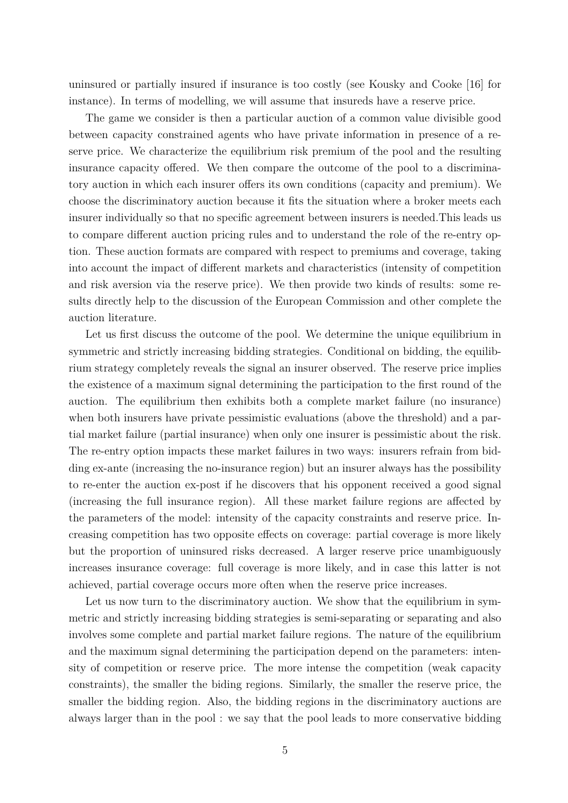uninsured or partially insured if insurance is too costly (see Kousky and Cooke [16] for instance). In terms of modelling, we will assume that insureds have a reserve price.

The game we consider is then a particular auction of a common value divisible good between capacity constrained agents who have private information in presence of a reserve price. We characterize the equilibrium risk premium of the pool and the resulting insurance capacity offered. We then compare the outcome of the pool to a discriminatory auction in which each insurer offers its own conditions (capacity and premium). We choose the discriminatory auction because it fits the situation where a broker meets each insurer individually so that no specific agreement between insurers is needed.This leads us to compare different auction pricing rules and to understand the role of the re-entry option. These auction formats are compared with respect to premiums and coverage, taking into account the impact of different markets and characteristics (intensity of competition and risk aversion via the reserve price). We then provide two kinds of results: some results directly help to the discussion of the European Commission and other complete the auction literature.

Let us first discuss the outcome of the pool. We determine the unique equilibrium in symmetric and strictly increasing bidding strategies. Conditional on bidding, the equilibrium strategy completely reveals the signal an insurer observed. The reserve price implies the existence of a maximum signal determining the participation to the first round of the auction. The equilibrium then exhibits both a complete market failure (no insurance) when both insurers have private pessimistic evaluations (above the threshold) and a partial market failure (partial insurance) when only one insurer is pessimistic about the risk. The re-entry option impacts these market failures in two ways: insurers refrain from bidding ex-ante (increasing the no-insurance region) but an insurer always has the possibility to re-enter the auction ex-post if he discovers that his opponent received a good signal (increasing the full insurance region). All these market failure regions are affected by the parameters of the model: intensity of the capacity constraints and reserve price. Increasing competition has two opposite effects on coverage: partial coverage is more likely but the proportion of uninsured risks decreased. A larger reserve price unambiguously increases insurance coverage: full coverage is more likely, and in case this latter is not achieved, partial coverage occurs more often when the reserve price increases.

Let us now turn to the discriminatory auction. We show that the equilibrium in symmetric and strictly increasing bidding strategies is semi-separating or separating and also involves some complete and partial market failure regions. The nature of the equilibrium and the maximum signal determining the participation depend on the parameters: intensity of competition or reserve price. The more intense the competition (weak capacity constraints), the smaller the biding regions. Similarly, the smaller the reserve price, the smaller the bidding region. Also, the bidding regions in the discriminatory auctions are always larger than in the pool : we say that the pool leads to more conservative bidding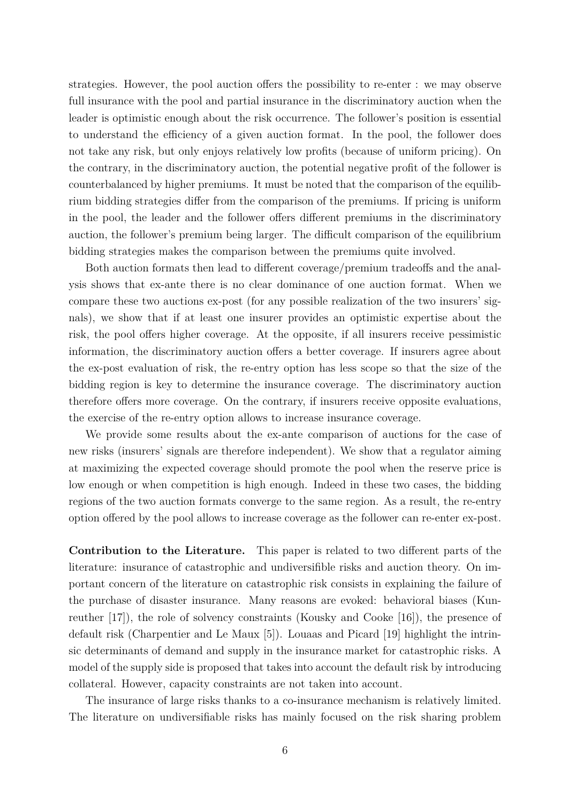strategies. However, the pool auction offers the possibility to re-enter : we may observe full insurance with the pool and partial insurance in the discriminatory auction when the leader is optimistic enough about the risk occurrence. The follower's position is essential to understand the efficiency of a given auction format. In the pool, the follower does not take any risk, but only enjoys relatively low profits (because of uniform pricing). On the contrary, in the discriminatory auction, the potential negative profit of the follower is counterbalanced by higher premiums. It must be noted that the comparison of the equilibrium bidding strategies differ from the comparison of the premiums. If pricing is uniform in the pool, the leader and the follower offers different premiums in the discriminatory auction, the follower's premium being larger. The difficult comparison of the equilibrium bidding strategies makes the comparison between the premiums quite involved.

Both auction formats then lead to different coverage/premium tradeoffs and the analysis shows that ex-ante there is no clear dominance of one auction format. When we compare these two auctions ex-post (for any possible realization of the two insurers' signals), we show that if at least one insurer provides an optimistic expertise about the risk, the pool offers higher coverage. At the opposite, if all insurers receive pessimistic information, the discriminatory auction offers a better coverage. If insurers agree about the ex-post evaluation of risk, the re-entry option has less scope so that the size of the bidding region is key to determine the insurance coverage. The discriminatory auction therefore offers more coverage. On the contrary, if insurers receive opposite evaluations, the exercise of the re-entry option allows to increase insurance coverage.

We provide some results about the ex-ante comparison of auctions for the case of new risks (insurers' signals are therefore independent). We show that a regulator aiming at maximizing the expected coverage should promote the pool when the reserve price is low enough or when competition is high enough. Indeed in these two cases, the bidding regions of the two auction formats converge to the same region. As a result, the re-entry option offered by the pool allows to increase coverage as the follower can re-enter ex-post.

**Contribution to the Literature.** This paper is related to two different parts of the literature: insurance of catastrophic and undiversifible risks and auction theory. On important concern of the literature on catastrophic risk consists in explaining the failure of the purchase of disaster insurance. Many reasons are evoked: behavioral biases (Kunreuther [17]), the role of solvency constraints (Kousky and Cooke [16]), the presence of default risk (Charpentier and Le Maux [5]). Louaas and Picard [19] highlight the intrinsic determinants of demand and supply in the insurance market for catastrophic risks. A model of the supply side is proposed that takes into account the default risk by introducing collateral. However, capacity constraints are not taken into account.

The insurance of large risks thanks to a co-insurance mechanism is relatively limited. The literature on undiversifiable risks has mainly focused on the risk sharing problem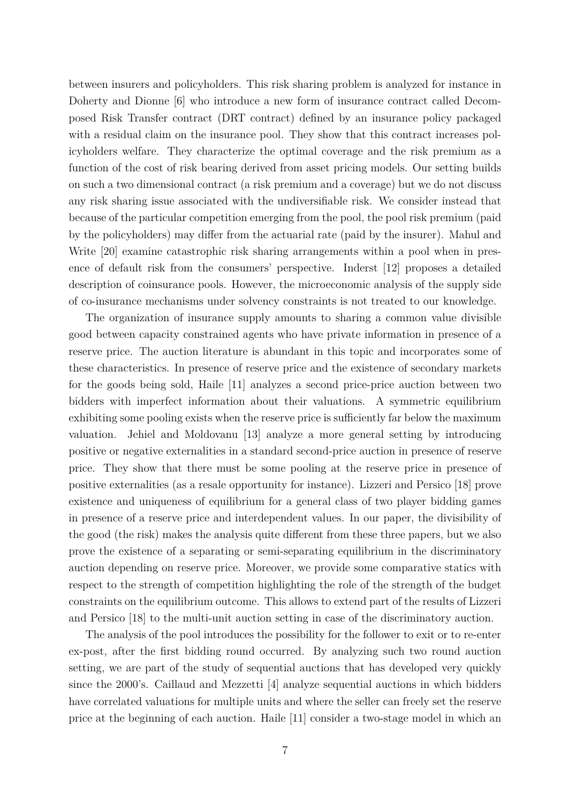between insurers and policyholders. This risk sharing problem is analyzed for instance in Doherty and Dionne [6] who introduce a new form of insurance contract called Decomposed Risk Transfer contract (DRT contract) defined by an insurance policy packaged with a residual claim on the insurance pool. They show that this contract increases policyholders welfare. They characterize the optimal coverage and the risk premium as a function of the cost of risk bearing derived from asset pricing models. Our setting builds on such a two dimensional contract (a risk premium and a coverage) but we do not discuss any risk sharing issue associated with the undiversifiable risk. We consider instead that because of the particular competition emerging from the pool, the pool risk premium (paid by the policyholders) may differ from the actuarial rate (paid by the insurer). Mahul and Write [20] examine catastrophic risk sharing arrangements within a pool when in presence of default risk from the consumers' perspective. Inderst [12] proposes a detailed description of coinsurance pools. However, the microeconomic analysis of the supply side of co-insurance mechanisms under solvency constraints is not treated to our knowledge.

The organization of insurance supply amounts to sharing a common value divisible good between capacity constrained agents who have private information in presence of a reserve price. The auction literature is abundant in this topic and incorporates some of these characteristics. In presence of reserve price and the existence of secondary markets for the goods being sold, Haile [11] analyzes a second price-price auction between two bidders with imperfect information about their valuations. A symmetric equilibrium exhibiting some pooling exists when the reserve price is sufficiently far below the maximum valuation. Jehiel and Moldovanu [13] analyze a more general setting by introducing positive or negative externalities in a standard second-price auction in presence of reserve price. They show that there must be some pooling at the reserve price in presence of positive externalities (as a resale opportunity for instance). Lizzeri and Persico [18] prove existence and uniqueness of equilibrium for a general class of two player bidding games in presence of a reserve price and interdependent values. In our paper, the divisibility of the good (the risk) makes the analysis quite different from these three papers, but we also prove the existence of a separating or semi-separating equilibrium in the discriminatory auction depending on reserve price. Moreover, we provide some comparative statics with respect to the strength of competition highlighting the role of the strength of the budget constraints on the equilibrium outcome. This allows to extend part of the results of Lizzeri and Persico [18] to the multi-unit auction setting in case of the discriminatory auction.

The analysis of the pool introduces the possibility for the follower to exit or to re-enter ex-post, after the first bidding round occurred. By analyzing such two round auction setting, we are part of the study of sequential auctions that has developed very quickly since the 2000's. Caillaud and Mezzetti  $|4|$  analyze sequential auctions in which bidders have correlated valuations for multiple units and where the seller can freely set the reserve price at the beginning of each auction. Haile [11] consider a two-stage model in which an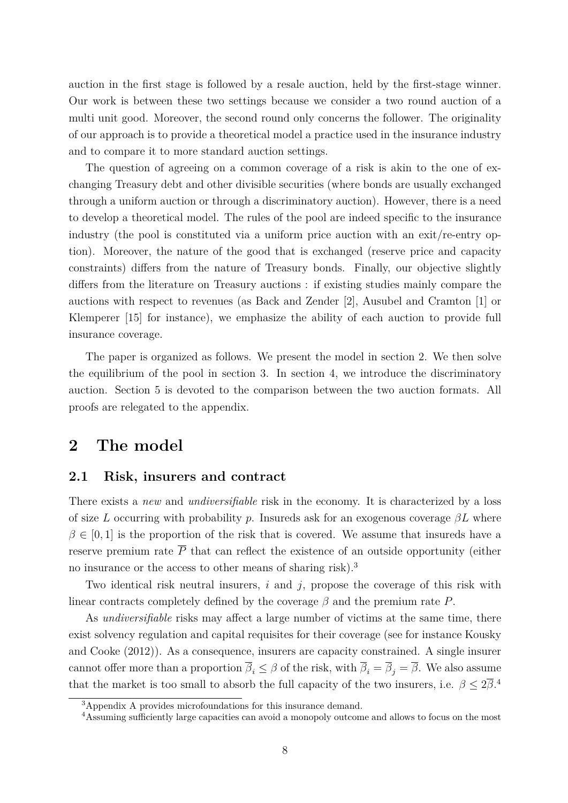auction in the first stage is followed by a resale auction, held by the first-stage winner. Our work is between these two settings because we consider a two round auction of a multi unit good. Moreover, the second round only concerns the follower. The originality of our approach is to provide a theoretical model a practice used in the insurance industry and to compare it to more standard auction settings.

The question of agreeing on a common coverage of a risk is akin to the one of exchanging Treasury debt and other divisible securities (where bonds are usually exchanged through a uniform auction or through a discriminatory auction). However, there is a need to develop a theoretical model. The rules of the pool are indeed specific to the insurance industry (the pool is constituted via a uniform price auction with an exit/re-entry option). Moreover, the nature of the good that is exchanged (reserve price and capacity constraints) differs from the nature of Treasury bonds. Finally, our objective slightly differs from the literature on Treasury auctions : if existing studies mainly compare the auctions with respect to revenues (as Back and Zender [2], Ausubel and Cramton [1] or Klemperer [15] for instance), we emphasize the ability of each auction to provide full insurance coverage.

The paper is organized as follows. We present the model in section 2. We then solve the equilibrium of the pool in section 3. In section 4, we introduce the discriminatory auction. Section 5 is devoted to the comparison between the two auction formats. All proofs are relegated to the appendix.

### **2 The model**

#### **2.1 Risk, insurers and contract**

There exists a *new* and *undiversifiable* risk in the economy. It is characterized by a loss of size *L* occurring with probability *p*. Insureds ask for an exogenous coverage  $\beta L$  where  $\beta \in [0,1]$  is the proportion of the risk that is covered. We assume that insureds have a reserve premium rate  $\overline{P}$  that can reflect the existence of an outside opportunity (either no insurance or the access to other means of sharing risk).<sup>3</sup>

Two identical risk neutral insurers, *i* and *j*, propose the coverage of this risk with linear contracts completely defined by the coverage  $\beta$  and the premium rate P.

As *undiversifiable* risks may affect a large number of victims at the same time, there exist solvency regulation and capital requisites for their coverage (see for instance Kousky and Cooke (2012)). As a consequence, insurers are capacity constrained. A single insurer cannot offer more than a proportion  $\overline{\beta}_i \leq \beta$  of the risk, with  $\overline{\beta}_i = \overline{\beta}_j = \overline{\beta}$ . We also assume that the market is too small to absorb the full capacity of the two insurers, i.e.  $\beta \leq 2\overline{\beta}$ .<sup>4</sup>

<sup>&</sup>lt;sup>3</sup>Appendix A provides microfoundations for this insurance demand.

<sup>&</sup>lt;sup>4</sup>Assuming sufficiently large capacities can avoid a monopoly outcome and allows to focus on the most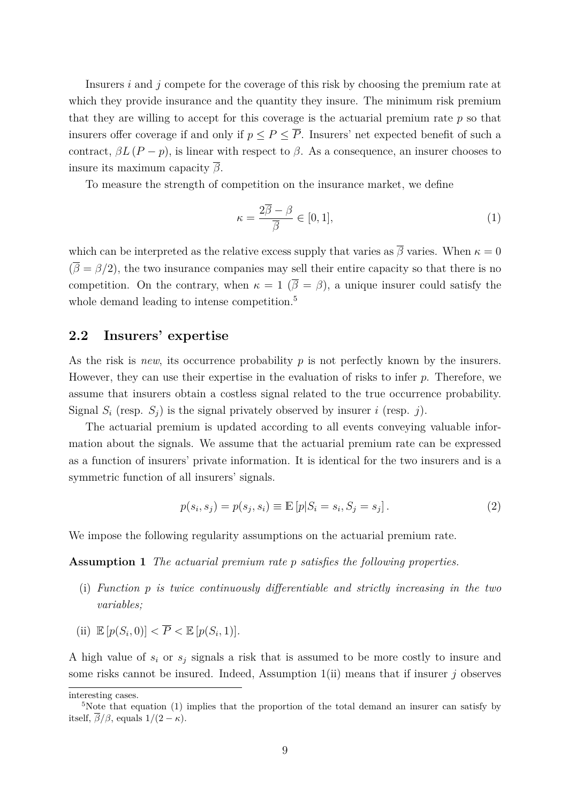Insurers *i* and *j* compete for the coverage of this risk by choosing the premium rate at which they provide insurance and the quantity they insure. The minimum risk premium that they are willing to accept for this coverage is the actuarial premium rate *p* so that insurers offer coverage if and only if  $p \leq P \leq \overline{P}$ . Insurers' net expected benefit of such a contract,  $\beta L (P - p)$ , is linear with respect to  $\beta$ . As a consequence, an insurer chooses to insure its maximum capacity *β*.

To measure the strength of competition on the insurance market, we define

$$
\kappa = \frac{2\overline{\beta} - \beta}{\overline{\beta}} \in [0, 1],\tag{1}
$$

which can be interpreted as the relative excess supply that varies as  $\bar{\beta}$  varies. When  $\kappa = 0$  $(\bar{\beta} = \beta/2)$ , the two insurance companies may sell their entire capacity so that there is no competition. On the contrary, when  $\kappa = 1$  ( $\bar{\beta} = \beta$ ), a unique insurer could satisfy the whole demand leading to intense competition.<sup>5</sup>

#### **2.2 Insurers' expertise**

As the risk is *new*, its occurrence probability *p* is not perfectly known by the insurers. However, they can use their expertise in the evaluation of risks to infer *p*. Therefore, we assume that insurers obtain a costless signal related to the true occurrence probability. Signal  $S_i$  (resp.  $S_j$ ) is the signal privately observed by insurer *i* (resp. *j*).

The actuarial premium is updated according to all events conveying valuable information about the signals. We assume that the actuarial premium rate can be expressed as a function of insurers' private information. It is identical for the two insurers and is a symmetric function of all insurers' signals.

$$
p(s_i, s_j) = p(s_j, s_i) \equiv \mathbb{E}[p|S_i = s_i, S_j = s_j].
$$
\n(2)

We impose the following regularity assumptions on the actuarial premium rate.

**Assumption 1** *The actuarial premium rate p satisfies the following properties.*

- (i) *Function p is twice continuously differentiable and strictly increasing in the two variables;*
- (ii)  $\mathbb{E}[p(S_i, 0)] < \overline{P} < \mathbb{E}[p(S_i, 1)].$

A high value of  $s_i$  or  $s_j$  signals a risk that is assumed to be more costly to insure and some risks cannot be insured. Indeed, Assumption 1(ii) means that if insurer *j* observes

interesting cases.

<sup>&</sup>lt;sup>5</sup>Note that equation (1) implies that the proportion of the total demand an insurer can satisfy by itself,  $\overline{\beta}/\beta$ , equals  $1/(2 - \kappa)$ .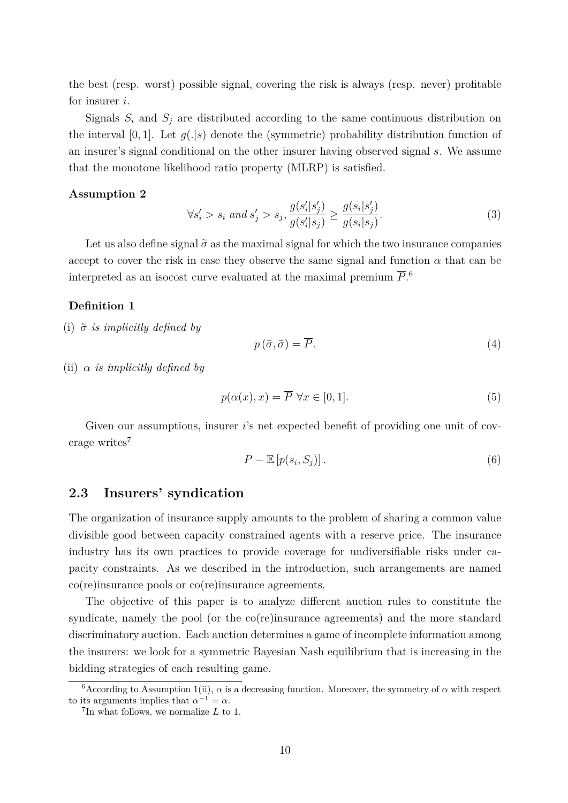the best (resp. worst) possible signal, covering the risk is always (resp. never) profitable for insurer *i*.

Signals  $S_i$  and  $S_j$  are distributed according to the same continuous distribution on the interval  $[0,1]$ . Let  $g(.|s)$  denote the (symmetric) probability distribution function of an insurer's signal conditional on the other insurer having observed signal *s*. We assume that the monotone likelihood ratio property (MLRP) is satisfied.

#### **Assumption 2**

$$
\forall s'_i > s_i \text{ and } s'_j > s_j, \frac{g(s'_i|s'_j)}{g(s'_i|s_j)} \ge \frac{g(s_i|s'_j)}{g(s_i|s_j)}.\tag{3}
$$

Let us also define signal  $\tilde{\sigma}$  as the maximal signal for which the two insurance companies accept to cover the risk in case they observe the same signal and function  $\alpha$  that can be interpreted as an isocost curve evaluated at the maximal premium  $\overline{P}$ <sup>6</sup>.

#### **Definition 1**

(i)  $\tilde{\sigma}$  *is implicitly defined by* 

$$
p\left(\tilde{\sigma},\tilde{\sigma}\right)=\overline{P}.\tag{4}
$$

(ii) *α is implicitly defined by*

$$
p(\alpha(x), x) = \overline{P} \,\,\forall x \in [0, 1].\tag{5}
$$

Given our assumptions, insurer *i*'s net expected benefit of providing one unit of coverage writes<sup>7</sup>

$$
P - \mathbb{E}\left[p(s_i, S_j)\right].\tag{6}
$$

#### **2.3 Insurers' syndication**

The organization of insurance supply amounts to the problem of sharing a common value divisible good between capacity constrained agents with a reserve price. The insurance industry has its own practices to provide coverage for undiversifiable risks under capacity constraints. As we described in the introduction, such arrangements are named co(re)insurance pools or co(re)insurance agreements.

The objective of this paper is to analyze different auction rules to constitute the syndicate, namely the pool (or the co(re)insurance agreements) and the more standard discriminatory auction. Each auction determines a game of incomplete information among the insurers: we look for a symmetric Bayesian Nash equilibrium that is increasing in the bidding strategies of each resulting game.

<sup>&</sup>lt;sup>6</sup>According to Assumption 1(ii),  $\alpha$  is a decreasing function. Moreover, the symmetry of  $\alpha$  with respect to its arguments implies that  $\alpha^{-1} = \alpha$ .

<sup>7</sup> In what follows, we normalize *L* to 1.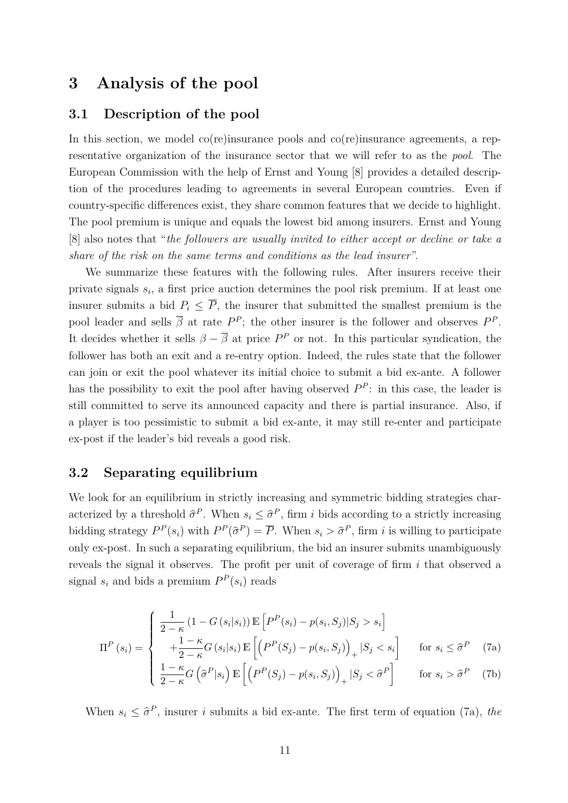## **3 Analysis of the pool**

#### **3.1 Description of the pool**

In this section, we model co(re)insurance pools and co(re)insurance agreements, a representative organization of the insurance sector that we will refer to as the *pool*. The European Commission with the help of Ernst and Young [8] provides a detailed description of the procedures leading to agreements in several European countries. Even if country-specific differences exist, they share common features that we decide to highlight. The pool premium is unique and equals the lowest bid among insurers. Ernst and Young [8] also notes that "*the followers are usually invited to either accept or decline or take a share of the risk on the same terms and conditions as the lead insurer*".

We summarize these features with the following rules. After insurers receive their private signals *s<sup>i</sup>* , a first price auction determines the pool risk premium. If at least one insurer submits a bid  $P_i \leq \overline{P}$ , the insurer that submitted the smallest premium is the pool leader and sells  $\overline{\beta}$  at rate  $P^P$ ; the other insurer is the follower and observes  $P^P$ . It decides whether it sells  $\beta - \overline{\beta}$  at price  $P^P$  or not. In this particular syndication, the follower has both an exit and a re-entry option. Indeed, the rules state that the follower can join or exit the pool whatever its initial choice to submit a bid ex-ante. A follower has the possibility to exit the pool after having observed  $P^P$ : in this case, the leader is still committed to serve its announced capacity and there is partial insurance. Also, if a player is too pessimistic to submit a bid ex-ante, it may still re-enter and participate ex-post if the leader's bid reveals a good risk.

#### **3.2 Separating equilibrium**

We look for an equilibrium in strictly increasing and symmetric bidding strategies characterized by a threshold  $\hat{\sigma}^P$ . When  $s_i \leq \hat{\sigma}^P$ , firm *i* bids according to a strictly increasing bidding strategy  $P^P(s_i)$  with  $P^P(\hat{\sigma}^P) = \overline{P}$ . When  $s_i > \hat{\sigma}^P$ , firm *i* is willing to participate only ex-post. In such a separating equilibrium, the bid an insurer submits unambiguously reveals the signal it observes. The profit per unit of coverage of firm *i* that observed a signal  $s_i$  and bids a premium  $P^P(s_i)$  reads

$$
\Pi^{P}(s_{i}) = \begin{cases}\n\frac{1}{2-\kappa} (1 - G(s_{i}|s_{i})) \mathbb{E}\left[P^{P}(s_{i}) - p(s_{i}, S_{j})|S_{j} > s_{i}\right] \\
+\frac{1-\kappa}{2-\kappa} G(s_{i}|s_{i}) \mathbb{E}\left[\left(P^{P}(S_{j}) - p(s_{i}, S_{j})\right)_{+} |S_{j} < s_{i}\right] & \text{for } s_{i} \leq \hat{\sigma}^{P} \\
\frac{1-\kappa}{2-\kappa} G\left(\hat{\sigma}^{P}|s_{i}\right) \mathbb{E}\left[\left(P^{P}(S_{j}) - p(s_{i}, S_{j})\right)_{+} |S_{j} < \hat{\sigma}^{P}\right] & \text{for } s_{i} > \hat{\sigma}^{P}\n\end{cases} (7a)
$$

When  $s_i \leq \hat{\sigma}^P$ , insurer *i* submits a bid ex-ante. The first term of equation (7a), *the*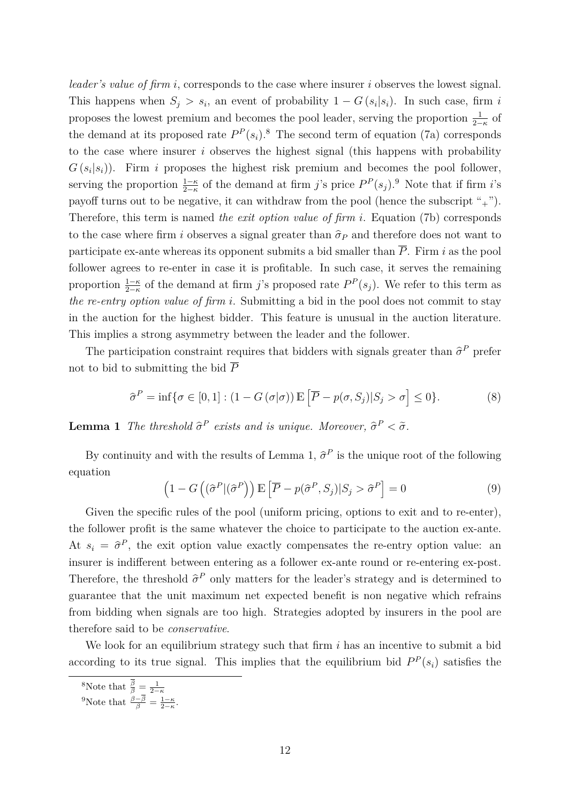*leader's value of firm i*, corresponds to the case where insurer *i* observes the lowest signal. This happens when  $S_j > s_i$ , an event of probability  $1 - G(s_i|s_i)$ . In such case, firm *i* proposes the lowest premium and becomes the pool leader, serving the proportion  $\frac{1}{2-\kappa}$  of the demand at its proposed rate  $P^P(s_i)$ .<sup>8</sup> The second term of equation (7a) corresponds to the case where insurer *i* observes the highest signal (this happens with probability  $G(s_i|s_i)$ . Firm *i* proposes the highest risk premium and becomes the pool follower, serving the proportion  $\frac{1-\kappa}{2-\kappa}$  of the demand at firm *j*'s price  $P^P(s_j)$ .<sup>9</sup> Note that if firm *i*'s payoff turns out to be negative, it can withdraw from the pool (hence the subscript " $+$ "). Therefore, this term is named *the exit option value of firm i*. Equation (7b) corresponds to the case where firm *i* observes a signal greater than  $\hat{\sigma}_P$  and therefore does not want to participate ex-ante whereas its opponent submits a bid smaller than  $\overline{P}$ . Firm *i* as the pool follower agrees to re-enter in case it is profitable. In such case, it serves the remaining proportion  $\frac{1-\kappa}{2-\kappa}$  of the demand at firm *j*'s proposed rate  $P^P(s_j)$ . We refer to this term as *the re-entry option value of firm i*. Submitting a bid in the pool does not commit to stay in the auction for the highest bidder. This feature is unusual in the auction literature. This implies a strong asymmetry between the leader and the follower.

The participation constraint requires that bidders with signals greater than  $\hat{\sigma}^P$  prefer not to bid to submitting the bid  $\overline{P}$ 

$$
\widehat{\sigma}^P = \inf \{ \sigma \in [0, 1] : (1 - G(\sigma | \sigma)) \mathbb{E} \left[ \overline{P} - p(\sigma, S_j) | S_j > \sigma \right] \le 0 \}. \tag{8}
$$

**Lemma 1** *The threshold*  $\hat{\sigma}^P$  *exists and is unique. Moreover,*  $\hat{\sigma}^P < \tilde{\sigma}$ *.* 

By continuity and with the results of Lemma 1,  $\hat{\sigma}^P$  is the unique root of the following equation

$$
\left(1 - G\left((\hat{\sigma}^P | (\hat{\sigma}^P)\right) \mathbb{E}\left[\overline{P} - p(\hat{\sigma}^P, S_j) | S_j > \hat{\sigma}^P\right] = 0\right) \tag{9}
$$

Given the specific rules of the pool (uniform pricing, options to exit and to re-enter), the follower profit is the same whatever the choice to participate to the auction ex-ante. At  $s_i = \hat{\sigma}^P$ , the exit option value exactly compensates the re-entry option value: an insurer is indifferent between entering as a follower ex-ante round or re-entering ex-post. Therefore, the threshold  $\hat{\sigma}^P$  only matters for the leader's strategy and is determined to guarantee that the unit maximum net expected benefit is non negative which refrains from bidding when signals are too high. Strategies adopted by insurers in the pool are therefore said to be *conservative*.

We look for an equilibrium strategy such that firm *i* has an incentive to submit a bid according to its true signal. This implies that the equilibrium bid  $P^P(s_i)$  satisfies the

<sup>&</sup>lt;sup>8</sup>Note that  $\frac{\beta}{\beta} = \frac{1}{2-\kappa}$ 

<sup>&</sup>lt;sup>9</sup>Note that  $\frac{\beta - \beta}{\beta} = \frac{1 - \kappa}{2 - \kappa}$ .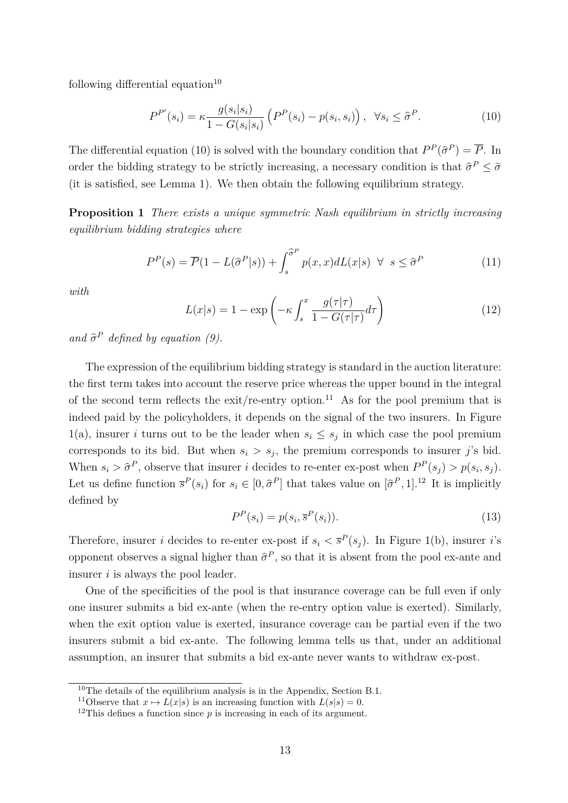following differential equation<sup>10</sup>

$$
P^{P'}(s_i) = \kappa \frac{g(s_i|s_i)}{1 - G(s_i|s_i)} \left( P^P(s_i) - p(s_i, s_i) \right), \ \ \forall s_i \leq \hat{\sigma}^P. \tag{10}
$$

The differential equation (10) is solved with the boundary condition that  $P^P(\hat{\sigma}^P) = \overline{P}$ . In order the bidding strategy to be strictly increasing, a necessary condition is that  $\hat{\sigma}^P \leq \tilde{\sigma}$ (it is satisfied, see Lemma 1). We then obtain the following equilibrium strategy.

**Proposition 1** *There exists a unique symmetric Nash equilibrium in strictly increasing equilibrium bidding strategies where*

$$
P^{P}(s) = \overline{P}(1 - L(\hat{\sigma}^{P}|s)) + \int_{s}^{\hat{\sigma}^{P}} p(x, x) dL(x|s) \ \forall \ s \le \hat{\sigma}^{P}
$$
 (11)

*with*

$$
L(x|s) = 1 - \exp\left(-\kappa \int_s^x \frac{g(\tau|\tau)}{1 - G(\tau|\tau)} d\tau\right)
$$
 (12)

*and*  $\hat{\sigma}^P$  *defined by equation (9).* 

The expression of the equilibrium bidding strategy is standard in the auction literature: the first term takes into account the reserve price whereas the upper bound in the integral of the second term reflects the exit/re-entry option.<sup>11</sup> As for the pool premium that is indeed paid by the policyholders, it depends on the signal of the two insurers. In Figure 1(a), insurer *i* turns out to be the leader when  $s_i \leq s_j$  in which case the pool premium corresponds to its bid. But when  $s_i > s_j$ , the premium corresponds to insurer *j*'s bid. When  $s_i > \hat{\sigma}^P$ , observe that insurer *i* decides to re-enter ex-post when  $P^P(s_j) > p(s_i, s_j)$ . Let us define function  $\bar{s}^P(s_i)$  for  $s_i \in [0, \hat{\sigma}^P]$  that takes value on  $[\hat{\sigma}^P, 1]$ .<sup>12</sup> It is implicitly defined by

$$
P^P(s_i) = p(s_i, \overline{s}^P(s_i)).
$$
\n(13)

Therefore, insurer *i* decides to re-enter ex-post if  $s_i < \bar{s}^P(s_j)$ . In Figure 1(b), insurer *i*'s opponent observes a signal higher than  $\hat{\sigma}^P$ , so that it is absent from the pool ex-ante and insurer *i* is always the pool leader.

One of the specificities of the pool is that insurance coverage can be full even if only one insurer submits a bid ex-ante (when the re-entry option value is exerted). Similarly, when the exit option value is exerted, insurance coverage can be partial even if the two insurers submit a bid ex-ante. The following lemma tells us that, under an additional assumption, an insurer that submits a bid ex-ante never wants to withdraw ex-post.

<sup>&</sup>lt;sup>10</sup>The details of the equilibrium analysis is in the Appendix, Section B.1.

<sup>&</sup>lt;sup>11</sup>Observe that  $x \mapsto L(x|s)$  is an increasing function with  $L(s|s) = 0$ .

<sup>&</sup>lt;sup>12</sup>This defines a function since  $p$  is increasing in each of its argument.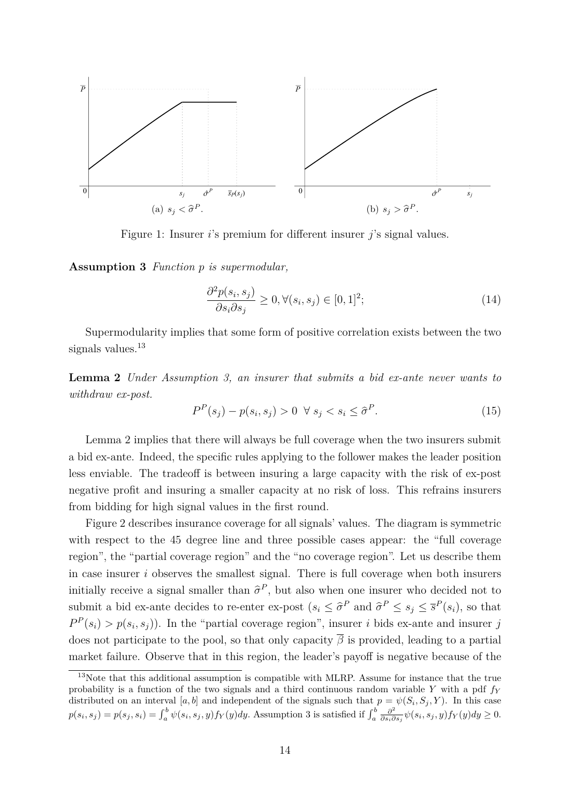

Figure 1: Insurer *i*'s premium for different insurer *j*'s signal values.

**Assumption 3** *Function p is supermodular,*

$$
\frac{\partial^2 p(s_i, s_j)}{\partial s_i \partial s_j} \ge 0, \forall (s_i, s_j) \in [0, 1]^2; \tag{14}
$$

Supermodularity implies that some form of positive correlation exists between the two signals values.<sup>13</sup>

**Lemma 2** *Under Assumption 3, an insurer that submits a bid ex-ante never wants to withdraw ex-post.*

$$
P^{P}(s_j) - p(s_i, s_j) > 0 \ \forall \ s_j < s_i \leq \hat{\sigma}^{P}.\tag{15}
$$

Lemma 2 implies that there will always be full coverage when the two insurers submit a bid ex-ante. Indeed, the specific rules applying to the follower makes the leader position less enviable. The tradeoff is between insuring a large capacity with the risk of ex-post negative profit and insuring a smaller capacity at no risk of loss. This refrains insurers from bidding for high signal values in the first round.

Figure 2 describes insurance coverage for all signals' values. The diagram is symmetric with respect to the 45 degree line and three possible cases appear: the "full coverage region", the "partial coverage region" and the "no coverage region". Let us describe them in case insurer *i* observes the smallest signal. There is full coverage when both insurers initially receive a signal smaller than  $\hat{\sigma}^P$ , but also when one insurer who decided not to submit a bid ex-ante decides to re-enter ex-post  $(s_i \leq \hat{\sigma}^P \text{ and } \hat{\sigma}^P \leq s_j \leq \bar{s}^P(s_i)$ , so that  $P^P(s_i) > p(s_i, s_j)$ . In the "partial coverage region", insurer *i* bids ex-ante and insurer *j* does not participate to the pool, so that only capacity  $\overline{\beta}$  is provided, leading to a partial market failure. Observe that in this region, the leader's payoff is negative because of the

 $13$ Note that this additional assumption is compatible with MLRP. Assume for instance that the true probability is a function of the two signals and a third continuous random variable *Y* with a pdf *f<sup>Y</sup>* distributed on an interval [a, b] and independent of the signals such that  $p = \psi(S_i, S_j, Y)$ . In this case  $p(s_i, s_j) = p(s_j, s_i) = \int_a^b \psi(s_i, s_j, y) f_Y(y) dy$ . Assumption 3 is satisfied if  $\int_a^b \frac{\partial^2}{\partial s_i \partial s_j}$  $\frac{\partial^2}{\partial s_i \partial s_j} \psi(s_i, s_j, y) f_Y(y) dy \geq 0.$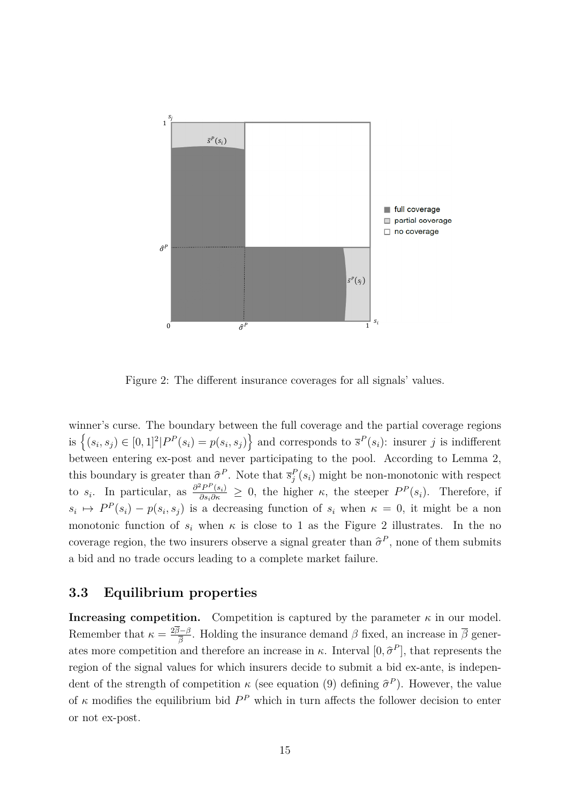

Figure 2: The different insurance coverages for all signals' values.

winner's curse. The boundary between the full coverage and the partial coverage regions is  $\left\{(s_i, s_j) \in [0, 1]^2 | P^P(s_i) = p(s_i, s_j) \right\}$  and corresponds to  $\bar{s}^P(s_i)$ : insurer j is indifferent between entering ex-post and never participating to the pool. According to Lemma 2, this boundary is greater than  $\hat{\sigma}^P$ . Note that  $\bar{s}_j^P(s_i)$  might be non-monotonic with respect to *s<sub>i</sub>*. In particular, as  $\frac{\partial^2 P^P(s_i)}{\partial s_i \partial \kappa} \geq 0$ , the higher *κ*, the steeper  $P^P(s_i)$ . Therefore, if  $s_i \mapsto P^P(s_i) - p(s_i, s_j)$  is a decreasing function of  $s_i$  when  $\kappa = 0$ , it might be a non monotonic function of  $s_i$  when  $\kappa$  is close to 1 as the Figure 2 illustrates. In the no coverage region, the two insurers observe a signal greater than  $\hat{\sigma}^P$ , none of them submits a bid and no trade occurs leading to a complete market failure.

#### **3.3 Equilibrium properties**

**Increasing competition.** Competition is captured by the parameter  $\kappa$  in our model. Remember that  $\kappa = \frac{2\beta - \beta}{\overline{\beta}}$  $\frac{\partial^2 \beta}{\partial \vec{\beta}}$ . Holding the insurance demand *β* fixed, an increase in *β* generates more competition and therefore an increase in  $\kappa$ . Interval  $[0, \hat{\sigma}^P]$ , that represents the region of the signal values for which insurers decide to submit a bid ex-ante, is independent of the strength of competition  $\kappa$  (see equation (9) defining  $\hat{\sigma}^P$ ). However, the value of  $\kappa$  modifies the equilibrium bid  $P^P$  which in turn affects the follower decision to enter or not ex-post.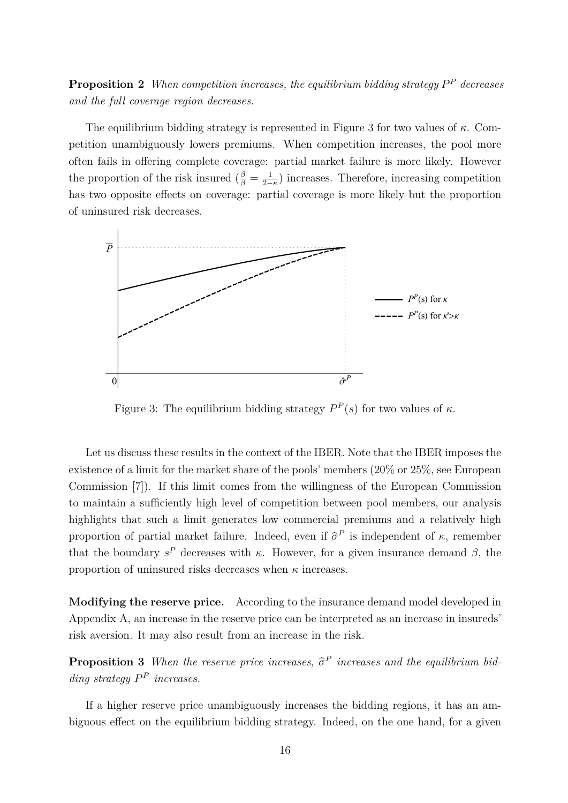**Proposition 2** When competition increases, the equilibrium bidding strategy  $P^P$  decreases *and the full coverage region decreases.*

The equilibrium bidding strategy is represented in Figure 3 for two values of *κ*. Competition unambiguously lowers premiums. When competition increases, the pool more often fails in offering complete coverage: partial market failure is more likely. However the proportion of the risk insured  $\left(\frac{\bar{\beta}}{\beta}\right) = \frac{1}{2}$  $\frac{1}{2-k}$ ) increases. Therefore, increasing competition has two opposite effects on coverage: partial coverage is more likely but the proportion of uninsured risk decreases.



Figure 3: The equilibrium bidding strategy  $P^P(s)$  for two values of  $\kappa$ .

Let us discuss these results in the context of the IBER. Note that the IBER imposes the existence of a limit for the market share of the pools' members (20% or 25%, see European Commission [7]). If this limit comes from the willingness of the European Commission to maintain a sufficiently high level of competition between pool members, our analysis highlights that such a limit generates low commercial premiums and a relatively high proportion of partial market failure. Indeed, even if  $\hat{\sigma}^P$  is independent of  $\kappa$ , remember that the boundary  $s^P$  decreases with  $\kappa$ . However, for a given insurance demand  $\beta$ , the proportion of uninsured risks decreases when *κ* increases.

**Modifying the reserve price.** According to the insurance demand model developed in Appendix A, an increase in the reserve price can be interpreted as an increase in insureds' risk aversion. It may also result from an increase in the risk.

**Proposition 3** *When the reserve price increases,*  $\hat{\sigma}^P$  *increases and the equilibrium bidding strategy*  $P^P$  *increases.* 

If a higher reserve price unambiguously increases the bidding regions, it has an ambiguous effect on the equilibrium bidding strategy. Indeed, on the one hand, for a given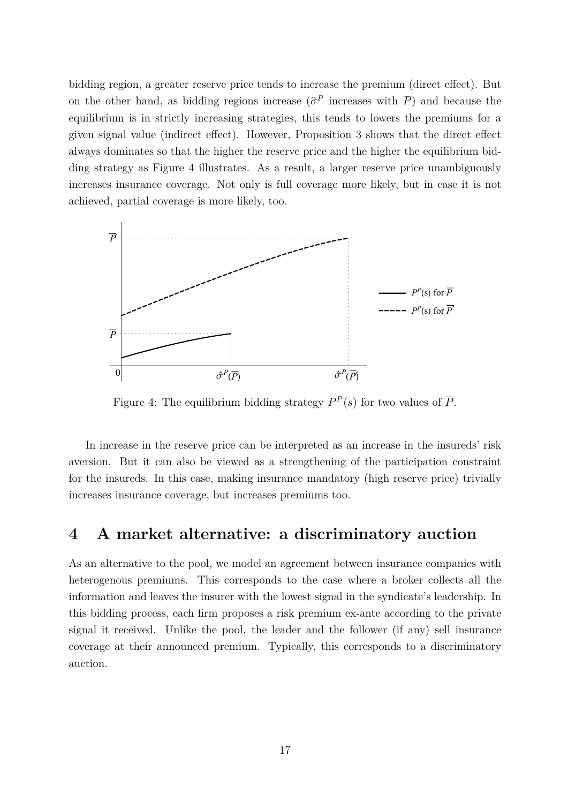bidding region, a greater reserve price tends to increase the premium (direct effect). But on the other hand, as bidding regions increase  $(\hat{\sigma}^P)$  increases with  $\overline{P}$ ) and because the equilibrium is in strictly increasing strategies, this tends to lowers the premiums for a given signal value (indirect effect). However, Proposition 3 shows that the direct effect always dominates so that the higher the reserve price and the higher the equilibrium bidding strategy as Figure 4 illustrates. As a result, a larger reserve price unambiguously increases insurance coverage. Not only is full coverage more likely, but in case it is not achieved, partial coverage is more likely, too.



Figure 4: The equilibrium bidding strategy  $P^P(s)$  for two values of  $\overline{P}$ .

In increase in the reserve price can be interpreted as an increase in the insureds' risk aversion. But it can also be viewed as a strengthening of the participation constraint for the insureds. In this case, making insurance mandatory (high reserve price) trivially increases insurance coverage, but increases premiums too.

## **4 A market alternative: a discriminatory auction**

As an alternative to the pool, we model an agreement between insurance companies with heterogenous premiums. This corresponds to the case where a broker collects all the information and leaves the insurer with the lowest signal in the syndicate's leadership. In this bidding process, each firm proposes a risk premium ex-ante according to the private signal it received. Unlike the pool, the leader and the follower (if any) sell insurance coverage at their announced premium. Typically, this corresponds to a discriminatory auction.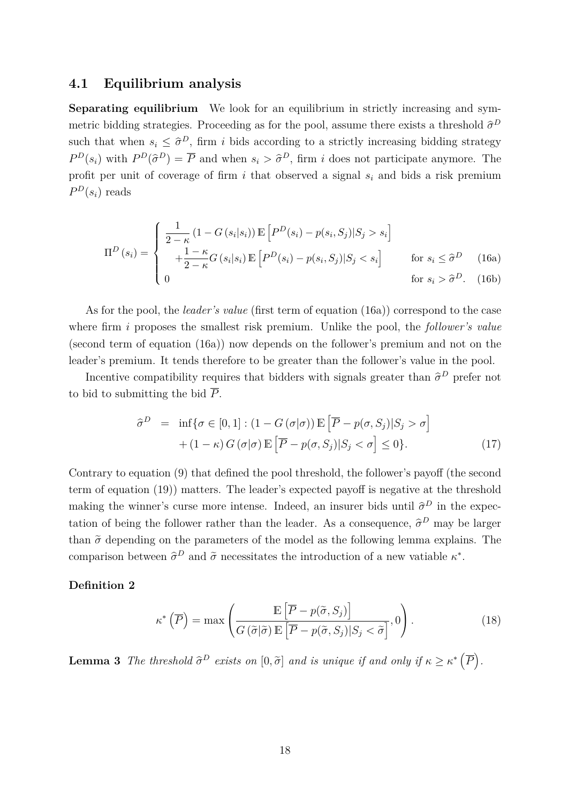#### **4.1 Equilibrium analysis**

**Separating equilibrium** We look for an equilibrium in strictly increasing and symmetric bidding strategies. Proceeding as for the pool, assume there exists a threshold  $\hat{\sigma}^D$ such that when  $s_i \leq \hat{\sigma}^D$ , firm *i* bids according to a strictly increasing bidding strategy  $P^D(s_i)$  with  $P^D(\hat{\sigma}^D) = \overline{P}$  and when  $s_i > \hat{\sigma}^D$ , firm *i* does not participate anymore. The profit per unit of coverage of firm *i* that observed a signal *s<sup>i</sup>* and bids a risk premium  $P<sup>D</sup>(s<sub>i</sub>)$  reads

$$
\Pi^{D}\left(s_{i}\right) = \begin{cases}\n\frac{1}{2-\kappa}\left(1-G\left(s_{i}|s_{i}\right)\right)\mathbb{E}\left[P^{D}(s_{i}) - p(s_{i}, S_{j})|S_{j} > s_{i}\right] \\
+\frac{1-\kappa}{2-\kappa}G\left(s_{i}|s_{i}\right)\mathbb{E}\left[P^{D}(s_{i}) - p(s_{i}, S_{j})|S_{j} < s_{i}\right] & \text{for } s_{i} \leq \hat{\sigma}^{D} \quad (16a) \\
0 & \text{for } s_{i} > \hat{\sigma}^{D}. \end{cases}
$$

As for the pool, the *leader's value* (first term of equation (16a)) correspond to the case where firm *i* proposes the smallest risk premium. Unlike the pool, the *follower's value* (second term of equation (16a)) now depends on the follower's premium and not on the leader's premium. It tends therefore to be greater than the follower's value in the pool.

Incentive compatibility requires that bidders with signals greater than  $\hat{\sigma}^D$  prefer not to bid to submitting the bid  $\overline{P}$ .

$$
\hat{\sigma}^{D} = \inf \{ \sigma \in [0, 1] : (1 - G(\sigma | \sigma)) \mathbb{E} \left[ \overline{P} - p(\sigma, S_{j}) | S_{j} > \sigma \right] \right. \n\left. + (1 - \kappa) G(\sigma | \sigma) \mathbb{E} \left[ \overline{P} - p(\sigma, S_{j}) | S_{j} < \sigma \right] \le 0 \}.
$$
\n(17)

Contrary to equation (9) that defined the pool threshold, the follower's payoff (the second term of equation (19)) matters. The leader's expected payoff is negative at the threshold making the winner's curse more intense. Indeed, an insurer bids until  $\hat{\sigma}^D$  in the expectation of being the follower rather than the leader. As a consequence,  $\hat{\sigma}^D$  may be larger than  $\tilde{\sigma}$  depending on the parameters of the model as the following lemma explains. The comparison between  $\hat{\sigma}^D$  and  $\tilde{\sigma}$  necessitates the introduction of a new vatiable  $\kappa^*$ .

#### **Definition 2**

$$
\kappa^* \left( \overline{P} \right) = \max \left( \frac{\mathbb{E} \left[ \overline{P} - p(\tilde{\sigma}, S_j) \right]}{G \left( \tilde{\sigma} | \tilde{\sigma} \right) \mathbb{E} \left[ \overline{P} - p(\tilde{\sigma}, S_j) | S_j < \tilde{\sigma} \right]}, 0 \right). \tag{18}
$$

**Lemma 3** *The threshold*  $\hat{\sigma}^D$  *exists on*  $[0, \tilde{\sigma}]$  *and is unique if and only if*  $\kappa \geq \kappa^* (\overline{P})$ *.*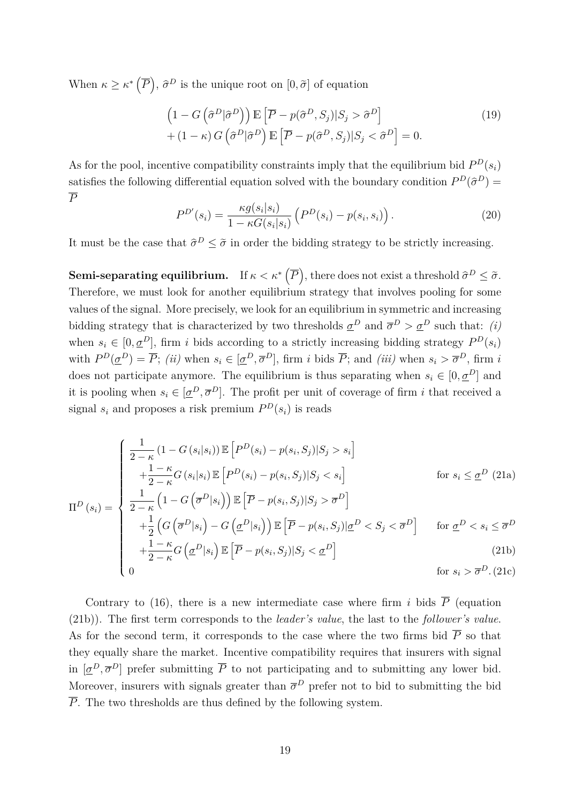When  $\kappa \geq \kappa^* \left( \overline{P} \right)$ ,  $\widehat{\sigma}^D$  is the unique root on  $[0, \widetilde{\sigma}]$  of equation

$$
\left(1 - G\left(\hat{\sigma}^D|\hat{\sigma}^D\right)\right) \mathbb{E}\left[\overline{P} - p(\hat{\sigma}^D, S_j)|S_j > \hat{\sigma}^D\right] \\
+ (1 - \kappa) G\left(\hat{\sigma}^D|\hat{\sigma}^D\right) \mathbb{E}\left[\overline{P} - p(\hat{\sigma}^D, S_j)|S_j < \hat{\sigma}^D\right] = 0.\n\tag{19}
$$

As for the pool, incentive compatibility constraints imply that the equilibrium bid  $P<sup>D</sup>(s<sub>i</sub>)$ satisfies the following differential equation solved with the boundary condition  $P^D(\hat{\sigma}^D)$  = *P*

$$
P^{D'}(s_i) = \frac{\kappa g(s_i|s_i)}{1 - \kappa G(s_i|s_i)} \left( P^D(s_i) - p(s_i, s_i) \right). \tag{20}
$$

It must be the case that  $\hat{\sigma}^D \leq \tilde{\sigma}$  in order the bidding strategy to be strictly increasing.

**Semi-separating equilibrium.** If  $\kappa < \kappa^*$   $(\overline{P})$ , there does not exist a threshold  $\widehat{\sigma}^D \leq \widetilde{\sigma}$ . Therefore, we must look for another equilibrium strategy that involves pooling for some values of the signal. More precisely, we look for an equilibrium in symmetric and increasing bidding strategy that is characterized by two thresholds  $\underline{\sigma}^D$  and  $\overline{\sigma}^D > \underline{\sigma}^D$  such that: *(i)* when  $s_i \in [0, \underline{\sigma}^D]$ , firm *i* bids according to a strictly increasing bidding strategy  $P^D(s_i)$ with  $P^D(\underline{\sigma}^D) = \overline{P}$ ; (ii) when  $s_i \in [\underline{\sigma}^D, \overline{\sigma}^D]$ , firm i bids  $\overline{P}$ ; and (iii) when  $s_i > \overline{\sigma}^D$ , firm i does not participate anymore. The equilibrium is thus separating when  $s_i \in [0, \underline{\sigma}^D]$  and it is pooling when  $s_i \in [\underline{\sigma}^D, \overline{\sigma}^D]$ . The profit per unit of coverage of firm *i* that received a signal  $s_i$  and proposes a risk premium  $P^D(s_i)$  is reads

$$
\Pi^{D}(s_{i}) = \begin{cases}\n\frac{1}{2-\kappa} (1 - G(s_{i}|s_{i})) \mathbb{E} \left[ P^{D}(s_{i}) - p(s_{i}, S_{j}) | S_{j} > s_{i} \right] \\
+\frac{1-\kappa}{2-\kappa} G(s_{i}|s_{i}) \mathbb{E} \left[ P^{D}(s_{i}) - p(s_{i}, S_{j}) | S_{j} < s_{i} \right] & \text{for } s_{i} \leq \underline{\sigma}^{D} \text{ (21a)} \\
\frac{1}{2-\kappa} \left( 1 - G\left(\overline{\sigma}^{D}|s_{i}\right) \right) \mathbb{E} \left[ \overline{P} - p(s_{i}, S_{j}) | S_{j} > \overline{\sigma}^{D} \right] & \text{for } \underline{\sigma}^{D} < s_{i} \leq \overline{\sigma}^{D} \\
+\frac{1}{2} \left( G\left(\overline{\sigma}^{D}|s_{i}\right) - G\left(\underline{\sigma}^{D}|s_{i}\right) \right) \mathbb{E} \left[ \overline{P} - p(s_{i}, S_{j}) | \underline{\sigma}^{D} < S_{j} < \overline{\sigma}^{D} \right] & \text{for } \underline{\sigma}^{D} < s_{i} \leq \overline{\sigma}^{D} \\
\end{cases}
$$

$$
\begin{cases}\n+\frac{1}{2}\left(G\left(\overline{\sigma}^D|s_i\right) - G\left(\underline{\sigma}^D|s_i\right)\right) \mathbb{E}\left[\overline{P} - p(s_i, S_j)|\underline{\sigma}^D < S_j < \overline{\sigma}^D\right] & \text{for } \underline{\sigma}^D < s_i \leq \overline{\sigma}^D \\
+\frac{1-\kappa}{2-\kappa}G\left(\underline{\sigma}^D|s_i\right) \mathbb{E}\left[\overline{P} - p(s_i, S_j)|S_j < \underline{\sigma}^D\right] & \text{(21b)} \\
0 & \text{for } s_i > \overline{\sigma}^D.\text{(21c)}\n\end{cases}
$$

$$
\begin{cases} 0 & \text{for } s_i > \overline{\sigma}^D. \text{ (21c)} \end{cases}
$$

Contrary to (16), there is a new intermediate case where firm *i* bids  $\overline{P}$  (equation (21b)). The first term corresponds to the *leader's value*, the last to the *follower's value*. As for the second term, it corresponds to the case where the two firms bid  $\overline{P}$  so that they equally share the market. Incentive compatibility requires that insurers with signal in  $[\underline{\sigma}^D, \overline{\sigma}^D]$  prefer submitting  $\overline{P}$  to not participating and to submitting any lower bid. Moreover, insurers with signals greater than  $\bar{\sigma}^D$  prefer not to bid to submitting the bid  $\overline{P}$ . The two thresholds are thus defined by the following system.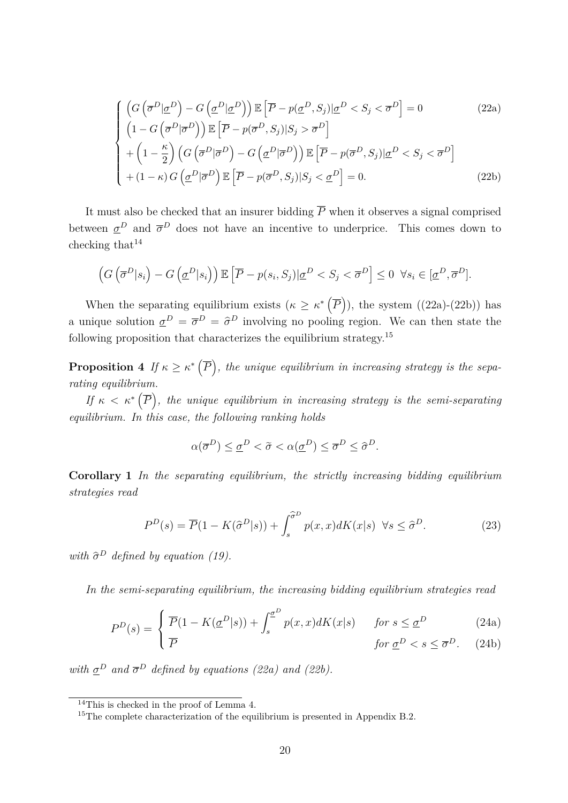$$
\begin{cases}\n\left(G\left(\overline{\sigma}^D|\underline{\sigma}^D\right) - G\left(\underline{\sigma}^D|\underline{\sigma}^D\right)\right) \mathbb{E}\left[\overline{P} - p(\underline{\sigma}^D, S_j)|\underline{\sigma}^D < S_j < \overline{\sigma}^D\right] = 0 & (22a) \\
\left(1 - G\left(\overline{\sigma}^D|\overline{\sigma}^D\right)\right) \mathbb{E}\left[\overline{P} - p(\overline{\sigma}^D, S_j)|S_j > \overline{\sigma}^D\right] \\
+\left(1 - \frac{\kappa}{2}\right) \left(G\left(\overline{\sigma}^D|\overline{\sigma}^D\right) - G\left(\underline{\sigma}^D|\overline{\sigma}^D\right)\right) \mathbb{E}\left[\overline{P} - p(\overline{\sigma}^D, S_j)|\underline{\sigma}^D < S_j < \overline{\sigma}^D\right] \\
+(1 - \kappa) G\left(\underline{\sigma}^D|\overline{\sigma}^D\right) \mathbb{E}\left[\overline{P} - p(\overline{\sigma}^D, S_j)|S_j < \underline{\sigma}^D\right] = 0. & (22b)\n\end{cases}
$$

It must also be checked that an insurer bidding  $\overline{P}$  when it observes a signal comprised between  $\underline{\sigma}^D$  and  $\overline{\sigma}^D$  does not have an incentive to underprice. This comes down to checking that  $14$ 

$$
\left(G\left(\overline{\sigma}^D|s_i\right) - G\left(\underline{\sigma}^D|s_i\right)\right) \mathbb{E}\left[\overline{P} - p(s_i, S_j)|\underline{\sigma}^D < S_j < \overline{\sigma}^D\right] \leq 0 \ \ \forall s_i \in [\underline{\sigma}^D, \overline{\sigma}^D].
$$

When the separating equilibrium exists  $(\kappa \geq \kappa^* \left( \overline{P} \right))$ , the system  $((22a)-(22b))$  has a unique solution  $\underline{\sigma}^D = \overline{\sigma}^D = \hat{\sigma}^D$  involving no pooling region. We can then state the following proposition that characterizes the equilibrium strategy.<sup>15</sup>

**Proposition 4** If  $\kappa \geq \kappa^* (\overline{P})$ , the unique equilibrium in increasing strategy is the sepa*rating equilibrium.*

*If*  $\kappa < \kappa^*(\overline{P})$ , the unique equilibrium in increasing strategy is the semi-separating *equilibrium. In this case, the following ranking holds*

$$
\alpha(\overline{\sigma}^D) \leq \underline{\sigma}^D < \widetilde{\sigma} < \alpha(\underline{\sigma}^D) \leq \overline{\sigma}^D \leq \widehat{\sigma}^D.
$$

**Corollary 1** *In the separating equilibrium, the strictly increasing bidding equilibrium strategies read*

$$
P^{D}(s) = \overline{P}(1 - K(\hat{\sigma}^{D}|s)) + \int_{s}^{\hat{\sigma}^{D}} p(x, x) dK(x|s) \quad \forall s \le \hat{\sigma}^{D}.
$$
 (23)

*with*  $\hat{\sigma}^D$  *defined by equation (19).* 

*In the semi-separating equilibrium, the increasing bidding equilibrium strategies read*

$$
P^{D}(s) = \begin{cases} \overline{P}(1 - K(\underline{\sigma}^{D}|s)) + \int_{s}^{\underline{\sigma}^{D}} p(x, x) dK(x|s) & \text{for } s \leq \underline{\sigma}^{D} \\ \overline{P} & \text{for } \underline{\sigma}^{D} < s \leq \overline{\sigma}^{D}. \end{cases} \tag{24a}
$$

*with*  $\underline{\sigma}^D$  *and*  $\overline{\sigma}^D$  *defined by equations (22a) and (22b).* 

 $14$ This is checked in the proof of Lemma 4.

<sup>&</sup>lt;sup>15</sup>The complete characterization of the equilibrium is presented in Appendix B.2.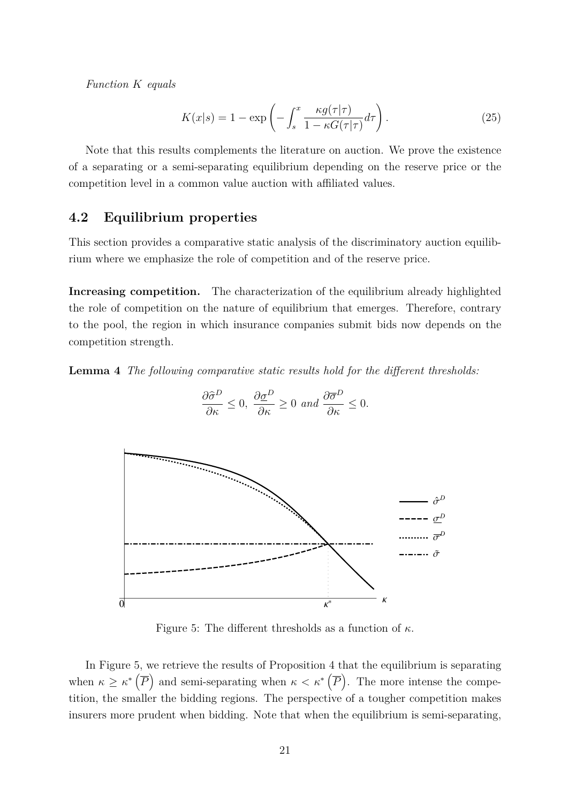*Function K equals*

$$
K(x|s) = 1 - \exp\left(-\int_s^x \frac{\kappa g(\tau|\tau)}{1 - \kappa G(\tau|\tau)} d\tau\right). \tag{25}
$$

Note that this results complements the literature on auction. We prove the existence of a separating or a semi-separating equilibrium depending on the reserve price or the competition level in a common value auction with affiliated values.

#### **4.2 Equilibrium properties**

This section provides a comparative static analysis of the discriminatory auction equilibrium where we emphasize the role of competition and of the reserve price.

**Increasing competition.** The characterization of the equilibrium already highlighted the role of competition on the nature of equilibrium that emerges. Therefore, contrary to the pool, the region in which insurance companies submit bids now depends on the competition strength.

**Lemma 4** *The following comparative static results hold for the different thresholds:*



$$
\frac{\partial \widehat{\sigma}^D}{\partial \kappa} \le 0, \ \frac{\partial \underline{\sigma}^D}{\partial \kappa} \ge 0 \ and \ \frac{\partial \overline{\sigma}^D}{\partial \kappa} \le 0.
$$

Figure 5: The different thresholds as a function of *κ*.

In Figure 5, we retrieve the results of Proposition 4 that the equilibrium is separating when  $\kappa \geq \kappa^*$  ( $\overline{P}$ ) and semi-separating when  $\kappa < \kappa^*$  ( $\overline{P}$ ). The more intense the competition, the smaller the bidding regions. The perspective of a tougher competition makes insurers more prudent when bidding. Note that when the equilibrium is semi-separating,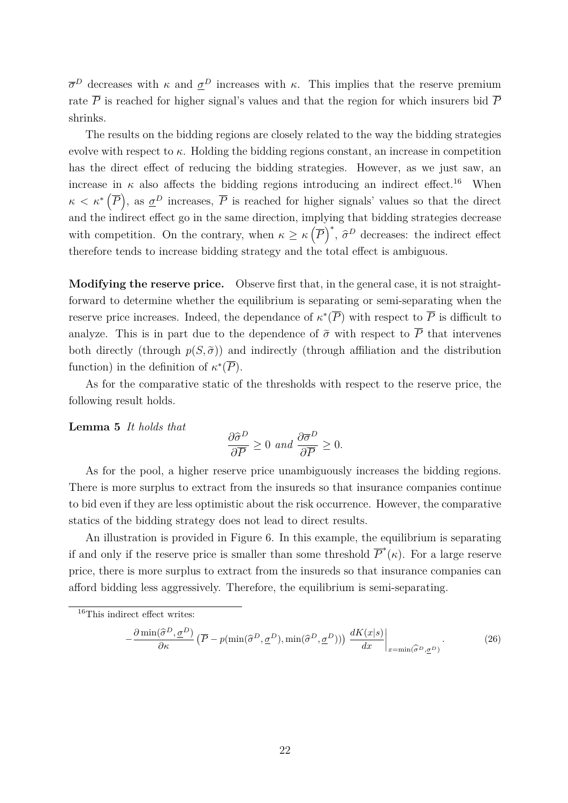$\overline{\sigma}^D$  decreases with *κ* and  $\underline{\sigma}^D$  increases with *κ*. This implies that the reserve premium rate  $\overline{P}$  is reached for higher signal's values and that the region for which insurers bid  $\overline{P}$ shrinks.

The results on the bidding regions are closely related to the way the bidding strategies evolve with respect to  $\kappa$ . Holding the bidding regions constant, an increase in competition has the direct effect of reducing the bidding strategies. However, as we just saw, an increase in  $\kappa$  also affects the bidding regions introducing an indirect effect.<sup>16</sup> When  $\kappa < \kappa^*$   $(\overline{P})$ , as  $\underline{\sigma}^D$  increases,  $\overline{P}$  is reached for higher signals' values so that the direct and the indirect effect go in the same direction, implying that bidding strategies decrease with competition. On the contrary, when  $\kappa \geq \kappa \left(\overline{P}\right)^{*}$ ,  $\widehat{\sigma}^{D}$  decreases: the indirect effect therefore tends to increase bidding strategy and the total effect is ambiguous.

**Modifying the reserve price.** Observe first that, in the general case, it is not straightforward to determine whether the equilibrium is separating or semi-separating when the reserve price increases. Indeed, the dependance of  $\kappa^*(\overline{P})$  with respect to  $\overline{P}$  is difficult to analyze. This is in part due to the dependence of  $\tilde{\sigma}$  with respect to  $\overline{P}$  that intervenes both directly (through  $p(S,\tilde{\sigma})$ ) and indirectly (through affiliation and the distribution function) in the definition of  $\kappa^*(\overline{P})$ .

As for the comparative static of the thresholds with respect to the reserve price, the following result holds.

**Lemma 5** *It holds that*

$$
\frac{\partial \hat{\sigma}^D}{\partial \overline{P}} \ge 0 \ and \ \frac{\partial \overline{\sigma}^D}{\partial \overline{P}} \ge 0.
$$

As for the pool, a higher reserve price unambiguously increases the bidding regions. There is more surplus to extract from the insureds so that insurance companies continue to bid even if they are less optimistic about the risk occurrence. However, the comparative statics of the bidding strategy does not lead to direct results.

An illustration is provided in Figure 6. In this example, the equilibrium is separating if and only if the reserve price is smaller than some threshold  $\overline{P}^*(\kappa)$ . For a large reserve price, there is more surplus to extract from the insureds so that insurance companies can afford bidding less aggressively. Therefore, the equilibrium is semi-separating.

$$
-\frac{\partial \min(\hat{\sigma}^D, \underline{\sigma}^D)}{\partial \kappa} \left( \overline{P} - p(\min(\hat{\sigma}^D, \underline{\sigma}^D), \min(\hat{\sigma}^D, \underline{\sigma}^D)) \right) \left. \frac{dK(x|s)}{dx} \right|_{x = \min(\hat{\sigma}^D, \underline{\sigma}^D)}.
$$
 (26)

<sup>16</sup>This indirect effect writes: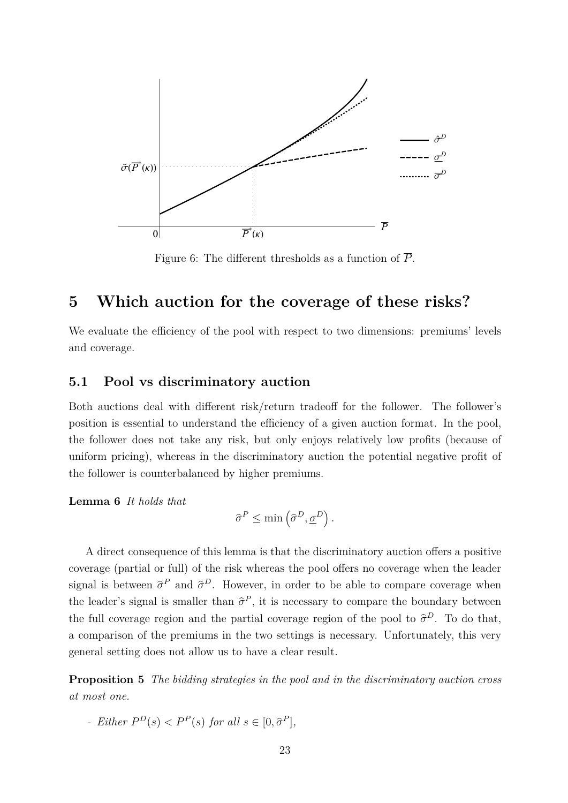

Figure 6: The different thresholds as a function of  $\overline{P}$ .

## **5 Which auction for the coverage of these risks?**

We evaluate the efficiency of the pool with respect to two dimensions: premiums' levels and coverage.

#### **5.1 Pool vs discriminatory auction**

Both auctions deal with different risk/return tradeoff for the follower. The follower's position is essential to understand the efficiency of a given auction format. In the pool, the follower does not take any risk, but only enjoys relatively low profits (because of uniform pricing), whereas in the discriminatory auction the potential negative profit of the follower is counterbalanced by higher premiums.

**Lemma 6** *It holds that*

$$
\widehat{\sigma}^P \le \min\left(\widehat{\sigma}^D, \underline{\sigma}^D\right).
$$

A direct consequence of this lemma is that the discriminatory auction offers a positive coverage (partial or full) of the risk whereas the pool offers no coverage when the leader signal is between  $\hat{\sigma}^P$  and  $\hat{\sigma}^D$ . However, in order to be able to compare coverage when the leader's signal is smaller than  $\hat{\sigma}^P$ , it is necessary to compare the boundary between the full coverage region and the partial coverage region of the pool to  $\hat{\sigma}^D$ . To do that, a comparison of the premiums in the two settings is necessary. Unfortunately, this very general setting does not allow us to have a clear result.

**Proposition 5** *The bidding strategies in the pool and in the discriminatory auction cross at most one.*

*- Either*  $P^D(s) < P^P(s)$  *for all*  $s \in [0, \hat{\sigma}^P]$ *,*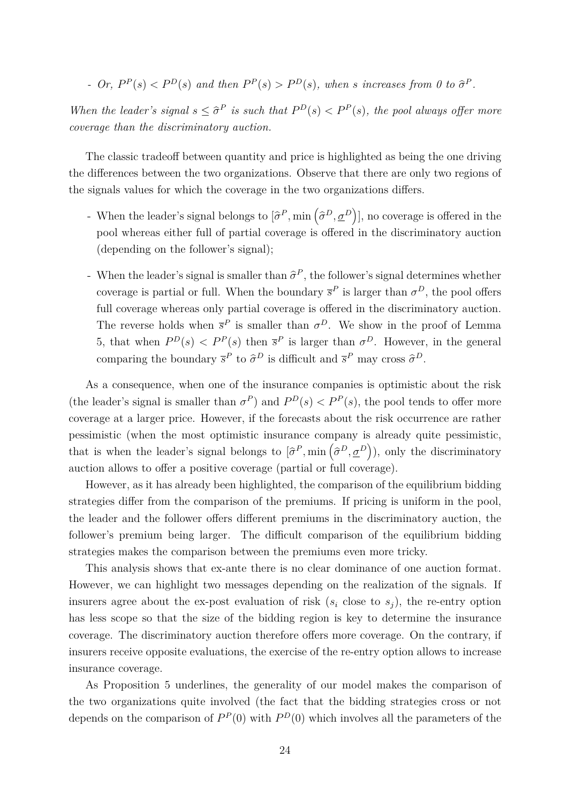- Or,  $P^P(s) < P^D(s)$  and then  $P^P(s) > P^D(s)$ , when s increases from 0 to  $\hat{\sigma}^P$ .

*When the leader's signal*  $s \leq \hat{\sigma}^P$  *is such that*  $P^D(s) < P^P(s)$ *, the pool always offer more coverage than the discriminatory auction.*

The classic tradeoff between quantity and price is highlighted as being the one driving the differences between the two organizations. Observe that there are only two regions of the signals values for which the coverage in the two organizations differs.

- When the leader's signal belongs to  $[\hat{\sigma}^P, \min(\hat{\sigma}^D, \underline{\sigma}^D)]$ , no coverage is offered in the pool whereas either full of partial coverage is offered in the discriminatory auction (depending on the follower's signal);
- When the leader's signal is smaller than  $\hat{\sigma}^P$ , the follower's signal determines whether coverage is partial or full. When the boundary  $\bar{s}^P$  is larger than  $\sigma^D$ , the pool offers full coverage whereas only partial coverage is offered in the discriminatory auction. The reverse holds when  $\bar{s}^P$  is smaller than  $\sigma^D$ . We show in the proof of Lemma 5, that when  $P^D(s) < P^P(s)$  then  $\bar{s}^P$  is larger than  $\sigma^D$ . However, in the general comparing the boundary  $\bar{s}^P$  to  $\hat{\sigma}^D$  is difficult and  $\bar{s}^P$  may cross  $\hat{\sigma}^D$ .

As a consequence, when one of the insurance companies is optimistic about the risk (the leader's signal is smaller than  $\sigma^P$ ) and  $P^D(s) < P^P(s)$ , the pool tends to offer more coverage at a larger price. However, if the forecasts about the risk occurrence are rather pessimistic (when the most optimistic insurance company is already quite pessimistic, that is when the leader's signal belongs to  $\left[\hat{\sigma}^P, \min\left(\hat{\sigma}^D, \underline{\sigma}^D\right)\right)$ , only the discriminatory auction allows to offer a positive coverage (partial or full coverage).

However, as it has already been highlighted, the comparison of the equilibrium bidding strategies differ from the comparison of the premiums. If pricing is uniform in the pool, the leader and the follower offers different premiums in the discriminatory auction, the follower's premium being larger. The difficult comparison of the equilibrium bidding strategies makes the comparison between the premiums even more tricky.

This analysis shows that ex-ante there is no clear dominance of one auction format. However, we can highlight two messages depending on the realization of the signals. If insurers agree about the ex-post evaluation of risk  $(s_i \text{ close to } s_j)$ , the re-entry option has less scope so that the size of the bidding region is key to determine the insurance coverage. The discriminatory auction therefore offers more coverage. On the contrary, if insurers receive opposite evaluations, the exercise of the re-entry option allows to increase insurance coverage.

As Proposition 5 underlines, the generality of our model makes the comparison of the two organizations quite involved (the fact that the bidding strategies cross or not depends on the comparison of  $P^P(0)$  with  $P^D(0)$  which involves all the parameters of the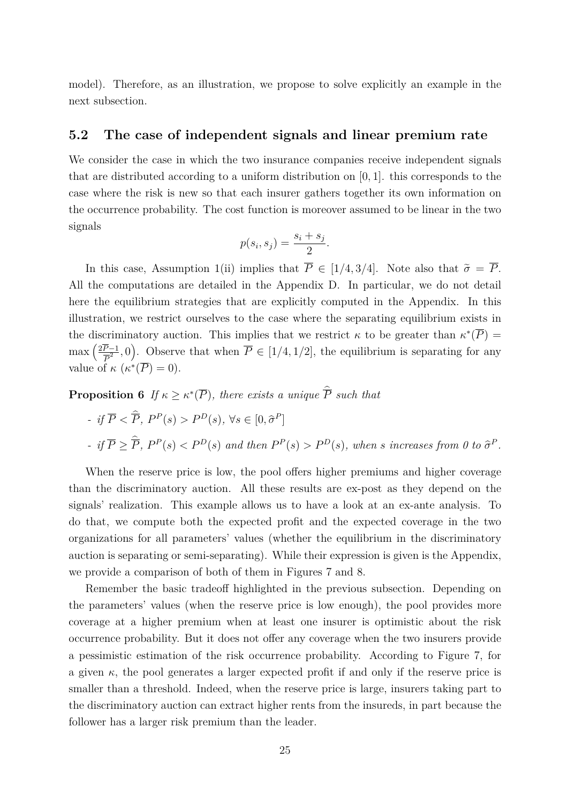model). Therefore, as an illustration, we propose to solve explicitly an example in the next subsection.

#### **5.2 The case of independent signals and linear premium rate**

We consider the case in which the two insurance companies receive independent signals that are distributed according to a uniform distribution on [0*,* 1]. this corresponds to the case where the risk is new so that each insurer gathers together its own information on the occurrence probability. The cost function is moreover assumed to be linear in the two signals

$$
p(s_i, s_j) = \frac{s_i + s_j}{2}.
$$

In this case, Assumption 1(ii) implies that  $\overline{P} \in [1/4, 3/4]$ . Note also that  $\tilde{\sigma} = \overline{P}$ . All the computations are detailed in the Appendix D. In particular, we do not detail here the equilibrium strategies that are explicitly computed in the Appendix. In this illustration, we restrict ourselves to the case where the separating equilibrium exists in the discriminatory auction. This implies that we restrict  $\kappa$  to be greater than  $\kappa^*(\overline{P}) =$  $\max\left(\frac{2\overline{P}-1}{\overline{P}^2}\right)$  $(\overline{P}^{-1}, 0)$ . Observe that when  $\overline{P} \in [1/4, 1/2]$ , the equilibrium is separating for any value of  $\kappa$   $(\kappa^*(\overline{P}) = 0)$ .

**Proposition 6** If  $\kappa \geq \kappa^*(\overline{P})$ , there exists a unique  $\overline{P}$  such that

\n- $$
if \overline{P} < \hat{\overline{P}}, P^P(s) > P^D(s), \forall s \in [0, \hat{\sigma}^P]
$$
\n- $if \overline{P} \geq \hat{\overline{P}}, P^P(s) < P^D(s)$  and then  $P^P(s) > P^D(s)$ , when  $s$  increases from  $0$  to  $\hat{\sigma}^P$ .
\n

When the reserve price is low, the pool offers higher premiums and higher coverage than the discriminatory auction. All these results are ex-post as they depend on the signals' realization. This example allows us to have a look at an ex-ante analysis. To do that, we compute both the expected profit and the expected coverage in the two organizations for all parameters' values (whether the equilibrium in the discriminatory auction is separating or semi-separating). While their expression is given is the Appendix, we provide a comparison of both of them in Figures 7 and 8.

Remember the basic tradeoff highlighted in the previous subsection. Depending on the parameters' values (when the reserve price is low enough), the pool provides more coverage at a higher premium when at least one insurer is optimistic about the risk occurrence probability. But it does not offer any coverage when the two insurers provide a pessimistic estimation of the risk occurrence probability. According to Figure 7, for a given  $\kappa$ , the pool generates a larger expected profit if and only if the reserve price is smaller than a threshold. Indeed, when the reserve price is large, insurers taking part to the discriminatory auction can extract higher rents from the insureds, in part because the follower has a larger risk premium than the leader.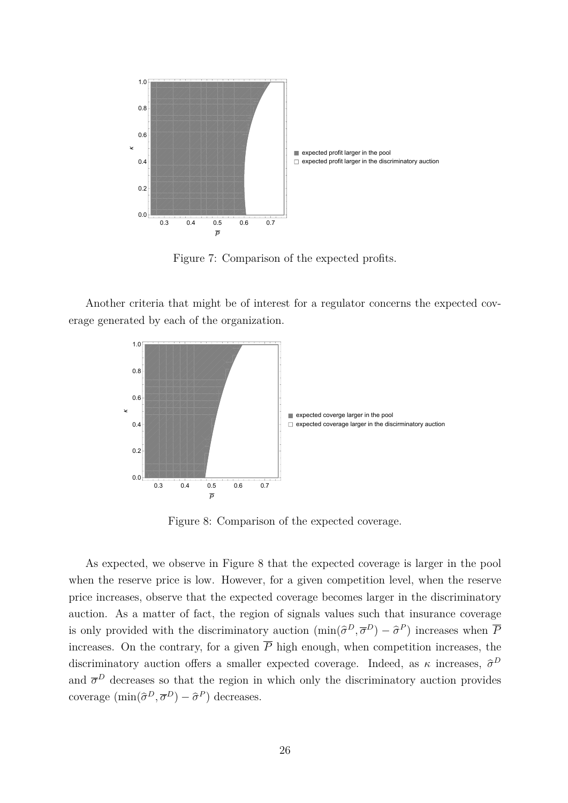

Figure 7: Comparison of the expected profits.

Another criteria that might be of interest for a regulator concerns the expected coverage generated by each of the organization.



Figure 8: Comparison of the expected coverage.

As expected, we observe in Figure 8 that the expected coverage is larger in the pool when the reserve price is low. However, for a given competition level, when the reserve price increases, observe that the expected coverage becomes larger in the discriminatory auction. As a matter of fact, the region of signals values such that insurance coverage is only provided with the discriminatory auction  $(\min(\hat{\sigma}^D, \overline{\sigma}^D) - \hat{\sigma}^P)$  increases when  $\overline{P}$ increases. On the contrary, for a given  $\overline{P}$  high enough, when competition increases, the discriminatory auction offers a smaller expected coverage. Indeed, as  $\kappa$  increases,  $\hat{\sigma}^D$ and  $\bar{\sigma}^D$  decreases so that the region in which only the discriminatory auction provides coverage  $(\min(\hat{\sigma}^D, \overline{\sigma}^D) - \hat{\sigma}^P)$  decreases.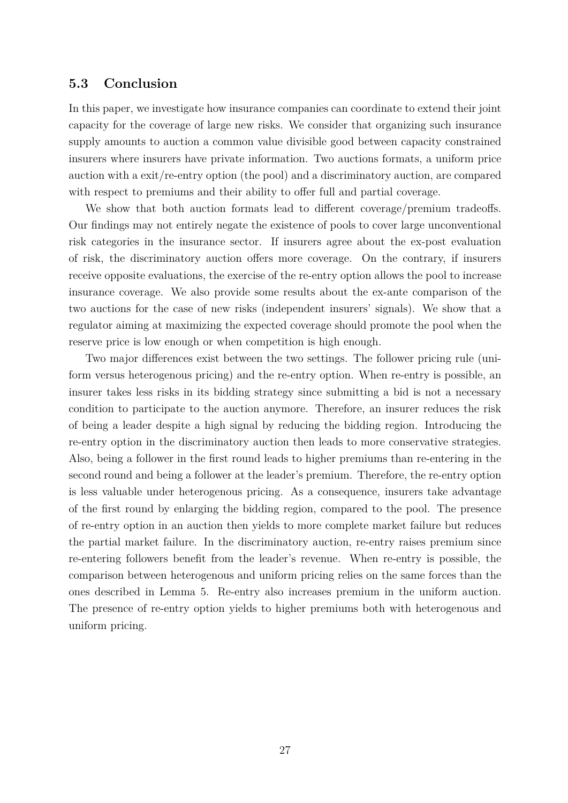#### **5.3 Conclusion**

In this paper, we investigate how insurance companies can coordinate to extend their joint capacity for the coverage of large new risks. We consider that organizing such insurance supply amounts to auction a common value divisible good between capacity constrained insurers where insurers have private information. Two auctions formats, a uniform price auction with a exit/re-entry option (the pool) and a discriminatory auction, are compared with respect to premiums and their ability to offer full and partial coverage.

We show that both auction formats lead to different coverage/premium tradeoffs. Our findings may not entirely negate the existence of pools to cover large unconventional risk categories in the insurance sector. If insurers agree about the ex-post evaluation of risk, the discriminatory auction offers more coverage. On the contrary, if insurers receive opposite evaluations, the exercise of the re-entry option allows the pool to increase insurance coverage. We also provide some results about the ex-ante comparison of the two auctions for the case of new risks (independent insurers' signals). We show that a regulator aiming at maximizing the expected coverage should promote the pool when the reserve price is low enough or when competition is high enough.

Two major differences exist between the two settings. The follower pricing rule (uniform versus heterogenous pricing) and the re-entry option. When re-entry is possible, an insurer takes less risks in its bidding strategy since submitting a bid is not a necessary condition to participate to the auction anymore. Therefore, an insurer reduces the risk of being a leader despite a high signal by reducing the bidding region. Introducing the re-entry option in the discriminatory auction then leads to more conservative strategies. Also, being a follower in the first round leads to higher premiums than re-entering in the second round and being a follower at the leader's premium. Therefore, the re-entry option is less valuable under heterogenous pricing. As a consequence, insurers take advantage of the first round by enlarging the bidding region, compared to the pool. The presence of re-entry option in an auction then yields to more complete market failure but reduces the partial market failure. In the discriminatory auction, re-entry raises premium since re-entering followers benefit from the leader's revenue. When re-entry is possible, the comparison between heterogenous and uniform pricing relies on the same forces than the ones described in Lemma 5. Re-entry also increases premium in the uniform auction. The presence of re-entry option yields to higher premiums both with heterogenous and uniform pricing.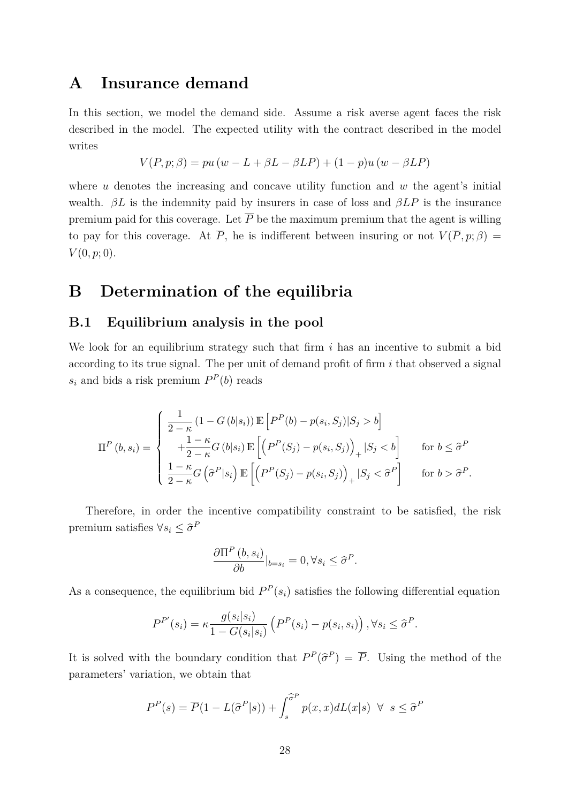## **A Insurance demand**

In this section, we model the demand side. Assume a risk averse agent faces the risk described in the model. The expected utility with the contract described in the model writes

$$
V(P, p; \beta) = pu(w - L + \beta L - \beta LP) + (1 - p)u(w - \beta LP)
$$

where *u* denotes the increasing and concave utility function and *w* the agent's initial wealth.  $\beta L$  is the indemnity paid by insurers in case of loss and  $\beta L P$  is the insurance premium paid for this coverage. Let  $\overline{P}$  be the maximum premium that the agent is willing to pay for this coverage. At  $\overline{P}$ , he is indifferent between insuring or not  $V(\overline{P}, p; \beta) =$  $V(0, p; 0)$ .

## **B Determination of the equilibria**

#### **B.1 Equilibrium analysis in the pool**

We look for an equilibrium strategy such that firm *i* has an incentive to submit a bid according to its true signal. The per unit of demand profit of firm *i* that observed a signal  $s_i$  and bids a risk premium  $P^P(b)$  reads

$$
\Pi^{P}(b,s_{i}) = \begin{cases}\n\frac{1}{2-\kappa} (1 - G(b|s_{i})) \mathbb{E}\left[P^{P}(b) - p(s_{i}, S_{j})|S_{j} > b\right] \\
+\frac{1-\kappa}{2-\kappa} G(b|s_{i}) \mathbb{E}\left[\left(P^{P}(S_{j}) - p(s_{i}, S_{j})\right)_{+} |S_{j} < b\right] & \text{for } b \leq \hat{\sigma}^{P} \\
\frac{1-\kappa}{2-\kappa} G(\hat{\sigma}^{P}|s_{i}) \mathbb{E}\left[\left(P^{P}(S_{j}) - p(s_{i}, S_{j})\right)_{+} |S_{j} < \hat{\sigma}^{P}\right] & \text{for } b > \hat{\sigma}^{P}.\n\end{cases}
$$

Therefore, in order the incentive compatibility constraint to be satisfied, the risk premium satisfies  $\forall s_i \leq \hat{\sigma}^F$ 

$$
\frac{\partial \Pi^P(b, s_i)}{\partial b}|_{b=s_i} = 0, \forall s_i \leq \hat{\sigma}^P.
$$

As a consequence, the equilibrium bid  $P^P(s_i)$  satisfies the following differential equation

$$
P^{P'}(s_i) = \kappa \frac{g(s_i|s_i)}{1 - G(s_i|s_i)} \left( P^P(s_i) - p(s_i, s_i) \right), \forall s_i \leq \hat{\sigma}^P.
$$

It is solved with the boundary condition that  $P^P(\hat{\sigma}^P) = \overline{P}$ . Using the method of the parameters' variation, we obtain that

$$
P^{P}(s) = \overline{P}(1 - L(\hat{\sigma}^{P}|s)) + \int_{s}^{\hat{\sigma}^{P}} p(x, x) dL(x|s) \ \forall \ s \leq \hat{\sigma}^{P}
$$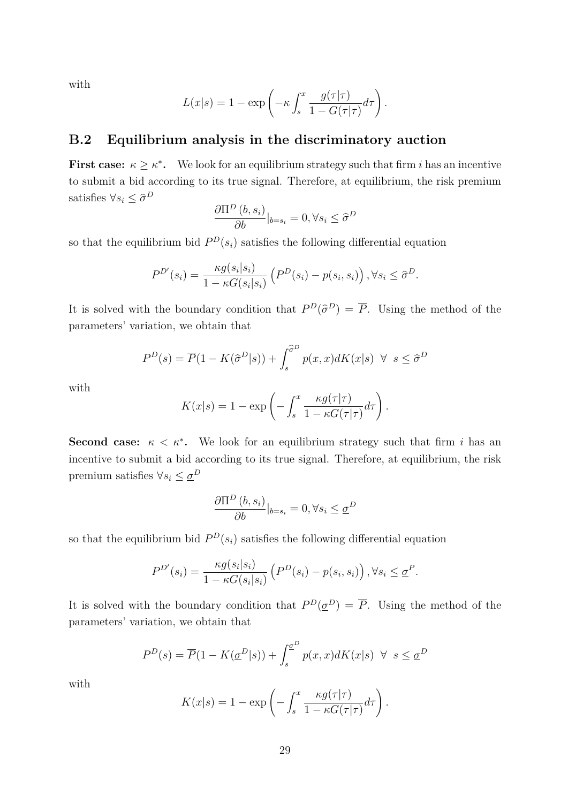with

$$
L(x|s) = 1 - \exp\left(-\kappa \int_s^x \frac{g(\tau|\tau)}{1 - G(\tau|\tau)} d\tau\right).
$$

#### **B.2 Equilibrium analysis in the discriminatory auction**

**First case:**  $\kappa \geq \kappa^*$ . We look for an equilibrium strategy such that firm *i* has an incentive to submit a bid according to its true signal. Therefore, at equilibrium, the risk premium satisfies  $\forall s_i \leq \hat{\sigma}^D$ 

$$
\frac{\partial \Pi^D(b, s_i)}{\partial b}|_{b=s_i} = 0, \forall s_i \leq \hat{\sigma}^D
$$

so that the equilibrium bid  $P^D(s_i)$  satisfies the following differential equation

$$
P^{D'}(s_i) = \frac{\kappa g(s_i|s_i)}{1 - \kappa G(s_i|s_i)} \left( P^D(s_i) - p(s_i, s_i) \right), \forall s_i \leq \hat{\sigma}^D.
$$

It is solved with the boundary condition that  $P^D(\hat{\sigma}^D) = \overline{P}$ . Using the method of the parameters' variation, we obtain that

$$
P^{D}(s) = \overline{P}(1 - K(\hat{\sigma}^{D}|s)) + \int_{s}^{\hat{\sigma}^{D}} p(x, x) dK(x|s) \ \forall \ s \le \hat{\sigma}^{D}
$$

with

$$
K(x|s) = 1 - \exp\left(-\int_s^x \frac{\kappa g(\tau|\tau)}{1 - \kappa G(\tau|\tau)} d\tau\right).
$$

**Second case:**  $\kappa < \kappa^*$ . We look for an equilibrium strategy such that firm *i* has an incentive to submit a bid according to its true signal. Therefore, at equilibrium, the risk premium satisfies  $\forall s_i \leq \underline{\sigma}^D$ 

$$
\frac{\partial \Pi^D(b, s_i)}{\partial b}|_{b=s_i} = 0, \forall s_i \leq \underline{\sigma}^D
$$

so that the equilibrium bid  $P^D(s_i)$  satisfies the following differential equation

$$
P^{D'}(s_i) = \frac{\kappa g(s_i|s_i)}{1 - \kappa G(s_i|s_i)} \left( P^D(s_i) - p(s_i, s_i) \right), \forall s_i \leq \underline{\sigma}^P.
$$

It is solved with the boundary condition that  $P^D(\underline{\sigma}^D) = \overline{P}$ . Using the method of the parameters' variation, we obtain that

$$
P^{D}(s) = \overline{P}(1 - K(\underline{\sigma}^{D}|s)) + \int_{s}^{\underline{\sigma}^{D}} p(x, x) dK(x|s) \ \forall \ s \leq \underline{\sigma}^{D}
$$

with

$$
K(x|s) = 1 - \exp\left(-\int_s^x \frac{\kappa g(\tau|\tau)}{1 - \kappa G(\tau|\tau)} d\tau\right).
$$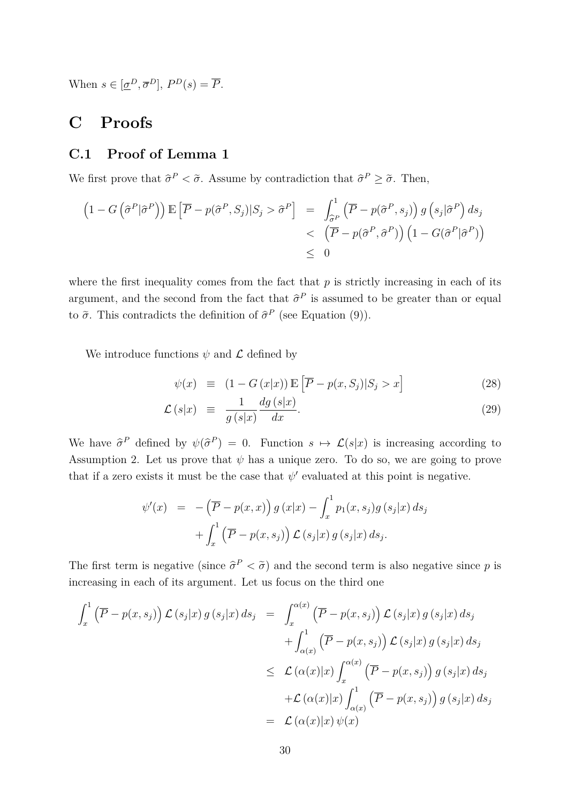When  $s \in [\underline{\sigma}^D, \overline{\sigma}^D], P^D(s) = \overline{P}.$ 

## **C Proofs**

### **C.1 Proof of Lemma 1**

We first prove that  $\hat{\sigma}^P < \tilde{\sigma}$ . Assume by contradiction that  $\hat{\sigma}^P \geq \tilde{\sigma}$ . Then,

$$
(1 - G(\hat{\sigma}^P | \hat{\sigma}^P)) \mathbb{E} [\overline{P} - p(\hat{\sigma}^P, S_j) | S_j > \hat{\sigma}^P] = \int_{\hat{\sigma}^P}^1 (\overline{P} - p(\hat{\sigma}^P, s_j)) g(s_j | \hat{\sigma}^P) ds_j
$$
  
<  $(\overline{P} - p(\hat{\sigma}^P, \hat{\sigma}^P)) (1 - G(\hat{\sigma}^P | \hat{\sigma}^P))$   
 $\leq 0$ 

where the first inequality comes from the fact that  $p$  is strictly increasing in each of its argument, and the second from the fact that  $\hat{\sigma}^P$  is assumed to be greater than or equal to  $\tilde{\sigma}$ . This contradicts the definition of  $\hat{\sigma}^P$  (see Equation (9)).

We introduce functions  $\psi$  and  $\mathcal L$  defined by

$$
\psi(x) \equiv (1 - G(x|x)) \mathbb{E}\left[\overline{P} - p(x, S_j)|S_j > x\right] \tag{28}
$$

$$
\mathcal{L}(s|x) \equiv \frac{1}{g(s|x)} \frac{dg(s|x)}{dx}.
$$
\n(29)

We have  $\hat{\sigma}^P$  defined by  $\psi(\hat{\sigma}^P) = 0$ . Function  $s \mapsto \mathcal{L}(s|x)$  is increasing according to Assumption 2. Let us prove that  $\psi$  has a unique zero. To do so, we are going to prove that if a zero exists it must be the case that  $\psi'$  evaluated at this point is negative.

$$
\psi'(x) = -(\overline{P} - p(x, x)) g(x|x) - \int_x^1 p_1(x, s_j) g(s_j|x) ds_j
$$

$$
+ \int_x^1 (\overline{P} - p(x, s_j)) \mathcal{L}(s_j|x) g(s_j|x) ds_j.
$$

The first term is negative (since  $\hat{\sigma}^P < \tilde{\sigma}$ ) and the second term is also negative since *p* is increasing in each of its argument. Let us focus on the third one

$$
\int_{x}^{1} (\overline{P} - p(x, s_{j})) \mathcal{L}(s_{j}|x) g(s_{j}|x) ds_{j} = \int_{x}^{\alpha(x)} (\overline{P} - p(x, s_{j})) \mathcal{L}(s_{j}|x) g(s_{j}|x) ds_{j}
$$
  
\n
$$
+ \int_{\alpha(x)}^{1} (\overline{P} - p(x, s_{j})) \mathcal{L}(s_{j}|x) g(s_{j}|x) ds_{j}
$$
  
\n
$$
\leq \mathcal{L}(\alpha(x)|x) \int_{x}^{\alpha(x)} (\overline{P} - p(x, s_{j})) g(s_{j}|x) ds_{j}
$$
  
\n
$$
+ \mathcal{L}(\alpha(x)|x) \int_{\alpha(x)}^{1} (\overline{P} - p(x, s_{j})) g(s_{j}|x) ds_{j}
$$
  
\n
$$
= \mathcal{L}(\alpha(x)|x) \psi(x)
$$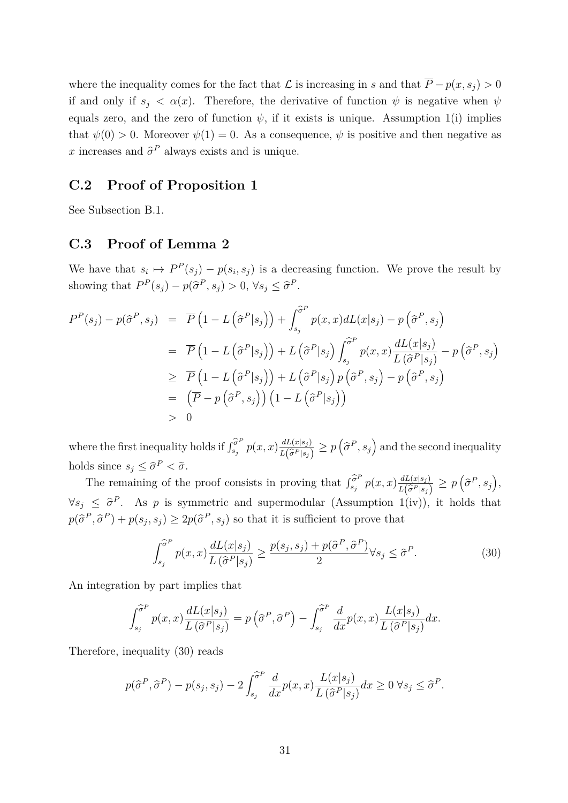where the inequality comes for the fact that  $\mathcal L$  is increasing in *s* and that  $\overline P-p(x,s_j) > 0$ if and only if  $s_j < \alpha(x)$ . Therefore, the derivative of function  $\psi$  is negative when  $\psi$ equals zero, and the zero of function  $\psi$ , if it exists is unique. Assumption 1(i) implies that  $\psi(0) > 0$ . Moreover  $\psi(1) = 0$ . As a consequence,  $\psi$  is positive and then negative as *x* increases and  $\hat{\sigma}^P$  always exists and is unique.

#### **C.2 Proof of Proposition 1**

See Subsection B.1.

#### **C.3 Proof of Lemma 2**

We have that  $s_i \mapsto P^P(s_j) - p(s_i, s_j)$  is a decreasing function. We prove the result by showing that  $P^P(s_j) - p(\hat{\sigma}^P, s_j) > 0, \forall s_j \leq \hat{\sigma}^P$ .

$$
P^{P}(s_{j}) - p(\hat{\sigma}^{P}, s_{j}) = \overline{P} \left( 1 - L(\hat{\sigma}^{P}|s_{j}) \right) + \int_{s_{j}}^{\hat{\sigma}^{P}} p(x, x) dL(x|s_{j}) - p(\hat{\sigma}^{P}, s_{j})
$$
  
\n
$$
= \overline{P} \left( 1 - L(\hat{\sigma}^{P}|s_{j}) \right) + L(\hat{\sigma}^{P}|s_{j}) \int_{s_{j}}^{\hat{\sigma}^{P}} p(x, x) \frac{dL(x|s_{j})}{L(\hat{\sigma}^{P}|s_{j})} - p(\hat{\sigma}^{P}, s_{j})
$$
  
\n
$$
\geq \overline{P} \left( 1 - L(\hat{\sigma}^{P}|s_{j}) \right) + L(\hat{\sigma}^{P}|s_{j}) p(\hat{\sigma}^{P}, s_{j}) - p(\hat{\sigma}^{P}, s_{j})
$$
  
\n
$$
= (\overline{P} - p(\hat{\sigma}^{P}, s_{j})) (1 - L(\hat{\sigma}^{P}|s_{j}))
$$
  
\n
$$
> 0
$$

where the first inequality holds if  $\int_{s_i}^{\widehat{\sigma}^F}$  $\int_{s_j}^{\widehat{\sigma}^P} p(x,x) \frac{dL(x|s_j)}{L(\widehat{\sigma}^P|s_j)}$  $\frac{dL(x|s_j)}{L(\widehat{\sigma}^P|s_j)} \ge p\left(\widehat{\sigma}^P, s_j\right)$  and the second inequality holds since  $s_j \leq \hat{\sigma}^P < \tilde{\sigma}$ .

The remaining of the proof consists in proving that  $\int_{s_i}^{\hat{\sigma}^F}$  $\sum_{s_j}^{\widehat{\sigma}^P} p(x, x) \frac{dL(x|s_j)}{L(\widehat{\sigma}^P|s_j)}$  $\frac{dL(x|s_j)}{L(\hat{\sigma}^P|s_j)} \geq p\left(\hat{\sigma}^P, s_j\right),$  $\forall s_j \leq \hat{\sigma}^P$ . As *p* is symmetric and supermodular (Assumption 1(iv)), it holds that  $p(\hat{\sigma}^P, \hat{\sigma}^P) + p(s_j, s_j) \ge 2p(\hat{\sigma}^P, s_j)$  so that it is sufficient to prove that

$$
\int_{s_j}^{\widehat{\sigma}^P} p(x,x) \frac{dL(x|s_j)}{L(\widehat{\sigma}^P|s_j)} \ge \frac{p(s_j,s_j) + p(\widehat{\sigma}^P, \widehat{\sigma}^P)}{2} \forall s_j \le \widehat{\sigma}^P. \tag{30}
$$

An integration by part implies that

$$
\int_{s_j}^{\widehat{\sigma}^P} p(x,x) \frac{dL(x|s_j)}{L(\widehat{\sigma}^P|s_j)} = p\left(\widehat{\sigma}^P, \widehat{\sigma}^P\right) - \int_{s_j}^{\widehat{\sigma}^P} \frac{d}{dx} p(x,x) \frac{L(x|s_j)}{L(\widehat{\sigma}^P|s_j)} dx.
$$

Therefore, inequality (30) reads

$$
p(\hat{\sigma}^P, \hat{\sigma}^P) - p(s_j, s_j) - 2 \int_{s_j}^{\hat{\sigma}^P} \frac{d}{dx} p(x, x) \frac{L(x|s_j)}{L(\hat{\sigma}^P|s_j)} dx \ge 0 \ \forall s_j \le \hat{\sigma}^P.
$$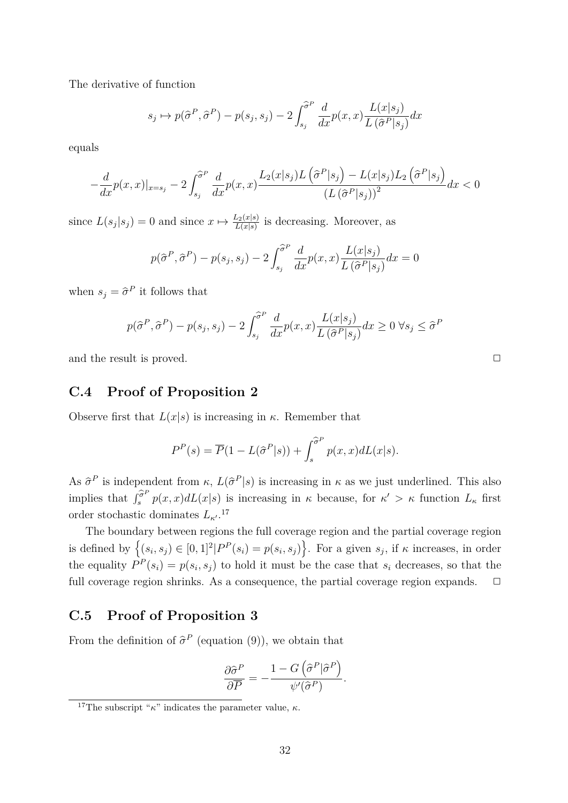The derivative of function

$$
s_j \mapsto p(\hat{\sigma}^P, \hat{\sigma}^P) - p(s_j, s_j) - 2 \int_{s_j}^{\hat{\sigma}^P} \frac{d}{dx} p(x, x) \frac{L(x|s_j)}{L(\hat{\sigma}^P|s_j)} dx
$$

equals

$$
-\frac{d}{dx}p(x,x)|_{x=s_j}-2\int_{s_j}^{\widehat{\sigma}^P}\frac{d}{dx}p(x,x)\frac{L_2(x|s_j)L(\widehat{\sigma}^P|s_j)-L(x|s_j)L_2(\widehat{\sigma}^P|s_j)}{(L(\widehat{\sigma}^P|s_j))^2}dx<0
$$

since  $L(s_j|s_j) = 0$  and since  $x \mapsto \frac{L_2(x|s)}{L(x|s)}$  is decreasing. Moreover, as

$$
p(\hat{\sigma}^P, \hat{\sigma}^P) - p(s_j, s_j) - 2 \int_{s_j}^{\hat{\sigma}^P} \frac{d}{dx} p(x, x) \frac{L(x|s_j)}{L(\hat{\sigma}^P|s_j)} dx = 0
$$

when  $s_j = \hat{\sigma}^P$  it follows that

$$
p(\hat{\sigma}^P, \hat{\sigma}^P) - p(s_j, s_j) - 2 \int_{s_j}^{\hat{\sigma}^P} \frac{d}{dx} p(x, x) \frac{L(x|s_j)}{L(\hat{\sigma}^P|s_j)} dx \ge 0 \ \forall s_j \le \hat{\sigma}^P
$$

and the result is proved.

#### **C.4 Proof of Proposition 2**

Observe first that  $L(x|s)$  is increasing in  $\kappa$ . Remember that

$$
P^{P}(s) = \overline{P}(1 - L(\hat{\sigma}^{P}|s)) + \int_{s}^{\hat{\sigma}^{P}} p(x, x) dL(x|s).
$$

As  $\hat{\sigma}^P$  is independent from  $\kappa$ ,  $L(\hat{\sigma}^P|s)$  is increasing in  $\kappa$  as we just underlined. This also implies that  $\int_{s}^{\widehat{\sigma}^F}$  $\int_s^{\sigma} p(x, x) dL(x|s)$  is increasing in *κ* because, for  $\kappa' > \kappa$  function  $L_\kappa$  first order stochastic dominates  $L_{\kappa'}$ .<sup>17</sup>

The boundary between regions the full coverage region and the partial coverage region is defined by  $\left\{(s_i, s_j) \in [0, 1]^2 | P^P(s_i) = p(s_i, s_j)\right\}$ . For a given  $s_j$ , if  $\kappa$  increases, in order the equality  $P^P(s_i) = p(s_i, s_j)$  to hold it must be the case that  $s_i$  decreases, so that the full coverage region shrinks. As a consequence, the partial coverage region expands.  $\Box$ 

### **C.5 Proof of Proposition 3**

From the definition of  $\hat{\sigma}^P$  (equation (9)), we obtain that

$$
\frac{\partial \hat{\sigma}^P}{\partial \overline{P}} = -\frac{1 - G\left(\hat{\sigma}^P | \hat{\sigma}^P\right)}{\psi'(\hat{\sigma}^P)}.
$$

<sup>&</sup>lt;sup>17</sup>The subscript " $\kappa$ " indicates the parameter value,  $\kappa$ .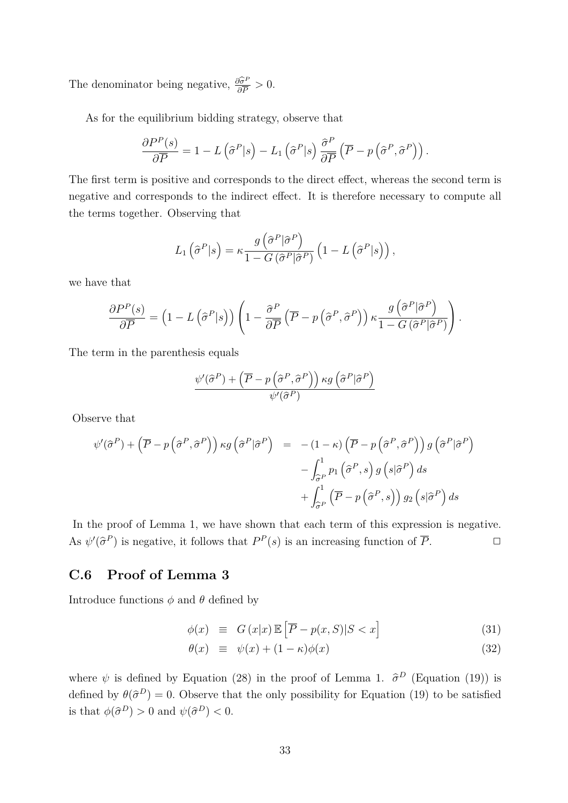The denominator being negative,  $\frac{\partial \hat{\sigma}^{\text{P}}}{\partial \overline{P}}$  $\frac{\partial \sigma^F}{\partial \overline{P}} > 0.$ 

As for the equilibrium bidding strategy, observe that

$$
\frac{\partial P^P(s)}{\partial \overline{P}} = 1 - L\left(\hat{\sigma}^P|s\right) - L_1\left(\hat{\sigma}^P|s\right)\frac{\hat{\sigma}^P}{\partial \overline{P}}\left(\overline{P} - p\left(\hat{\sigma}^P,\hat{\sigma}^P\right)\right).
$$

The first term is positive and corresponds to the direct effect, whereas the second term is negative and corresponds to the indirect effect. It is therefore necessary to compute all the terms together. Observing that

$$
L_1\left(\widehat{\sigma}^P|s\right) = \kappa \frac{g\left(\widehat{\sigma}^P|\widehat{\sigma}^P\right)}{1 - G\left(\widehat{\sigma}^P|\widehat{\sigma}^P\right)} \left(1 - L\left(\widehat{\sigma}^P|s\right)\right),\,
$$

we have that

$$
\frac{\partial P^P(s)}{\partial \overline{P}} = \left(1 - L\left(\widehat{\sigma}^P|s\right)\right) \left(1 - \frac{\widehat{\sigma}^P}{\partial \overline{P}}\left(\overline{P} - p\left(\widehat{\sigma}^P, \widehat{\sigma}^P\right)\right) \kappa \frac{g\left(\widehat{\sigma}^P|\widehat{\sigma}^P\right)}{1 - G\left(\widehat{\sigma}^P|\widehat{\sigma}^P\right)}\right).
$$

The term in the parenthesis equals

$$
\frac{\psi'(\widehat{\sigma}^P) + \left(\overline{P} - p\left(\widehat{\sigma}^P, \widehat{\sigma}^P\right)\right) \kappa g\left(\widehat{\sigma}^P|\widehat{\sigma}^P\right)}{\psi'(\widehat{\sigma}^P)}
$$

Observe that

$$
\psi'(\hat{\sigma}^P) + (\overline{P} - p(\hat{\sigma}^P, \hat{\sigma}^P)) \kappa g(\hat{\sigma}^P | \hat{\sigma}^P) = -(1 - \kappa) (\overline{P} - p(\hat{\sigma}^P, \hat{\sigma}^P)) g(\hat{\sigma}^P | \hat{\sigma}^P)
$$

$$
- \int_{\hat{\sigma}^P}^1 p_1(\hat{\sigma}^P, s) g(s | \hat{\sigma}^P) ds
$$

$$
+ \int_{\hat{\sigma}^P}^1 (\overline{P} - p(\hat{\sigma}^P, s)) g_2(s | \hat{\sigma}^P) ds
$$

In the proof of Lemma 1, we have shown that each term of this expression is negative. As  $\psi'(\hat{\sigma}^P)$  is negative, it follows that  $P^P(s)$  is an increasing function of  $\overline{P}$ .

#### **C.6 Proof of Lemma 3**

Introduce functions  $\phi$  and  $\theta$  defined by

$$
\phi(x) \equiv G(x|x) \mathbb{E}\left[\overline{P} - p(x, S)|S < x\right] \tag{31}
$$

$$
\theta(x) \equiv \psi(x) + (1 - \kappa)\phi(x) \tag{32}
$$

where  $\psi$  is defined by Equation (28) in the proof of Lemma 1.  $\hat{\sigma}^D$  (Equation (19)) is defined by  $\theta(\hat{\sigma}^D) = 0$ . Observe that the only possibility for Equation (19) to be satisfied is that  $\phi(\hat{\sigma}^D) > 0$  and  $\psi(\hat{\sigma}^D) < 0$ .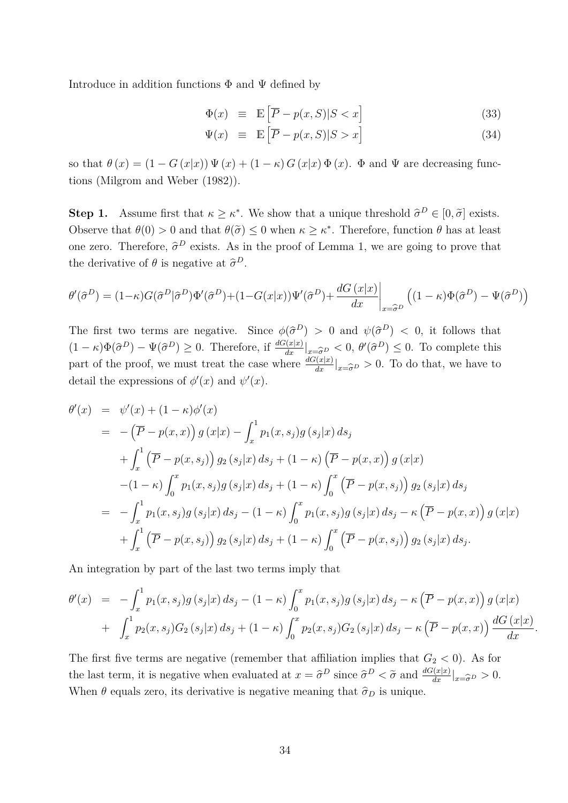Introduce in addition functions  $\Phi$  and  $\Psi$  defined by

$$
\Phi(x) \equiv \mathbb{E}\left[\overline{P} - p(x, S)|S < x\right] \tag{33}
$$

$$
\Psi(x) \equiv \mathbb{E}\left[\overline{P} - p(x, S)|S > x\right] \tag{34}
$$

so that  $\theta(x) = (1 - G(x|x)) \Psi(x) + (1 - \kappa) G(x|x) \Phi(x)$ .  $\Phi$  and  $\Psi$  are decreasing functions (Milgrom and Weber (1982)).

**Step 1.** Assume first that  $\kappa \geq \kappa^*$ . We show that a unique threshold  $\hat{\sigma}^D \in [0, \tilde{\sigma}]$  exists. Observe that  $\theta(0) > 0$  and that  $\theta(\tilde{\sigma}) \leq 0$  when  $\kappa \geq \kappa^*$ . Therefore, function  $\theta$  has at least one zero. Therefore,  $\hat{\sigma}^D$  exists. As in the proof of Lemma 1, we are going to prove that the derivative of  $\theta$  is negative at  $\hat{\sigma}^D$ .

$$
\theta'(\hat{\sigma}^D) = (1 - \kappa)G(\hat{\sigma}^D|\hat{\sigma}^D)\Phi'(\hat{\sigma}^D) + (1 - G(x|x))\Psi'(\hat{\sigma}^D) + \frac{dG(x|x)}{dx}\bigg|_{x = \hat{\sigma}^D} \left( (1 - \kappa)\Phi(\hat{\sigma}^D) - \Psi(\hat{\sigma}^D) \right)
$$

The first two terms are negative. Since  $\phi(\hat{\sigma}^D) > 0$  and  $\psi(\hat{\sigma}^D) < 0$ , it follows that  $(1 - \kappa)\Phi(\hat{\sigma}^D) - \Psi(\hat{\sigma}^D) \geq 0$ . Therefore, if  $\frac{dG(x|x)}{dx}|_{x = \hat{\sigma}^D} < 0$ ,  $\theta'(\hat{\sigma}^D) \leq 0$ . To complete this part of the proof, we must treat the case where  $\frac{dG(x|x)}{dx}|_{x=\widehat{\sigma}^D} > 0$ . To do that, we have to detail the expressions of  $\phi'(x)$  and  $\psi'(x)$ .

$$
\theta'(x) = \psi'(x) + (1 - \kappa)\phi'(x)
$$
  
\n
$$
= -(\overline{P} - p(x, x)) g(x|x) - \int_x^1 p_1(x, s_j) g(s_j|x) ds_j
$$
  
\n
$$
+ \int_x^1 (\overline{P} - p(x, s_j)) g_2(s_j|x) ds_j + (1 - \kappa) (\overline{P} - p(x, x)) g(x|x)
$$
  
\n
$$
- (1 - \kappa) \int_0^x p_1(x, s_j) g(s_j|x) ds_j + (1 - \kappa) \int_0^x (\overline{P} - p(x, s_j)) g_2(s_j|x) ds_j
$$
  
\n
$$
= - \int_x^1 p_1(x, s_j) g(s_j|x) ds_j - (1 - \kappa) \int_0^x p_1(x, s_j) g(s_j|x) ds_j - \kappa (\overline{P} - p(x, x)) g(x|x)
$$
  
\n
$$
+ \int_x^1 (\overline{P} - p(x, s_j)) g_2(s_j|x) ds_j + (1 - \kappa) \int_0^x (\overline{P} - p(x, s_j)) g_2(s_j|x) ds_j.
$$

An integration by part of the last two terms imply that

$$
\theta'(x) = -\int_x^1 p_1(x, s_j) g(s_j|x) ds_j - (1 - \kappa) \int_0^x p_1(x, s_j) g(s_j|x) ds_j - \kappa (\overline{P} - p(x, x)) g(x|x) + \int_x^1 p_2(x, s_j) G_2(s_j|x) ds_j + (1 - \kappa) \int_0^x p_2(x, s_j) G_2(s_j|x) ds_j - \kappa (\overline{P} - p(x, x)) \frac{dG(x|x)}{dx}.
$$

The first five terms are negative (remember that affiliation implies that  $G_2 < 0$ ). As for the last term, it is negative when evaluated at  $x = \hat{\sigma}^D$  since  $\hat{\sigma}^D < \tilde{\sigma}$  and  $\frac{dG(x|x)}{dx}|_{x=\hat{\sigma}^D} > 0$ . When  $\theta$  equals zero, its derivative is negative meaning that  $\hat{\sigma}_D$  is unique.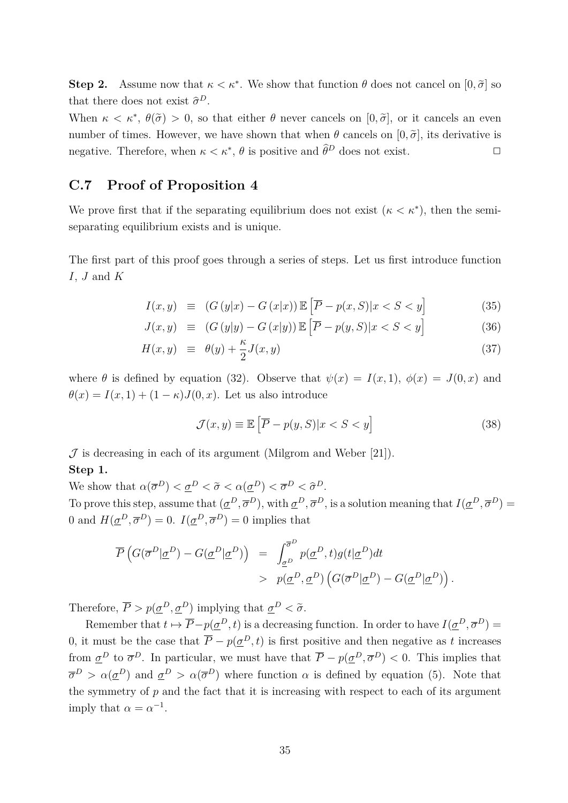**Step 2.** Assume now that  $\kappa < \kappa^*$ . We show that function  $\theta$  does not cancel on  $[0, \tilde{\sigma}]$  so that there does not exist  $\hat{\sigma}^D$ .

When  $\kappa < \kappa^*$ ,  $\theta(\tilde{\sigma}) > 0$ , so that either  $\theta$  never cancels on  $[0, \tilde{\sigma}]$ , or it cancels an even number of times. However, we have shown that when  $\theta$  cancels on  $[0, \tilde{\sigma}]$ , its derivative is negative. Therefore, when  $\kappa < \kappa^*$ ,  $\theta$  is positive and  $\widehat{\theta}^D$  does not exist.  $\Box$ 

#### **C.7 Proof of Proposition 4**

We prove first that if the separating equilibrium does not exist  $(\kappa < \kappa^*)$ , then the semiseparating equilibrium exists and is unique.

The first part of this proof goes through a series of steps. Let us first introduce function *I*, *J* and *K*

$$
I(x,y) \equiv (G(y|x) - G(x|x)) \mathbb{E}\left[\overline{P} - p(x,S)|x < S < y\right] \tag{35}
$$

$$
J(x,y) \equiv (G(y|y) - G(x|y)) \mathbb{E}\left[\overline{P} - p(y,S)|x < S < y\right] \tag{36}
$$

$$
H(x,y) \equiv \theta(y) + \frac{\kappa}{2}J(x,y) \tag{37}
$$

where  $\theta$  is defined by equation (32). Observe that  $\psi(x) = I(x,1)$ ,  $\phi(x) = J(0,x)$  and  $\theta(x) = I(x, 1) + (1 - \kappa)J(0, x)$ . Let us also introduce

$$
\mathcal{J}(x, y) \equiv \mathbb{E}\left[\overline{P} - p(y, S)|x < S < y\right] \tag{38}
$$

 $J$  is decreasing in each of its argument (Milgrom and Weber [21]).

#### **Step 1.**

We show that  $\alpha(\overline{\sigma}^D) < \underline{\sigma}^D < \tilde{\sigma} < \alpha(\underline{\sigma}^D) < \overline{\sigma}^D < \hat{\sigma}^D$ . To prove this step, assume that  $(\underline{\sigma}^D, \overline{\sigma}^D)$ , with  $\underline{\sigma}^D, \overline{\sigma}^D$ , is a solution meaning that  $I(\underline{\sigma}^D, \overline{\sigma}^D)$ 0 and  $H(\underline{\sigma}^D, \overline{\sigma}^D) = 0$ .  $I(\underline{\sigma}^D, \overline{\sigma}^D) = 0$  implies that

$$
\overline{P}\left(G(\overline{\sigma}^D|\underline{\sigma}^D) - G(\underline{\sigma}^D|\underline{\sigma}^D)\right) = \int_{\underline{\sigma}^D}^{\overline{\sigma}^D} p(\underline{\sigma}^D, t)g(t|\underline{\sigma}^D)dt
$$
  
>  $p(\underline{\sigma}^D, \underline{\sigma}^D) \left(G(\overline{\sigma}^D|\underline{\sigma}^D) - G(\underline{\sigma}^D|\underline{\sigma}^D)\right).$ 

Therefore,  $\overline{P} > p(\underline{\sigma}^D, \underline{\sigma}^D)$  implying that  $\underline{\sigma}^D < \tilde{\sigma}$ .

Remember that  $t \mapsto \overline{P} - p(\underline{\sigma}^D, t)$  is a decreasing function. In order to have  $I(\underline{\sigma}^D, \overline{\sigma}^D) =$ 0, it must be the case that  $\overline{P} - p(\underline{\sigma}^D, t)$  is first positive and then negative as t increases from  $\underline{\sigma}^D$  to  $\overline{\sigma}^D$ . In particular, we must have that  $\overline{P} - p(\underline{\sigma}^D, \overline{\sigma}^D) < 0$ . This implies that  $\overline{\sigma}^D > \alpha(\underline{\sigma}^D)$  and  $\underline{\sigma}^D > \alpha(\overline{\sigma}^D)$  where function  $\alpha$  is defined by equation (5). Note that the symmetry of  $p$  and the fact that it is increasing with respect to each of its argument imply that  $\alpha = \alpha^{-1}$ .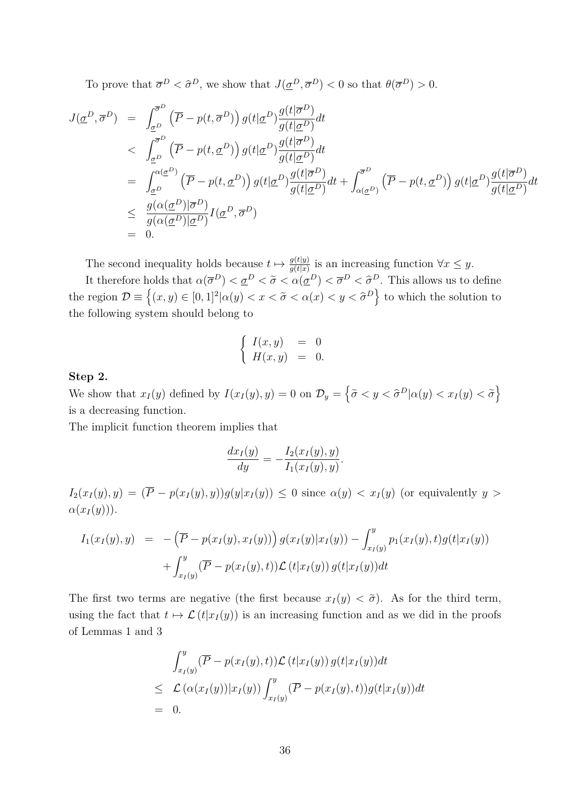To prove that  $\overline{\sigma}^D < \hat{\sigma}^D$ , we show that  $J(\underline{\sigma}^D, \overline{\sigma}^D) < 0$  so that  $\theta(\overline{\sigma}^D) > 0$ .

$$
J(\underline{\sigma}^{D}, \overline{\sigma}^{D}) = \int_{\underline{\sigma}^{D}}^{\overline{\sigma}^{D}} (\overline{P} - p(t, \overline{\sigma}^{D})) g(t | \underline{\sigma}^{D}) \frac{g(t | \overline{\sigma}^{D})}{g(t | \underline{\sigma}^{D})} dt
$$
  
\n
$$
< \int_{\underline{\sigma}^{D}}^{\overline{\sigma}^{D}} (\overline{P} - p(t, \underline{\sigma}^{D})) g(t | \underline{\sigma}^{D}) \frac{g(t | \overline{\sigma}^{D})}{g(t | \underline{\sigma}^{D})} dt
$$
  
\n
$$
= \int_{\underline{\sigma}^{D}}^{\alpha(\underline{\sigma}^{D})} (\overline{P} - p(t, \underline{\sigma}^{D})) g(t | \underline{\sigma}^{D}) \frac{g(t | \overline{\sigma}^{D})}{g(t | \underline{\sigma}^{D})} dt + \int_{\alpha(\underline{\sigma}^{D})}^{\overline{\sigma}^{D}} (\overline{P} - p(t, \underline{\sigma}^{D})) g(t | \underline{\sigma}^{D}) \frac{g(t | \overline{\sigma}^{D})}{g(t | \underline{\sigma}^{D})} dt
$$
  
\n
$$
\leq \frac{g(\alpha(\underline{\sigma}^{D}) | \overline{\sigma}^{D})}{g(\alpha(\underline{\sigma}^{D}) | \underline{\sigma}^{D})} I(\underline{\sigma}^{D}, \overline{\sigma}^{D})
$$
  
\n
$$
= 0.
$$

The second inequality holds because  $t \mapsto \frac{g(t|y)}{g(t|x)}$  is an increasing function  $\forall x \leq y$ .

It therefore holds that  $\alpha(\overline{\sigma}^D) < \underline{\sigma}^D < \tilde{\sigma} < \alpha(\underline{\sigma}^D) < \overline{\sigma}^D < \hat{\sigma}^D$ . This allows us to define the region  $\mathcal{D} \equiv \{(x, y) \in [0, 1]^2 | \alpha(y) < x < \tilde{\sigma} < \alpha(x) < y < \hat{\sigma}^D \}$  to which the solution to the following system should belong to

$$
\begin{cases}\nI(x,y) &= 0 \\
H(x,y) &= 0.\n\end{cases}
$$

#### **Step 2.**

We show that  $x_I(y)$  defined by  $I(x_I(y), y) = 0$  on  $\mathcal{D}_y = \left\{ \tilde{\sigma} < y < \hat{\sigma}^D | \alpha(y) < x_I(y) < \tilde{\sigma} \right\}$ is a decreasing function.

The implicit function theorem implies that

$$
\frac{dx_I(y)}{dy} = -\frac{I_2(x_I(y), y)}{I_1(x_I(y), y)}.
$$

 $I_2(x_I(y), y) = (\overline{P} - p(x_I(y), y))g(y|x_I(y)) \leq 0$  since  $\alpha(y) < x_I(y)$  (or equivalently  $y >$  $\alpha(x_I(y))$ .

$$
I_1(x_I(y), y) = -(\overline{P} - p(x_I(y), x_I(y))) g(x_I(y)|x_I(y)) - \int_{x_I(y)}^y p_1(x_I(y), t)g(t|x_I(y)) + \int_{x_I(y)}^y (\overline{P} - p(x_I(y), t)) \mathcal{L}(t|x_I(y)) g(t|x_I(y)) dt
$$

The first two terms are negative (the first because  $x_I(y) < \tilde{\sigma}$ ). As for the third term, using the fact that  $t \mapsto \mathcal{L}(t|x_I(y))$  is an increasing function and as we did in the proofs of Lemmas 1 and 3

$$
\int_{x_I(y)}^y (\overline{P} - p(x_I(y), t)) \mathcal{L}(t|x_I(y)) g(t|x_I(y)) dt
$$
\n
$$
\leq \mathcal{L}(\alpha(x_I(y)) | x_I(y)) \int_{x_I(y)}^y (\overline{P} - p(x_I(y), t)) g(t|x_I(y)) dt
$$
\n= 0.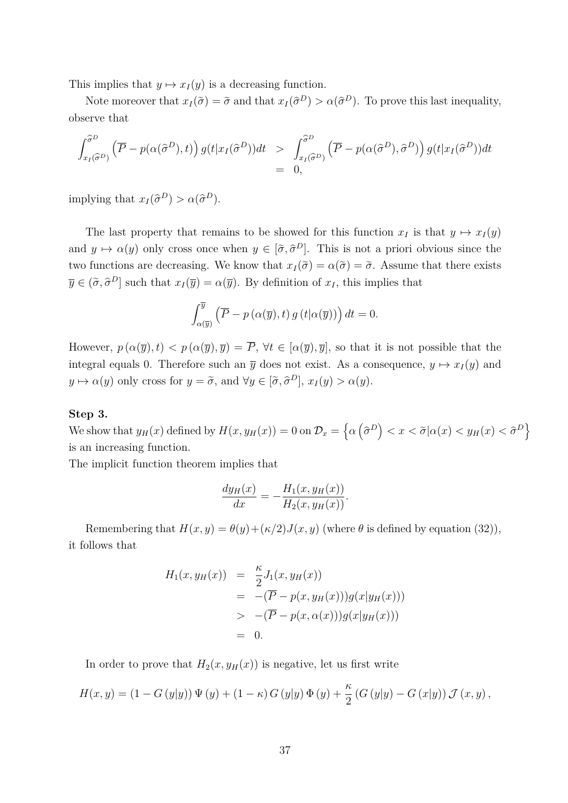This implies that  $y \mapsto x_I(y)$  is a decreasing function.

Note moreover that  $x_I(\tilde{\sigma}) = \tilde{\sigma}$  and that  $x_I(\tilde{\sigma}^D) > \alpha(\tilde{\sigma}^D)$ . To prove this last inequality, observe that

$$
\int_{x_I(\widehat{\sigma}^D)}^{\widehat{\sigma}^D} \left( \overline{P} - p(\alpha(\widehat{\sigma}^D), t) \right) g(t|x_I(\widehat{\sigma}^D))dt \ge \int_{x_I(\widehat{\sigma}^D)}^{\widehat{\sigma}^D} \left( \overline{P} - p(\alpha(\widehat{\sigma}^D), \widehat{\sigma}^D) \right) g(t|x_I(\widehat{\sigma}^D))dt
$$
  
= 0,

 $\text{implying that } x_I(\hat{\sigma}^D) > \alpha(\hat{\sigma}^D).$ 

The last property that remains to be showed for this function  $x_I$  is that  $y \mapsto x_I(y)$ and  $y \mapsto \alpha(y)$  only cross once when  $y \in [\tilde{\sigma}, \tilde{\sigma}^D]$ . This is not a priori obvious since the two functions are decreasing. We know that  $x_I(\tilde{\sigma}) = \alpha(\tilde{\sigma}) = \tilde{\sigma}$ . Assume that there exists  $\overline{y} \in (\tilde{\sigma}, \tilde{\sigma}^D]$  such that  $x_I(\overline{y}) = \alpha(\overline{y})$ . By definition of  $x_I$ , this implies that

$$
\int_{\alpha(\overline{y})}^{\overline{y}} \left( \overline{P} - p\left( \alpha(\overline{y}), t \right) g\left( t | \alpha(\overline{y}) \right) \right) dt = 0.
$$

However,  $p(\alpha(\overline{y}), t) < p(\alpha(\overline{y}), \overline{y}) = \overline{P}$ ,  $\forall t \in [\alpha(\overline{y}), \overline{y}]$ , so that it is not possible that the integral equals 0. Therefore such an  $\overline{y}$  does not exist. As a consequence,  $y \mapsto x_I(y)$  and  $y \mapsto \alpha(y)$  only cross for  $y = \tilde{\sigma}$ , and  $\forall y \in [\tilde{\sigma}, \hat{\sigma}^D]$ ,  $x_I(y) > \alpha(y)$ .

#### **Step 3.**

We show that  $y_H(x)$  defined by  $H(x, y_H(x)) = 0$  on  $\mathcal{D}_x = \left\{ \alpha \left( \widehat{\sigma}^D \right) < x < \widetilde{\sigma} | \alpha(x) < y_H(x) < \widehat{\sigma}^D \right\}$ is an increasing function.

The implicit function theorem implies that

$$
\frac{dy_H(x)}{dx} = -\frac{H_1(x, y_H(x))}{H_2(x, y_H(x))}.
$$

Remembering that  $H(x, y) = \theta(y) + (\kappa/2)J(x, y)$  (where  $\theta$  is defined by equation (32)), it follows that

$$
H_1(x, y_H(x)) = \frac{\kappa}{2} J_1(x, y_H(x))
$$
  
= -(\overline{P} - p(x, y\_H(x)))g(x|y\_H(x)))  
> -(\overline{P} - p(x, \alpha(x)))g(x|y\_H(x)))  
= 0.

In order to prove that  $H_2(x, y_H(x))$  is negative, let us first write

$$
H(x,y) = (1 - G(y|y)) \Psi(y) + (1 - \kappa) G(y|y) \Phi(y) + \frac{\kappa}{2} (G(y|y) - G(x|y)) \mathcal{J}(x,y),
$$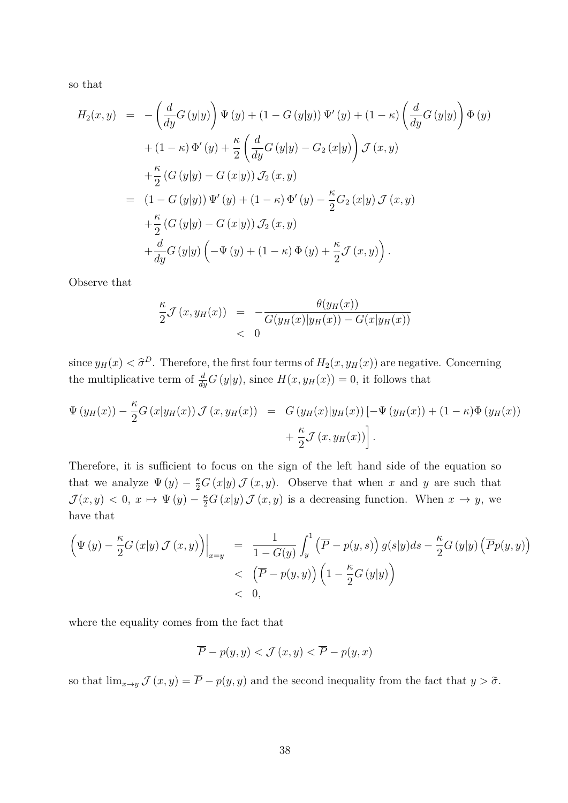so that

$$
H_2(x, y) = -\left(\frac{d}{dy}G(y|y)\right)\Psi(y) + (1 - G(y|y))\Psi'(y) + (1 - \kappa)\left(\frac{d}{dy}G(y|y)\right)\Phi(y) + (1 - \kappa)\Phi'(y) + \frac{\kappa}{2}\left(\frac{d}{dy}G(y|y) - G_2(x|y)\right)\mathcal{J}(x, y) + \frac{\kappa}{2}(G(y|y) - G(x|y))\mathcal{J}_2(x, y) = (1 - G(y|y))\Psi'(y) + (1 - \kappa)\Phi'(y) - \frac{\kappa}{2}G_2(x|y)\mathcal{J}(x, y) + \frac{\kappa}{2}(G(y|y) - G(x|y))\mathcal{J}_2(x, y) + \frac{d}{dy}G(y|y)\left(-\Psi(y) + (1 - \kappa)\Phi(y) + \frac{\kappa}{2}\mathcal{J}(x, y)\right).
$$

Observe that

$$
\frac{\kappa}{2} \mathcal{J}(x, y_H(x)) = -\frac{\theta(y_H(x))}{G(y_H(x)|y_H(x)) - G(x|y_H(x))}
$$
  
< 0

since  $y_H(x) < \hat{\sigma}^D$ . Therefore, the first four terms of  $H_2(x, y_H(x))$  are negative. Concerning the multiplicative term of  $\frac{d}{dy}G(y|y)$ , since  $H(x, y_H(x)) = 0$ , it follows that

$$
\Psi(y_H(x)) - \frac{\kappa}{2} G(x|y_H(x)) \mathcal{J}(x, y_H(x)) = G(y_H(x)|y_H(x)) [-\Psi(y_H(x)) + (1 - \kappa)\Phi(y_H(x)) + \frac{\kappa}{2} \mathcal{J}(x, y_H(x))].
$$

Therefore, it is sufficient to focus on the sign of the left hand side of the equation so that we analyze  $\Psi(y) - \frac{\kappa}{2}G(x|y)\mathcal{J}(x, y)$ . Observe that when *x* and *y* are such that  $\mathcal{J}(x, y) < 0, x \mapsto \Psi(y) - \frac{\kappa}{2} G(x|y) \mathcal{J}(x, y)$  is a decreasing function. When  $x \to y$ , we have that

$$
\left(\Psi(y) - \frac{\kappa}{2}G(x|y) \mathcal{J}(x, y)\right)\Big|_{x=y} = \frac{1}{1 - G(y)} \int_y^1 \left(\overline{P} - p(y, s)\right) g(s|y) ds - \frac{\kappa}{2}G(y|y) \left(\overline{P}p(y, y)\right) \n< \left(\overline{P} - p(y, y)\right) \left(1 - \frac{\kappa}{2}G(y|y)\right) \n< 0,
$$

where the equality comes from the fact that

$$
\overline{P} - p(y, y) < \mathcal{J}(x, y) < \overline{P} - p(y, x)
$$

so that  $\lim_{x\to y}$   $\mathcal{J}(x, y) = \overline{P} - p(y, y)$  and the second inequality from the fact that  $y > \tilde{\sigma}$ .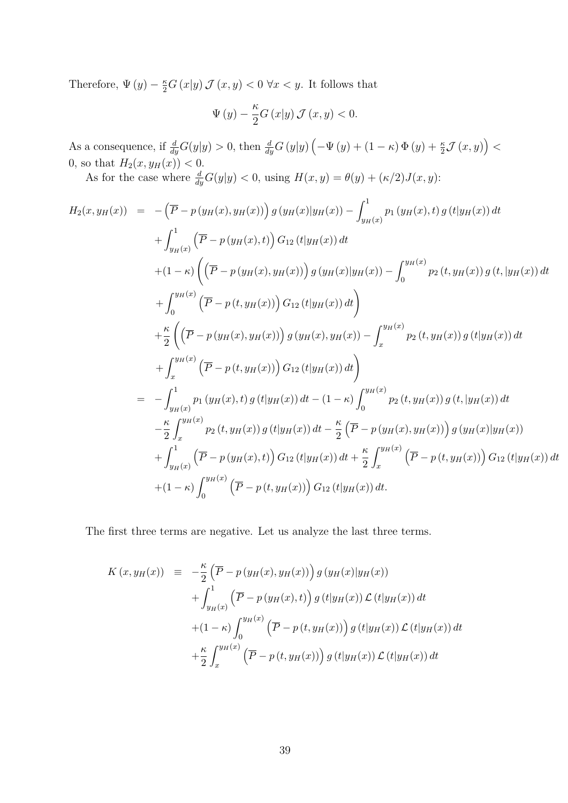Therefore,  $\Psi(y) - \frac{\kappa}{2}G(x|y)\mathcal{J}(x, y) < 0 \ \forall x < y$ . It follows that

$$
\Psi(y) - \frac{\kappa}{2} G(x|y) \mathcal{J}(x, y) < 0.
$$

As a consequence, if  $\frac{d}{dy}G(y|y) > 0$ , then  $\frac{d}{dy}G(y|y) \left(-\Psi(y) + (1 - \kappa) \Phi(y) + \frac{\kappa}{2} \mathcal{J}(x, y)\right) <$ 0, so that  $H_2(x, y_H(x)) < 0$ .

As for the case where  $\frac{d}{dy}G(y|y) < 0$ , using  $H(x, y) = \theta(y) + (\kappa/2)J(x, y)$ :

$$
H_{2}(x,y_{H}(x)) = -(\overline{P} - p(y_{H}(x), y_{H}(x))) g(y_{H}(x)|y_{H}(x)) - \int_{y_{H}(x)}^{1} p_{1}(y_{H}(x), t) g(t|y_{H}(x)) dt
$$
  
+ 
$$
\int_{y_{H}(x)}^{1} (\overline{P} - p(y_{H}(x), t)) G_{12}(t|y_{H}(x)) dt
$$
  
+ 
$$
(1 - \kappa) ((\overline{P} - p(y_{H}(x), y_{H}(x))) g(y_{H}(x)|y_{H}(x)) - \int_{0}^{y_{H}(x)} p_{2}(t, y_{H}(x)) g(t, |y_{H}(x)) dt
$$
  
+ 
$$
\int_{0}^{y_{H}(x)} (\overline{P} - p(t, y_{H}(x))) G_{12}(t|y_{H}(x)) dt
$$
  
+ 
$$
\int_{x}^{y_{H}(x)} ((\overline{P} - p(y_{H}(x), y_{H}(x))) g(y_{H}(x), y_{H}(x)) - \int_{x}^{y_{H}(x)} p_{2}(t, y_{H}(x)) g(t|y_{H}(x)) dt
$$
  
+ 
$$
\int_{x}^{y_{H}(x)} (\overline{P} - p(t, y_{H}(x))) G_{12}(t|y_{H}(x)) dt
$$
  
= 
$$
- \int_{y_{H}(x)}^{1} p_{1}(y_{H}(x), t) g(t|y_{H}(x)) dt - (1 - \kappa) \int_{0}^{y_{H}(x)} p_{2}(t, y_{H}(x)) g(t, |y_{H}(x)) dt
$$
  
- 
$$
\frac{\kappa}{2} \int_{x}^{y_{H}(x)} p_{2}(t, y_{H}(x)) g(t|y_{H}(x)) dt - \frac{\kappa}{2} (\overline{P} - p(y_{H}(x), y_{H}(x))) g(y_{H}(x)|y_{H}(x))
$$
  
+ 
$$
\int_{y_{H}(x)}^{1} (\overline{P} - p(y_{H}(x), t)) G_{12}(t|y_{H}(x)) dt + \frac{\kappa}{2} \int_{x}^{y_{H}(x)} (\overline{P} - p(t, y_{H}(x))) G_{12}(t|y_{H}(x)) dt
$$
  
+ 
$$
(1 - \kappa) \int_{0}^{y_{H}(x)} (\overline{P} - p(t, y_{H}(x))) G_{12}(t|y_{H}(x))
$$

The first three terms are negative. Let us analyze the last three terms.

$$
K(x,y_H(x)) = -\frac{\kappa}{2} \left( \overline{P} - p(y_H(x), y_H(x)) \right) g(y_H(x)|y_H(x))
$$
  
+ 
$$
\int_{y_H(x)}^1 \left( \overline{P} - p(y_H(x),t) \right) g(t|y_H(x)) \mathcal{L}(t|y_H(x)) dt
$$
  
+ 
$$
(1 - \kappa) \int_0^{y_H(x)} \left( \overline{P} - p(t,y_H(x)) \right) g(t|y_H(x)) \mathcal{L}(t|y_H(x)) dt
$$
  
+ 
$$
\frac{\kappa}{2} \int_x^{y_H(x)} \left( \overline{P} - p(t,y_H(x)) \right) g(t|y_H(x)) \mathcal{L}(t|y_H(x)) dt
$$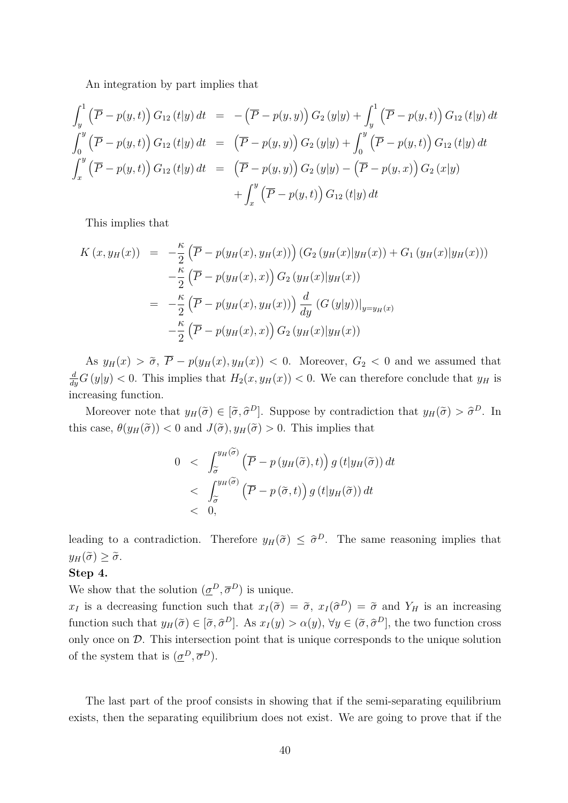An integration by part implies that

$$
\int_{y}^{1} (\overline{P} - p(y, t)) G_{12}(t|y) dt = -(\overline{P} - p(y, y)) G_{2}(y|y) + \int_{y}^{1} (\overline{P} - p(y, t)) G_{12}(t|y) dt
$$
  

$$
\int_{0}^{y} (\overline{P} - p(y, t)) G_{12}(t|y) dt = (\overline{P} - p(y, y)) G_{2}(y|y) + \int_{0}^{y} (\overline{P} - p(y, t)) G_{12}(t|y) dt
$$
  

$$
\int_{x}^{y} (\overline{P} - p(y, t)) G_{12}(t|y) dt = (\overline{P} - p(y, y)) G_{2}(y|y) - (\overline{P} - p(y, x)) G_{2}(x|y)
$$
  

$$
+ \int_{x}^{y} (\overline{P} - p(y, t)) G_{12}(t|y) dt
$$

This implies that

$$
K(x, y_H(x)) = -\frac{\kappa}{2} (\overline{P} - p(y_H(x), y_H(x))) (G_2(y_H(x))y_H(x)) + G_1(y_H(x))y_H(x)))
$$
  

$$
-\frac{\kappa}{2} (\overline{P} - p(y_H(x), x)) G_2(y_H(x))y_H(x))
$$
  

$$
= -\frac{\kappa}{2} (\overline{P} - p(y_H(x), y_H(x))) \frac{d}{dy} (G (y|y))|_{y=y_H(x)}
$$
  

$$
-\frac{\kappa}{2} (\overline{P} - p(y_H(x), x)) G_2(y_H(x))y_H(x))
$$

As  $y_H(x) > \tilde{\sigma}, \ \overline{P} - p(y_H(x), y_H(x)) < 0.$  Moreover,  $G_2 < 0$  and we assumed that  $\frac{d}{dy}G(y|y) < 0$ . This implies that  $H_2(x, y_H(x)) < 0$ . We can therefore conclude that  $y_H$  is increasing function.

Moreover note that  $y_H(\tilde{\sigma}) \in [\tilde{\sigma}, \tilde{\sigma}^D]$ . Suppose by contradiction that  $y_H(\tilde{\sigma}) > \tilde{\sigma}^D$ . In this case,  $\theta(y_H(\tilde{\sigma})) < 0$  and  $J(\tilde{\sigma}), y_H(\tilde{\sigma}) > 0$ . This implies that

$$
0 < \int_{\widetilde{\sigma}}^{y_H(\widetilde{\sigma})} \left( \overline{P} - p(y_H(\widetilde{\sigma}), t) \right) g(t|y_H(\widetilde{\sigma})) dt
$$
  
< 
$$
< \int_{\widetilde{\sigma}}^{y_H(\widetilde{\sigma})} \left( \overline{P} - p(\widetilde{\sigma}, t) \right) g(t|y_H(\widetilde{\sigma})) dt
$$
  
< 0,

leading to a contradiction. Therefore  $y_H(\tilde{\sigma}) \leq \tilde{\sigma}^D$ . The same reasoning implies that  $y_H(\tilde{\sigma}) \geq \tilde{\sigma}.$ 

#### **Step 4.**

We show that the solution  $(\underline{\sigma}^D, \overline{\sigma}^D)$  is unique.

*x<sub>I</sub>* is a decreasing function such that  $x_I(\tilde{\sigma}) = \tilde{\sigma}$ ,  $x_I(\tilde{\sigma}^D) = \tilde{\sigma}$  and  $Y_H$  is an increasing function such that  $y_H(\tilde{\sigma}) \in [\tilde{\sigma}, \hat{\sigma}^D]$ . As  $x_I(y) > \alpha(y)$ ,  $\forall y \in (\tilde{\sigma}, \hat{\sigma}^D]$ , the two function cross only once on  $\mathcal{D}$ . This intersection point that is unique corresponds to the unique solution of the system that is  $(\underline{\sigma}^D, \overline{\sigma}^D)$ .

The last part of the proof consists in showing that if the semi-separating equilibrium exists, then the separating equilibrium does not exist. We are going to prove that if the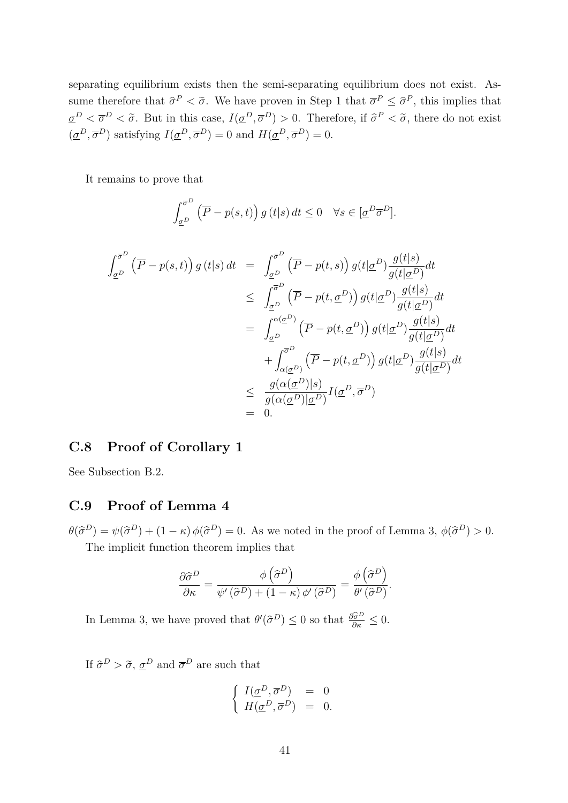separating equilibrium exists then the semi-separating equilibrium does not exist. Assume therefore that  $\hat{\sigma}^P < \tilde{\sigma}$ . We have proven in Step 1 that  $\overline{\sigma}^P \leq \hat{\sigma}^P$ , this implies that  $\underline{\sigma}^D < \overline{\sigma}^D < \tilde{\sigma}$ . But in this case,  $I(\underline{\sigma}^D, \overline{\sigma}^D) > 0$ . Therefore, if  $\widehat{\sigma}^P < \tilde{\sigma}$ , there do not exist  $(\underline{\sigma}^D, \overline{\sigma}^D)$  satisfying  $I(\underline{\sigma}^D, \overline{\sigma}^D) = 0$  and  $H(\underline{\sigma}^D, \overline{\sigma}^D) = 0$ .

It remains to prove that

$$
\int_{\underline{\sigma}^D}^{\overline{\sigma}^D} \left( \overline{P} - p(s, t) \right) g(t|s) dt \le 0 \quad \forall s \in [\underline{\sigma}^D \overline{\sigma}^D].
$$

$$
\int_{\underline{\sigma}^{D}}^{\overline{\sigma}^{D}} \left( \overline{P} - p(s, t) \right) g(t|s) dt = \int_{\underline{\sigma}^{D}}^{\overline{\sigma}^{D}} \left( \overline{P} - p(t, s) \right) g(t| \underline{\sigma}^{D}) \frac{g(t|s)}{g(t| \underline{\sigma}^{D})} dt
$$
  
\n
$$
\leq \int_{\underline{\sigma}^{D}}^{\overline{\sigma}^{D}} \left( \overline{P} - p(t, \underline{\sigma}^{D}) \right) g(t| \underline{\sigma}^{D}) \frac{g(t|s)}{g(t| \underline{\sigma}^{D})} dt
$$
  
\n
$$
= \int_{\underline{\sigma}^{D}}^{\alpha(\underline{\sigma}^{D})} \left( \overline{P} - p(t, \underline{\sigma}^{D}) \right) g(t| \underline{\sigma}^{D}) \frac{g(t|s)}{g(t| \underline{\sigma}^{D})} dt
$$
  
\n
$$
+ \int_{\alpha(\underline{\sigma}^{D})}^{\overline{\sigma}^{D}} \left( \overline{P} - p(t, \underline{\sigma}^{D}) \right) g(t| \underline{\sigma}^{D}) \frac{g(t|s)}{g(t| \underline{\sigma}^{D})} dt
$$
  
\n
$$
\leq \frac{g(\alpha(\underline{\sigma}^{D})|s)}{g(\alpha(\underline{\sigma}^{D})| \underline{\sigma}^{D})} I(\underline{\sigma}^{D}, \overline{\sigma}^{D})
$$
  
\n
$$
= 0.
$$

### **C.8 Proof of Corollary 1**

See Subsection B.2.

#### **C.9 Proof of Lemma 4**

 $\theta(\hat{\sigma}^D) = \psi(\hat{\sigma}^D) + (1 - \kappa) \phi(\hat{\sigma}^D) = 0$ . As we noted in the proof of Lemma 3,  $\phi(\hat{\sigma}^D) > 0$ . The implicit function theorem implies that

$$
\frac{\partial \hat{\sigma}^D}{\partial \kappa} = \frac{\phi\left(\hat{\sigma}^D\right)}{\psi'\left(\hat{\sigma}^D\right) + \left(1 - \kappa\right)\phi'\left(\hat{\sigma}^D\right)} = \frac{\phi\left(\hat{\sigma}^D\right)}{\theta'\left(\hat{\sigma}^D\right)}.
$$

In Lemma 3, we have proved that  $\theta'(\hat{\sigma}^D) \leq 0$  so that  $\frac{\partial \hat{\sigma}^D}{\partial \kappa} \leq 0$ .

If  $\hat{\sigma}^D > \tilde{\sigma}, \underline{\sigma}^D$  and  $\overline{\sigma}^D$  are such that

$$
\left\{ \begin{array}{lcl} I(\underline{\sigma}^D,\overline{\sigma}^D) &=& 0 \\ H(\underline{\sigma}^D,\overline{\sigma}^D) &=& 0. \end{array} \right.
$$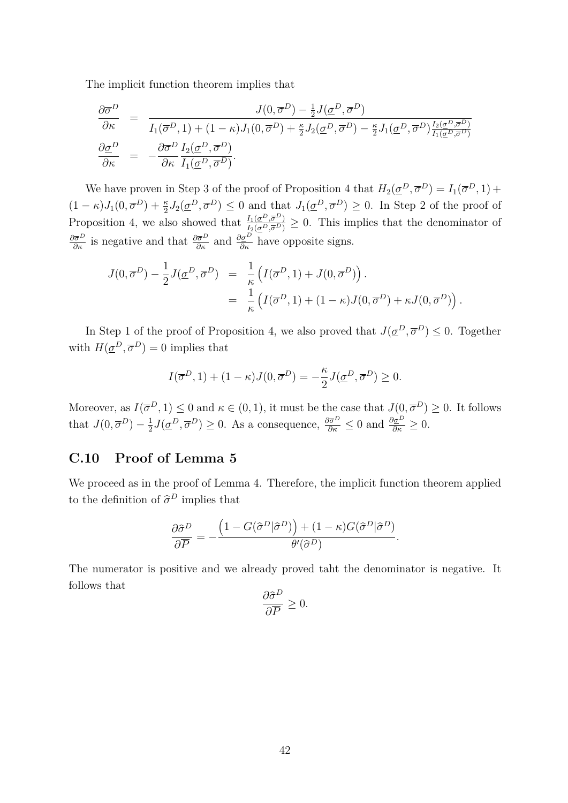The implicit function theorem implies that

$$
\frac{\partial \overline{\sigma}^D}{\partial \kappa} = \frac{J(0, \overline{\sigma}^D) - \frac{1}{2} J(\underline{\sigma}^D, \overline{\sigma}^D)}{I_1(\overline{\sigma}^D, 1) + (1 - \kappa)J_1(0, \overline{\sigma}^D) + \frac{\kappa}{2}J_2(\underline{\sigma}^D, \overline{\sigma}^D) - \frac{\kappa}{2}J_1(\underline{\sigma}^D, \overline{\sigma}^D)\frac{I_2(\underline{\sigma}^D, \overline{\sigma}^D)}{I_1(\underline{\sigma}^D, \overline{\sigma}^D)}}{\partial \kappa} = -\frac{\partial \overline{\sigma}^D}{\partial \kappa} \frac{I_2(\underline{\sigma}^D, \overline{\sigma}^D)}{I_1(\underline{\sigma}^D, \overline{\sigma}^D)}.
$$

We have proven in Step 3 of the proof of Proposition 4 that  $H_2(\underline{\sigma}^D, \overline{\sigma}^D) = I_1(\overline{\sigma}^D, 1) +$  $(1 - \kappa)J_1(0, \overline{\sigma}^D) + \frac{\kappa}{2}J_2(\underline{\sigma}^D, \overline{\sigma}^D) \leq 0$  and that  $J_1(\underline{\sigma}^D, \overline{\sigma}^D) \geq 0$ . In Step 2 of the proof of Proposition 4, we also showed that  $\frac{I_1(\sigma^D, \overline{\sigma}^D)}{I_2(\sigma^D, \overline{\sigma}^D)} \geq 0$ . This implies that the denominator of  $\frac{\partial \bar{\sigma}^D}{\partial \kappa}$  is negative and that  $\frac{\partial \bar{\sigma}^D}{\partial \kappa}$  and  $\frac{\partial \sigma^D}{\partial \kappa}$  have opposite signs.

$$
J(0, \overline{\sigma}^D) - \frac{1}{2} J(\underline{\sigma}^D, \overline{\sigma}^D) = \frac{1}{\kappa} \left( I(\overline{\sigma}^D, 1) + J(0, \overline{\sigma}^D) \right).
$$
  
= 
$$
\frac{1}{\kappa} \left( I(\overline{\sigma}^D, 1) + (1 - \kappa) J(0, \overline{\sigma}^D) + \kappa J(0, \overline{\sigma}^D) \right).
$$

In Step 1 of the proof of Proposition 4, we also proved that  $J(\underline{\sigma}^D, \overline{\sigma}^D) \leq 0$ . Together with  $H(\underline{\sigma}^D, \overline{\sigma}^D) = 0$  implies that

$$
I(\overline{\sigma}^D, 1) + (1 - \kappa)J(0, \overline{\sigma}^D) = -\frac{\kappa}{2}J(\underline{\sigma}^D, \overline{\sigma}^D) \ge 0.
$$

Moreover, as  $I(\overline{\sigma}^D, 1) \leq 0$  and  $\kappa \in (0, 1)$ , it must be the case that  $J(0, \overline{\sigma}^D) \geq 0$ . It follows that  $J(0, \overline{\sigma}^D) - \frac{1}{2}$  $\frac{1}{2}J(\underline{\sigma}^D, \overline{\sigma}^D) \geq 0$ . As a consequence,  $\frac{\partial \overline{\sigma}^D}{\partial \kappa} \leq 0$  and  $\frac{\partial \underline{\sigma}^D}{\partial \kappa} \geq 0$ .

#### **C.10 Proof of Lemma 5**

We proceed as in the proof of Lemma 4. Therefore, the implicit function theorem applied to the definition of  $\hat{\sigma}^D$  implies that

$$
\frac{\partial \hat{\sigma}^D}{\partial \overline{P}} = -\frac{\left(1 - G(\hat{\sigma}^D|\hat{\sigma}^D)\right) + (1 - \kappa)G(\hat{\sigma}^D|\hat{\sigma}^D)}{\theta'(\hat{\sigma}^D)}.
$$

The numerator is positive and we already proved taht the denominator is negative. It follows that

$$
\frac{\partial \hat{\sigma}^D}{\partial \overline{P}} \ge 0.
$$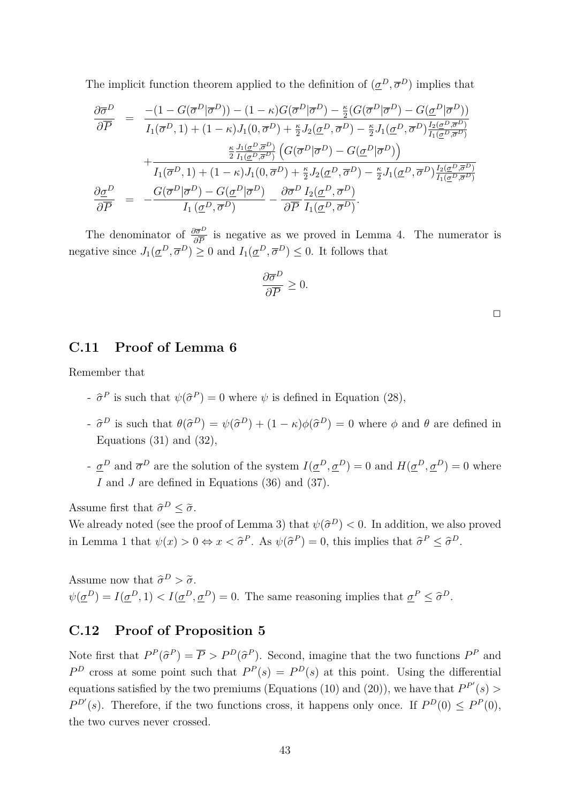The implicit function theorem applied to the definition of  $(\underline{\sigma}^D, \overline{\sigma}^D)$  implies that

$$
\frac{\partial \overline{\sigma}^D}{\partial \overline{P}} = \frac{-(1 - G(\overline{\sigma}^D | \overline{\sigma}^D)) - (1 - \kappa)G(\overline{\sigma}^D | \overline{\sigma}^D) - \frac{\kappa}{2}(G(\overline{\sigma}^D | \overline{\sigma}^D) - G(\underline{\sigma}^D | \overline{\sigma}^D))}{I_1(\overline{\sigma}^D, 1) + (1 - \kappa)J_1(0, \overline{\sigma}^D) + \frac{\kappa}{2}J_2(\underline{\sigma}^D, \overline{\sigma}^D) - \frac{\kappa}{2}J_1(\underline{\sigma}^D, \overline{\sigma}^D)\frac{I_2(\underline{\sigma}^D, \overline{\sigma}^D)}{I_1(\underline{\sigma}^D, \overline{\sigma}^D)}}{I_1(\overline{\sigma}^D, 1) + (1 - \kappa)J_1(0, \overline{\sigma}^D) + \frac{\kappa}{2}J_2(\underline{\sigma}^D, \overline{\sigma}^D) - G(\underline{\sigma}^D | \overline{\sigma}^D))
$$
\n
$$
\frac{\kappa}{2} \frac{J_1(\underline{\sigma}^D, \overline{\sigma}^D)}{I_1(\underline{\sigma}^D, \overline{\sigma}^D)} \left( G(\overline{\sigma}^D | \overline{\sigma}^D) - G(\underline{\sigma}^D | \overline{\sigma}^D) \right)
$$
\n
$$
\frac{\partial \underline{\sigma}^D}{\partial \overline{P}} = -\frac{G(\overline{\sigma}^D | \overline{\sigma}^D) - G(\underline{\sigma}^D | \overline{\sigma}^D)}{I_1(\underline{\sigma}^D, \overline{\sigma}^D)} - \frac{\partial \overline{\sigma}^D}{\partial \overline{P}} \frac{I_2(\underline{\sigma}^D, \overline{\sigma}^D)}{I_1(\underline{\sigma}^D, \overline{\sigma}^D)}.
$$

The denominator of  $\frac{\partial \bar{\sigma}^D}{\partial \bar{P}}$  is negative as we proved in Lemma 4. The numerator is negative since  $J_1(\underline{\sigma}^D, \overline{\sigma}^D) \ge 0$  and  $I_1(\underline{\sigma}^D, \overline{\sigma}^D) \le 0$ . It follows that

$$
\frac{\partial \overline{\sigma}^D}{\partial \overline{P}} \ge 0.
$$

#### **C.11 Proof of Lemma 6**

Remember that

- $\hat{\sigma}^P$  is such that  $\psi(\hat{\sigma}^P) = 0$  where  $\psi$  is defined in Equation (28),
- $-\hat{\sigma}^D$  is such that  $\theta(\hat{\sigma}^D) = \psi(\hat{\sigma}^D) + (1 \kappa)\phi(\hat{\sigma}^D) = 0$  where  $\phi$  and  $\theta$  are defined in Equations  $(31)$  and  $(32)$ ,
- $-\underline{\sigma}^D$  and  $\overline{\sigma}^D$  are the solution of the system  $I(\underline{\sigma}^D, \underline{\sigma}^D) = 0$  and  $H(\underline{\sigma}^D, \underline{\sigma}^D) = 0$  where *I* and *J* are defined in Equations (36) and (37).

Assume first that  $\hat{\sigma}^D \leq \tilde{\sigma}$ .

We already noted (see the proof of Lemma 3) that  $\psi(\hat{\sigma}^D) < 0$ . In addition, we also proved in Lemma 1 that  $\psi(x) > 0 \Leftrightarrow x < \hat{\sigma}^P$ . As  $\psi(\hat{\sigma}^P) = 0$ , this implies that  $\hat{\sigma}^P \leq \hat{\sigma}^D$ .

Assume now that  $\hat{\sigma}^D > \tilde{\sigma}$ .  $\psi(\underline{\sigma}^D) = I(\underline{\sigma}^D, 1) < I(\underline{\sigma}^D, \underline{\sigma}^D) = 0$ . The same reasoning implies that  $\underline{\sigma}^P \leq \widehat{\sigma}^D$ .

#### **C.12 Proof of Proposition 5**

Note first that  $P^P(\hat{\sigma}^P) = \overline{P} > P^D(\hat{\sigma}^P)$ . Second, imagine that the two functions  $P^P$  and  $P<sup>D</sup>$  cross at some point such that  $P<sup>P</sup>(s) = P<sup>D</sup>(s)$  at this point. Using the differential equations satisfied by the two premiums (Equations (10) and (20)), we have that  $P^{P'}(s)$  $P^{D'}(s)$ . Therefore, if the two functions cross, it happens only once. If  $P^{D}(0) \leq P^{P}(0)$ , the two curves never crossed.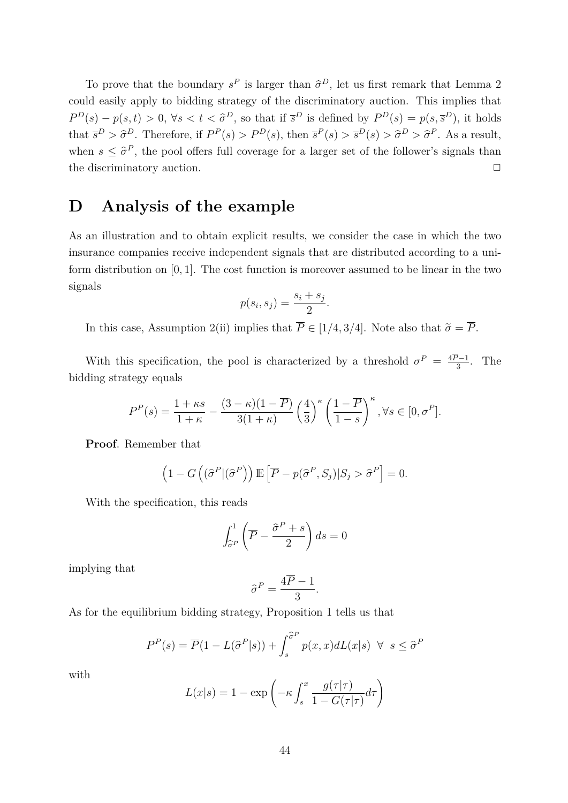To prove that the boundary  $s^P$  is larger than  $\hat{\sigma}^D$ , let us first remark that Lemma 2 could easily apply to bidding strategy of the discriminatory auction. This implies that  $P^D(s) - p(s, t) > 0$ ,  $\forall s < t < \hat{\sigma}^D$ , so that if  $\bar{s}^D$  is defined by  $P^D(s) = p(s, \bar{s}^D)$ , it holds that  $\bar{s}^D > \hat{\sigma}^D$ . Therefore, if  $P^P(s) > P^D(s)$ , then  $\bar{s}^P(s) > \bar{s}^D(s) > \hat{\sigma}^D > \hat{\sigma}^P$ . As a result, when  $s \leq \hat{\sigma}^P$ , the pool offers full coverage for a larger set of the follower's signals than the discriminatory auction.  $\Box$ 

## **D Analysis of the example**

As an illustration and to obtain explicit results, we consider the case in which the two insurance companies receive independent signals that are distributed according to a uniform distribution on [0*,* 1]. The cost function is moreover assumed to be linear in the two signals

$$
p(s_i, s_j) = \frac{s_i + s_j}{2}.
$$

In this case, Assumption 2(ii) implies that  $\overline{P} \in [1/4, 3/4]$ . Note also that  $\tilde{\sigma} = \overline{P}$ .

With this specification, the pool is characterized by a threshold  $\sigma^P = \frac{4P-1}{3}$  $\frac{2-1}{3}$ . The bidding strategy equals

$$
P^{P}(s) = \frac{1+\kappa s}{1+\kappa} - \frac{(3-\kappa)(1-\overline{P})}{3(1+\kappa)} \left(\frac{4}{3}\right)^{\kappa} \left(\frac{1-\overline{P}}{1-s}\right)^{\kappa}, \forall s \in [0, \sigma^{P}].
$$

**Proof**. Remember that

$$
(1 - G\left((\widehat{\sigma}^P | (\widehat{\sigma}^P)\right) \mathbb{E}\left[\overline{P} - p(\widehat{\sigma}^P, S_j) | S_j > \widehat{\sigma}^P\right] = 0.
$$

With the specification, this reads

$$
\int_{\widehat{\sigma}^P}^1 \left( \overline{P} - \frac{\widehat{\sigma}^P + s}{2} \right) ds = 0
$$

implying that

$$
\widehat{\sigma}^P = \frac{4\overline{P} - 1}{3}.
$$

As for the equilibrium bidding strategy, Proposition 1 tells us that

$$
P^{P}(s) = \overline{P}(1 - L(\hat{\sigma}^{P}|s)) + \int_{s}^{\hat{\sigma}^{P}} p(x, x) dL(x|s) \ \forall \ s \leq \hat{\sigma}^{P}
$$

with

$$
L(x|s) = 1 - \exp\left(-\kappa \int_s^x \frac{g(\tau|\tau)}{1 - G(\tau|\tau)} d\tau\right)
$$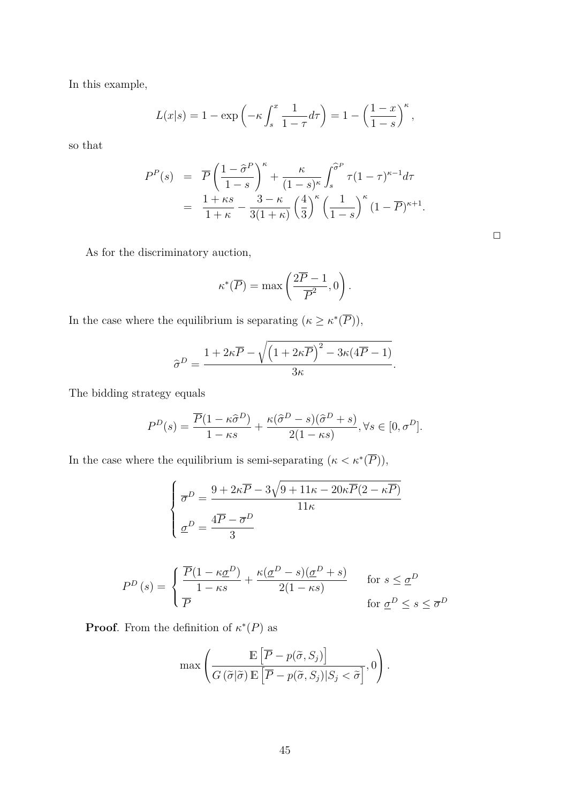In this example,

$$
L(x|s) = 1 - \exp\left(-\kappa \int_s^x \frac{1}{1-\tau} d\tau\right) = 1 - \left(\frac{1-x}{1-s}\right)^{\kappa},
$$

so that

$$
P^{P}(s) = \overline{P} \left( \frac{1 - \hat{\sigma}^{P}}{1 - s} \right)^{\kappa} + \frac{\kappa}{(1 - s)^{\kappa}} \int_{s}^{\hat{\sigma}^{P}} \tau (1 - \tau)^{\kappa - 1} d\tau
$$
  
= 
$$
\frac{1 + \kappa s}{1 + \kappa} - \frac{3 - \kappa}{3(1 + \kappa)} \left( \frac{4}{3} \right)^{\kappa} \left( \frac{1}{1 - s} \right)^{\kappa} (1 - \overline{P})^{\kappa + 1}.
$$

As for the discriminatory auction,

$$
\kappa^*(\overline{P}) = \max\left(\frac{2\overline{P} - 1}{\overline{P}^2}, 0\right).
$$

In the case where the equilibrium is separating  $(\kappa \geq \kappa^*(\overline{P})),$ 

$$
\widehat{\sigma}^D = \frac{1 + 2\kappa \overline{P} - \sqrt{\left(1 + 2\kappa \overline{P}\right)^2 - 3\kappa(4\overline{P} - 1)}}{3\kappa}.
$$

The bidding strategy equals

$$
P^D(s) = \frac{\overline{P}(1 - \kappa \hat{\sigma}^D)}{1 - \kappa s} + \frac{\kappa(\hat{\sigma}^D - s)(\hat{\sigma}^D + s)}{2(1 - \kappa s)}, \forall s \in [0, \sigma^D].
$$

In the case where the equilibrium is semi-separating  $(\kappa < \kappa^*(\overline{P})),$ 

$$
\begin{cases}\n\overline{\sigma}^D = \frac{9 + 2\kappa \overline{P} - 3\sqrt{9 + 11\kappa - 20\kappa \overline{P}(2 - \kappa \overline{P})}}{11\kappa} \\
\underline{\sigma}^D = \frac{4\overline{P} - \overline{\sigma}^D}{3}\n\end{cases}
$$

$$
P^{D}(s) = \begin{cases} \frac{\overline{P}(1 - \kappa \underline{\sigma}^{D})}{1 - \kappa s} + \frac{\kappa (\underline{\sigma}^{D} - s)(\underline{\sigma}^{D} + s)}{2(1 - \kappa s)} & \text{for } s \leq \underline{\sigma}^{D} \\ \overline{P} & \text{for } \underline{\sigma}^{D} \leq s \leq \overline{\sigma}^{D} \end{cases}
$$

**Proof.** From the definition of  $\kappa^*(P)$  as

$$
\max \left( \frac{\mathbb{E}\left[\overline{P} - p(\widetilde{\sigma}, S_j)\right]}{G\left(\widetilde{\sigma}|\widetilde{\sigma}\right)\mathbb{E}\left[\overline{P} - p(\widetilde{\sigma}, S_j)|S_j < \widetilde{\sigma}\right]}, 0 \right).
$$

| ___ |  |
|-----|--|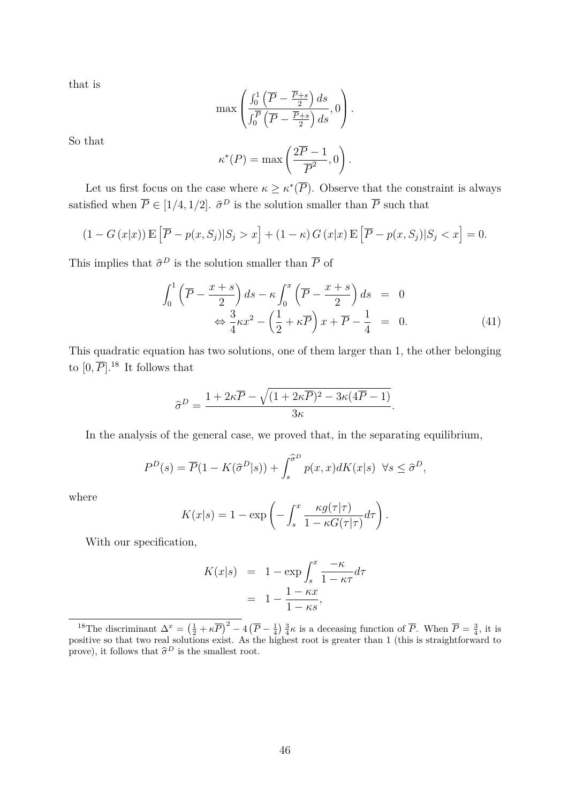that is

$$
\max\left(\frac{\int_0^1 \left(\overline{P} - \frac{\overline{P} + s}{2}\right) ds}{\int_0^{\overline{P}} \left(\overline{P} - \frac{\overline{P} + s}{2}\right) ds}, 0\right).
$$

So that

$$
\kappa^*(P) = \max\left(\frac{2\overline{P} - 1}{\overline{P}^2}, 0\right).
$$

Let us first focus on the case where  $\kappa \geq \kappa^*(\overline{P})$ . Observe that the constraint is always satisfied when  $\overline{P} \in [1/4, 1/2]$ .  $\hat{\sigma}^D$  is the solution smaller than  $\overline{P}$  such that

$$
(1 - G(x|x)) \mathbb{E}\left[\overline{P} - p(x, S_j)|S_j > x\right] + (1 - \kappa)G(x|x) \mathbb{E}\left[\overline{P} - p(x, S_j)|S_j < x\right] = 0.
$$

This implies that  $\hat{\sigma}^D$  is the solution smaller than  $\overline{P}$  of

$$
\int_0^1 \left( \overline{P} - \frac{x+s}{2} \right) ds - \kappa \int_0^x \left( \overline{P} - \frac{x+s}{2} \right) ds = 0
$$
  

$$
\Leftrightarrow \frac{3}{4} \kappa x^2 - \left( \frac{1}{2} + \kappa \overline{P} \right) x + \overline{P} - \frac{1}{4} = 0.
$$
 (41)

This quadratic equation has two solutions, one of them larger than 1, the other belonging to  $[0, \overline{P}]$ .<sup>18</sup> It follows that

$$
\hat{\sigma}^D = \frac{1 + 2\kappa \overline{P} - \sqrt{(1 + 2\kappa \overline{P})^2 - 3\kappa (4\overline{P} - 1)}}{3\kappa}.
$$

In the analysis of the general case, we proved that, in the separating equilibrium,

$$
P^{D}(s) = \overline{P}(1 - K(\hat{\sigma}^{D}|s)) + \int_{s}^{\hat{\sigma}^{D}} p(x, x) dK(x|s) \quad \forall s \le \hat{\sigma}^{D},
$$

where

$$
K(x|s) = 1 - \exp\left(-\int_s^x \frac{\kappa g(\tau|\tau)}{1 - \kappa G(\tau|\tau)} d\tau\right).
$$

With our specification,

$$
K(x|s) = 1 - \exp \int_s^x \frac{-\kappa}{1 - \kappa \tau} d\tau
$$

$$
= 1 - \frac{1 - \kappa x}{1 - \kappa s},
$$

<sup>&</sup>lt;sup>18</sup>The discriminant  $\Delta^x = \left(\frac{1}{2} + \kappa \overline{P}\right)^2 - 4\left(\overline{P} - \frac{1}{4}\right)\frac{3}{4}\kappa$  is a deceasing function of  $\overline{P}$ . When  $\overline{P} = \frac{3}{4}$ , it is positive so that two real solutions exist. As the highest root is greater than 1 (this is straightforward to prove), it follows that  $\hat{\sigma}^D$  is the smallest root.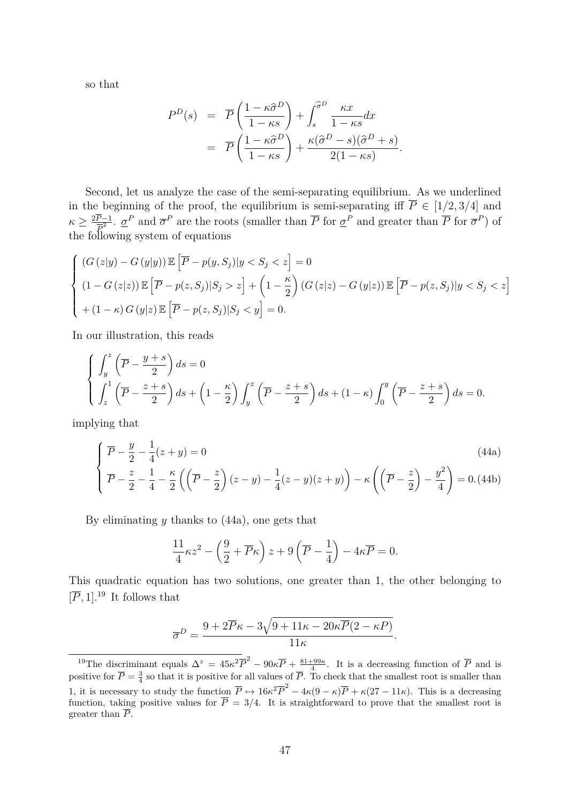so that

$$
P^{D}(s) = \overline{P}\left(\frac{1-\kappa\hat{\sigma}^{D}}{1-\kappa s}\right) + \int_{s}^{\hat{\sigma}^{D}} \frac{\kappa x}{1-\kappa s} dx
$$

$$
= \overline{P}\left(\frac{1-\kappa\hat{\sigma}^{D}}{1-\kappa s}\right) + \frac{\kappa(\hat{\sigma}^{D}-s)(\hat{\sigma}^{D}+s)}{2(1-\kappa s)}
$$

*.*

Second, let us analyze the case of the semi-separating equilibrium. As we underlined in the beginning of the proof, the equilibrium is semi-separating iff  $\overline{P} \in [1/2, 3/4]$  and  $\kappa \geq \frac{2P-1}{\overline{P}^2}$ .  $\sigma^P$  and  $\overline{\sigma}^P$  are the roots (smaller than  $\overline{P}$  for  $\sigma^P$ ) and greater than  $\overline{P}$  for  $\overline{\sigma}^P$ ) of *P* the following system of equations

$$
\begin{cases}\n(G(z|y) - G(y|y)) \mathbb{E}\left[\overline{P} - p(y, S_j)|y < S_j < z\right] = 0 \\
(1 - G(z|z)) \mathbb{E}\left[\overline{P} - p(z, S_j)|S_j > z\right] + \left(1 - \frac{\kappa}{2}\right)(G(z|z) - G(y|z)) \mathbb{E}\left[\overline{P} - p(z, S_j)|y < S_j < z\right] \\
+(1 - \kappa) G(y|z) \mathbb{E}\left[\overline{P} - p(z, S_j)|S_j < y\right] = 0.\n\end{cases}
$$

In our illustration, this reads

$$
\begin{cases}\n\int_{y}^{z} \left(\overline{P} - \frac{y+s}{2}\right) ds = 0 \\
\int_{z}^{1} \left(\overline{P} - \frac{z+s}{2}\right) ds + \left(1 - \frac{\kappa}{2}\right) \int_{y}^{z} \left(\overline{P} - \frac{z+s}{2}\right) ds + (1-\kappa) \int_{0}^{y} \left(\overline{P} - \frac{z+s}{2}\right) ds = 0.\n\end{cases}
$$

implying that

$$
\begin{cases}\n\overline{P} - \frac{y}{2} - \frac{1}{4}(z+y) = 0 & (44a) \\
\overline{P} - \frac{z}{2} - \frac{1}{4} - \frac{\kappa}{2} \left( \left( \overline{P} - \frac{z}{2} \right) (z-y) - \frac{1}{4}(z-y)(z+y) \right) - \kappa \left( \left( \overline{P} - \frac{z}{2} \right) - \frac{y^2}{4} \right) = 0. \tag{44b}
$$

By eliminating *y* thanks to (44a), one gets that

$$
\frac{11}{4}\kappa z^2 - \left(\frac{9}{2} + \overline{P}\kappa\right)z + 9\left(\overline{P} - \frac{1}{4}\right) - 4\kappa \overline{P} = 0.
$$

This quadratic equation has two solutions, one greater than 1, the other belonging to  $[\overline{P}, 1]$ .<sup>19</sup> It follows that

$$
\overline{\sigma}^D = \frac{9 + 2\overline{P}\kappa - 3\sqrt{9 + 11\kappa - 20\kappa\overline{P}(2 - \kappa P)}}{11\kappa}.
$$

<sup>&</sup>lt;sup>19</sup>The discriminant equals  $\Delta^z = 45\kappa^2 \overline{P}^2 - 90\kappa \overline{P} + \frac{81+99\kappa}{4}$ . It is a decreasing function of  $\overline{P}$  and is positive for  $\overline{P} = \frac{3}{4}$  so that it is positive for all values of  $\overline{P}$ . To check that the smallest root is smaller than 1, it is necessary to study the function  $\overline{P} \mapsto 16\kappa^2 \overline{P}^2 - 4\kappa(9-\kappa)\overline{P} + \kappa(27-11\kappa)$ . This is a decreasing function, taking positive values for  $P = 3/4$ . It is straightforward to prove that the smallest root is greater than *P*.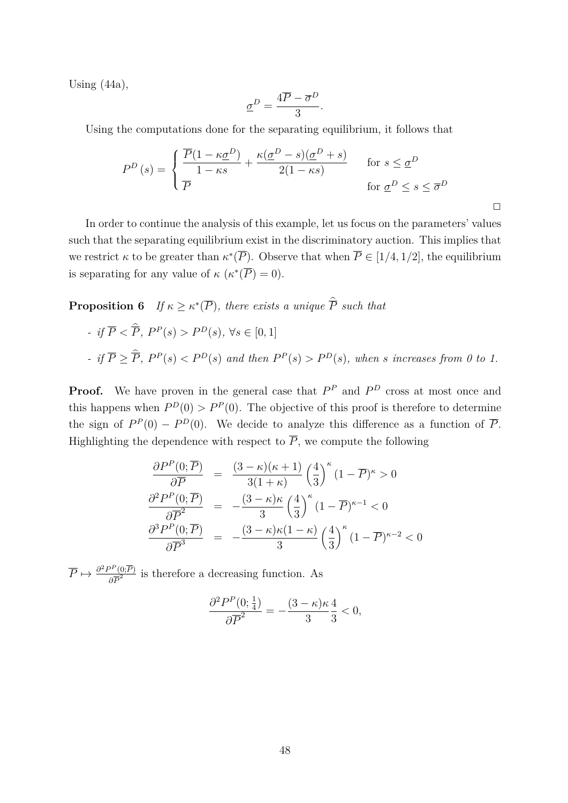Using  $(44a)$ ,

$$
\underline{\sigma}^D = \frac{4\overline{P} - \overline{\sigma}^D}{3}.
$$

Using the computations done for the separating equilibrium, it follows that

$$
P^{D}(s) = \begin{cases} \frac{\overline{P}(1 - \kappa \underline{\sigma}^{D})}{1 - \kappa s} + \frac{\kappa (\underline{\sigma}^{D} - s)(\underline{\sigma}^{D} + s)}{2(1 - \kappa s)} & \text{for } s \leq \underline{\sigma}^{D} \\ \overline{P} & \text{for } \underline{\sigma}^{D} \leq s \leq \overline{\sigma}^{D} \end{cases}
$$

In order to continue the analysis of this example, let us focus on the parameters' values such that the separating equilibrium exist in the discriminatory auction. This implies that we restrict  $\kappa$  to be greater than  $\kappa^*(\overline{P})$ . Observe that when  $\overline{P} \in [1/4, 1/2]$ , the equilibrium is separating for any value of  $\kappa$  ( $\kappa^*(\overline{P}) = 0$ ).

**Proposition 6** *If*  $\kappa \geq \kappa^*(\overline{P})$ *, there exists a unique*  $\overline{P}$  *such that* 

- if 
$$
\overline{P} < \hat{\overline{P}}
$$
,  $P^P(s) > P^D(s)$ ,  $\forall s \in [0, 1]$   
- if  $\overline{P} \geq \hat{\overline{P}}$ ,  $P^P(s) < P^D(s)$  and then  $P^P(s) > P^D(s)$ , when s increases from 0 to 1.

**Proof.** We have proven in the general case that  $P^P$  and  $P^D$  cross at most once and this happens when  $P^D(0) > P^P(0)$ . The objective of this proof is therefore to determine the sign of  $P^P(0) - P^D(0)$ . We decide to analyze this difference as a function of  $\overline{P}$ . Highlighting the dependence with respect to  $\overline{P}$ , we compute the following

$$
\frac{\partial P^P(0; \overline{P})}{\partial \overline{P}} = \frac{(3 - \kappa)(\kappa + 1)}{3(1 + \kappa)} \left(\frac{4}{3}\right)^{\kappa} (1 - \overline{P})^{\kappa} > 0
$$

$$
\frac{\partial^2 P^P(0; \overline{P})}{\partial \overline{P}^2} = -\frac{(3 - \kappa)\kappa}{3} \left(\frac{4}{3}\right)^{\kappa} (1 - \overline{P})^{\kappa - 1} < 0
$$

$$
\frac{\partial^3 P^P(0; \overline{P})}{\partial \overline{P}^3} = -\frac{(3 - \kappa)\kappa(1 - \kappa)}{3} \left(\frac{4}{3}\right)^{\kappa} (1 - \overline{P})^{\kappa - 2} < 0
$$

 $\overline{P} \mapsto \frac{\partial^2 P^P(0;\overline{P})}{\partial \overline{P}^2}$  $\frac{\partial^2 (0;P)}{\partial P^2}$  is therefore a decreasing function. As

$$
\frac{\partial^2 P^P(0; \frac{1}{4})}{\partial \overline{P}^2} = -\frac{(3 - \kappa)\kappa}{3} \frac{4}{3} < 0,
$$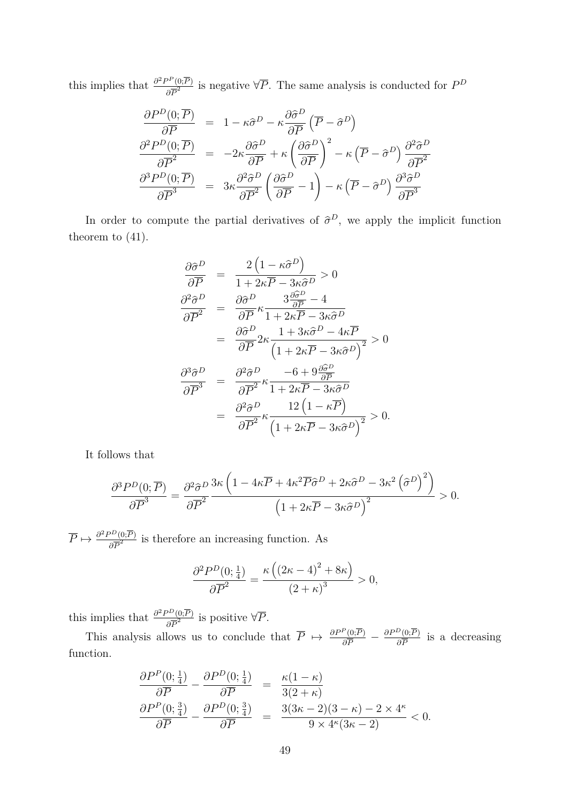this implies that  $\frac{\partial^2 P^P(0;\overline{P})}{\partial \overline{P}^2}$  $\frac{\partial^2 f(0;P)}{\partial \overline{P}^2}$  is negative  $\forall \overline{P}$ . The same analysis is conducted for  $P^D$ 

$$
\frac{\partial P^{D}(0; \overline{P})}{\partial \overline{P}} = 1 - \kappa \hat{\sigma}^{D} - \kappa \frac{\partial \hat{\sigma}^{D}}{\partial \overline{P}} (\overline{P} - \hat{\sigma}^{D})
$$
\n
$$
\frac{\partial^{2} P^{D}(0; \overline{P})}{\partial \overline{P}^{2}} = -2\kappa \frac{\partial \hat{\sigma}^{D}}{\partial \overline{P}} + \kappa \left(\frac{\partial \hat{\sigma}^{D}}{\partial \overline{P}}\right)^{2} - \kappa (\overline{P} - \hat{\sigma}^{D}) \frac{\partial^{2} \hat{\sigma}^{D}}{\partial \overline{P}^{2}}
$$
\n
$$
\frac{\partial^{3} P^{D}(0; \overline{P})}{\partial \overline{P}^{3}} = 3\kappa \frac{\partial^{2} \hat{\sigma}^{D}}{\partial \overline{P}^{2}} \left(\frac{\partial \hat{\sigma}^{D}}{\partial \overline{P}} - 1\right) - \kappa (\overline{P} - \hat{\sigma}^{D}) \frac{\partial^{3} \hat{\sigma}^{D}}{\partial \overline{P}^{3}}
$$

In order to compute the partial derivatives of  $\hat{\sigma}^D$ , we apply the implicit function theorem to (41).

$$
\frac{\partial \hat{\sigma}^{D}}{\partial \overline{P}} = \frac{2\left(1 - \kappa \hat{\sigma}^{D}\right)}{1 + 2\kappa \overline{P} - 3\kappa \hat{\sigma}^{D}} > 0
$$
\n
$$
\frac{\partial^{2} \hat{\sigma}^{D}}{\partial \overline{P}^{2}} = \frac{\partial \hat{\sigma}^{D}}{\partial \overline{P}} \kappa \frac{3 \frac{\partial \hat{\sigma}^{D}}{\partial \overline{P}} - 4}{1 + 2\kappa \overline{P} - 3\kappa \hat{\sigma}^{D}}
$$
\n
$$
= \frac{\partial \hat{\sigma}^{D}}{\partial \overline{P}} 2\kappa \frac{1 + 3\kappa \hat{\sigma}^{D} - 4\kappa \overline{P}}{\left(1 + 2\kappa \overline{P} - 3\kappa \hat{\sigma}^{D}\right)^{2}} > 0
$$
\n
$$
\frac{\partial^{3} \hat{\sigma}^{D}}{\partial \overline{P}^{3}} = \frac{\partial^{2} \hat{\sigma}^{D}}{\partial \overline{P}^{2}} \kappa \frac{-6 + 9\frac{\partial \hat{\sigma}^{D}}{\partial \overline{P}}}{1 + 2\kappa \overline{P} - 3\kappa \hat{\sigma}^{D}}
$$
\n
$$
= \frac{\partial^{2} \hat{\sigma}^{D}}{\partial \overline{P}^{2}} \kappa \frac{12\left(1 - \kappa \overline{P}\right)}{\left(1 + 2\kappa \overline{P} - 3\kappa \hat{\sigma}^{D}\right)^{2}} > 0.
$$

It follows that

$$
\frac{\partial^3 P^D(0;\overline{P})}{\partial \overline{P}^3} = \frac{\partial^2 \hat{\sigma}^D}{\partial \overline{P}^2} \frac{3\kappa \left(1 - 4\kappa \overline{P} + 4\kappa^2 \overline{P} \hat{\sigma}^D + 2\kappa \hat{\sigma}^D - 3\kappa^2 \left(\hat{\sigma}^D\right)^2\right)}{\left(1 + 2\kappa \overline{P} - 3\kappa \hat{\sigma}^D\right)^2} > 0.
$$

 $\overline{P} \mapsto \frac{\partial^2 P^D(0;\overline{P})}{2\overline{P}^2}$  $\frac{22(0;P)}{\partial P^2}$  is therefore an increasing function. As

$$
\frac{\partial^2 P^D(0; \frac{1}{4})}{\partial \overline{P}^2} = \frac{\kappa \left( \left( 2\kappa - 4 \right)^2 + 8\kappa \right)}{\left( 2 + \kappa \right)^3} > 0,
$$

this implies that  $\frac{\partial^2 P^D(0;\overline{P})}{\partial \overline{P}^2}$  $\frac{\partial^2 (0;P)}{\partial \overline{P}^2}$  is positive  $\forall \overline{P}$ .

This analysis allows us to conclude that  $\overline{P} \mapsto \frac{\partial P^P(0; \overline{P})}{\partial \overline{P}} - \frac{\partial P^D(0; \overline{P})}{\partial \overline{P}}$  $\frac{\partial^2 (0;P)}{\partial \overline{P}}$  is a decreasing function.

$$
\frac{\partial P^P(0; \frac{1}{4})}{\partial \overline{P}} - \frac{\partial P^D(0; \frac{1}{4})}{\partial \overline{P}} = \frac{\kappa(1 - \kappa)}{3(2 + \kappa)}
$$

$$
\frac{\partial P^P(0; \frac{3}{4})}{\partial \overline{P}} - \frac{\partial P^D(0; \frac{3}{4})}{\partial \overline{P}} = \frac{3(3\kappa - 2)(3 - \kappa) - 2 \times 4^{\kappa}}{9 \times 4^{\kappa}(3\kappa - 2)} < 0.
$$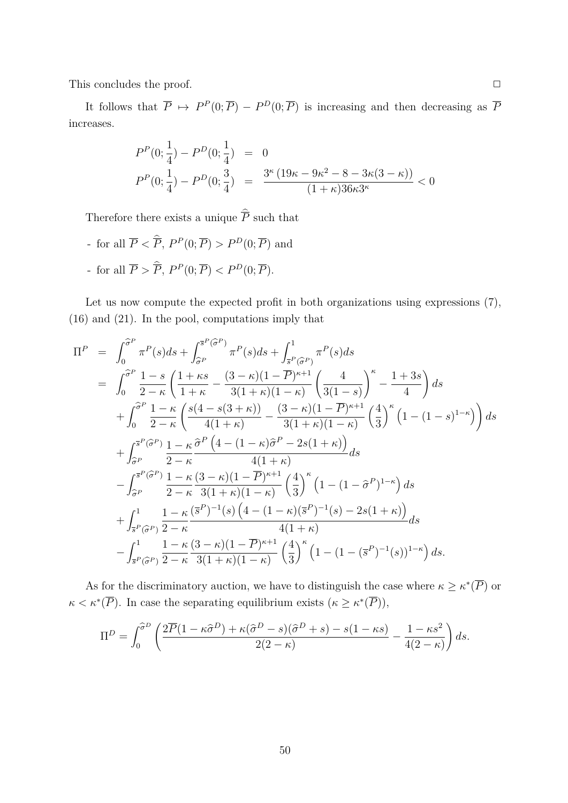This concludes the proof.  $\Box$ 

It follows that  $\overline{P} \mapsto P^P(0;\overline{P}) - P^D(0;\overline{P})$  is increasing and then decreasing as  $\overline{P}$ increases.

$$
P^{P}(0; \frac{1}{4}) - P^{D}(0; \frac{1}{4}) = 0
$$
  

$$
P^{P}(0; \frac{1}{4}) - P^{D}(0; \frac{3}{4}) = \frac{3^{\kappa} (19\kappa - 9\kappa^{2} - 8 - 3\kappa(3 - \kappa))}{(1 + \kappa)36\kappa 3^{\kappa}} < 0
$$

Therefore there exists a unique  $\overline{P}$  such that

- for all  $\overline{P}$  <  $\overline{P}$ ,  $P^P(0; \overline{P}) > P^D(0; \overline{P})$  and - for all  $\overline{P} > \overline{P}$ ,  $P^P(0; \overline{P}) < P^D(0; \overline{P})$ .

Let us now compute the expected profit in both organizations using expressions  $(7)$ , (16) and (21). In the pool, computations imply that

$$
\Pi^{P} = \int_{0}^{\widehat{\sigma}^{P}} \pi^{P}(s)ds + \int_{\widehat{\sigma}^{P}}^{\pi^{P}(\widehat{\sigma}^{P})} \pi^{P}(s)ds + \int_{\overline{s}^{P}(\widehat{\sigma}^{P})}^{\pi^{P}} \pi^{P}(s)ds \n= \int_{0}^{\widehat{\sigma}^{P}} \frac{1-s}{2-\kappa} \left( \frac{1+\kappa s}{1+\kappa} - \frac{(3-\kappa)(1-\overline{P})^{\kappa+1}}{3(1+\kappa)(1-\kappa)} \left( \frac{4}{3(1-s)} \right)^{\kappa} - \frac{1+3s}{4} \right) ds \n+ \int_{0}^{\widehat{\sigma}^{P}} \frac{1-\kappa}{2-\kappa} \left( \frac{s(4-s(3+\kappa))}{4(1+\kappa)} - \frac{(3-\kappa)(1-\overline{P})^{\kappa+1}}{3(1+\kappa)(1-\kappa)} \left( \frac{4}{3} \right)^{\kappa} \left( 1-(1-s)^{1-\kappa} \right) \right) ds \n+ \int_{\widehat{\sigma}^{P}}^{\pi^{P}(\widehat{\sigma}^{P})} \frac{1-\kappa}{2-\kappa} \frac{\widehat{\sigma}^{P}\left( 4-(1-\kappa)\widehat{\sigma}^{P}-2s(1+\kappa) \right)}{4(1+\kappa)} ds \n- \int_{\widehat{\sigma}^{P}}^{\pi^{P}(\widehat{\sigma}^{P})} \frac{1-\kappa}{2-\kappa} \frac{(3-\kappa)(1-\overline{P})^{\kappa+1}}{3(1+\kappa)(1-\kappa)} \left( \frac{4}{3} \right)^{\kappa} \left( 1-(1-\widehat{\sigma}^{P})^{1-\kappa} \right) ds \n+ \int_{\overline{s}^{P}(\widehat{\sigma}^{P})}^{\pi^{P}(\widehat{\sigma}^{P})} \frac{1-\kappa}{2-\kappa} \frac{(\overline{s}^{P})^{-1}(s) \left( 4-(1-\kappa)(\overline{s}^{P})^{-1}(s) - 2s(1+\kappa) \right)}{4(1+\kappa)} ds \n- \int_{\overline{s}^{P}(\widehat{\sigma}^{P})}^{\pi^{P}(\widehat{\sigma}^{P})} \frac{1-\kappa}{2-\kappa} \frac{(3-\kappa)(1-\overline{P})^{\
$$

As for the discriminatory auction, we have to distinguish the case where  $\kappa \geq \kappa^*(\overline{P})$  or  $\kappa < \kappa^*(\overline{P})$ . In case the separating equilibrium exists  $(\kappa \geq \kappa^*(\overline{P})),$ 

$$
\Pi^{D} = \int_{0}^{\widehat{\sigma}^{D}} \left( \frac{2\overline{P}(1 - \kappa \widehat{\sigma}^{D}) + \kappa(\widehat{\sigma}^{D} - s)(\widehat{\sigma}^{D} + s) - s(1 - \kappa s)}{2(2 - \kappa)} - \frac{1 - \kappa s^{2}}{4(2 - \kappa)} \right) ds.
$$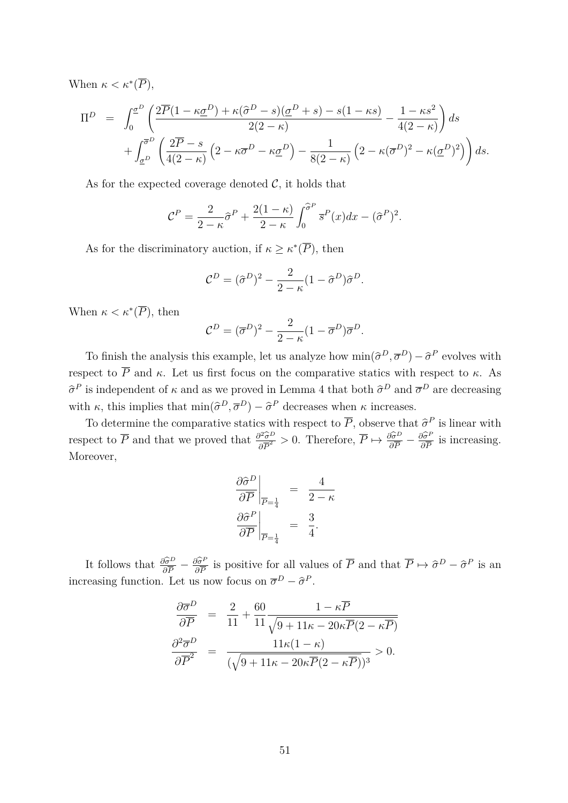When  $\kappa < \kappa^*(\overline{P}),$ 

$$
\Pi^{D} = \int_{0}^{\underline{\sigma}^{D}} \left( \frac{2\overline{P}(1 - \kappa \underline{\sigma}^{D}) + \kappa(\widehat{\sigma}^{D} - s)(\underline{\sigma}^{D} + s) - s(1 - \kappa s)}{2(2 - \kappa)} - \frac{1 - \kappa s^{2}}{4(2 - \kappa)} \right) ds
$$
  
+ 
$$
\int_{\underline{\sigma}^{D}}^{\overline{\sigma}^{D}} \left( \frac{2\overline{P} - s}{4(2 - \kappa)} \left( 2 - \kappa \overline{\sigma}^{D} - \kappa \underline{\sigma}^{D} \right) - \frac{1}{8(2 - \kappa)} \left( 2 - \kappa (\overline{\sigma}^{D})^{2} - \kappa (\underline{\sigma}^{D})^{2} \right) \right) ds.
$$

As for the expected coverage denoted  $\mathcal{C}$ , it holds that

$$
\mathcal{C}^P = \frac{2}{2-\kappa}\widehat{\sigma}^P + \frac{2(1-\kappa)}{2-\kappa}\int_0^{\widehat{\sigma}^P} \overline{s}^P(x)dx - (\widehat{\sigma}^P)^2.
$$

As for the discriminatory auction, if  $\kappa \geq \kappa^*(\overline{P})$ , then

$$
\mathcal{C}^D = (\hat{\sigma}^D)^2 - \frac{2}{2 - \kappa} (1 - \hat{\sigma}^D) \hat{\sigma}^D.
$$

When  $\kappa < \kappa^*(\overline{P})$ , then

$$
\mathcal{C}^D = (\overline{\sigma}^D)^2 - \frac{2}{2 - \kappa} (1 - \overline{\sigma}^D) \overline{\sigma}^D.
$$

To finish the analysis this example, let us analyze how  $\min(\hat{\sigma}^D, \overline{\sigma}^D) - \hat{\sigma}^P$  evolves with respect to  $\overline{P}$  and  $\kappa$ . Let us first focus on the comparative statics with respect to  $\kappa$ . As  $\hat{\sigma}^P$  is independent of *κ* and as we proved in Lemma 4 that both  $\hat{\sigma}^D$  and  $\overline{\sigma}^D$  are decreasing with *κ*, this implies that  $\min(\hat{\sigma}^D, \overline{\sigma}^D) - \hat{\sigma}^P$  decreases when *κ* increases.

To determine the comparative statics with respect to  $\overline{P}$ , observe that  $\hat{\sigma}^P$  is linear with respect to  $\overline{P}$  and that we proved that  $\frac{\partial^2 \hat{\sigma}^D}{\partial \overline{P}^2} > 0$ . Therefore,  $\overline{P} \mapsto \frac{\partial \hat{\sigma}^D}{\partial \overline{P}} - \frac{\partial \hat{\sigma}^P}{\partial \overline{P}}$  $\frac{\partial \sigma^r}{\partial \overline{P}}$  is increasing. Moreover,

$$
\left. \frac{\partial \hat{\sigma}^D}{\partial \overline{P}} \right|_{\overline{P} = \frac{1}{4}} = \frac{4}{2 - \kappa}
$$

$$
\left. \frac{\partial \hat{\sigma}^P}{\partial \overline{P}} \right|_{\overline{P} = \frac{1}{4}} = \frac{3}{4}.
$$

It follows that  $\frac{\partial \hat{\sigma}^D}{\partial \overline{P}} - \frac{\partial \hat{\sigma}^P}{\partial \overline{P}}$  $\frac{\partial \sigma^P}{\partial \overline{P}}$  is positive for all values of  $\overline{P}$  and that  $\overline{P} \mapsto \hat{\sigma}^D - \hat{\sigma}^P$  is an increasing function. Let us now focus on  $\overline{\sigma}^D - \hat{\sigma}^P$ .

$$
\frac{\partial \overline{\sigma}^D}{\partial \overline{P}} = \frac{2}{11} + \frac{60}{11} \frac{1 - \kappa \overline{P}}{\sqrt{9 + 11\kappa - 20\kappa \overline{P}(2 - \kappa \overline{P})}}
$$

$$
\frac{\partial^2 \overline{\sigma}^D}{\partial \overline{P}^2} = \frac{11\kappa(1 - \kappa)}{(\sqrt{9 + 11\kappa - 20\kappa \overline{P}(2 - \kappa \overline{P})})^3} > 0.
$$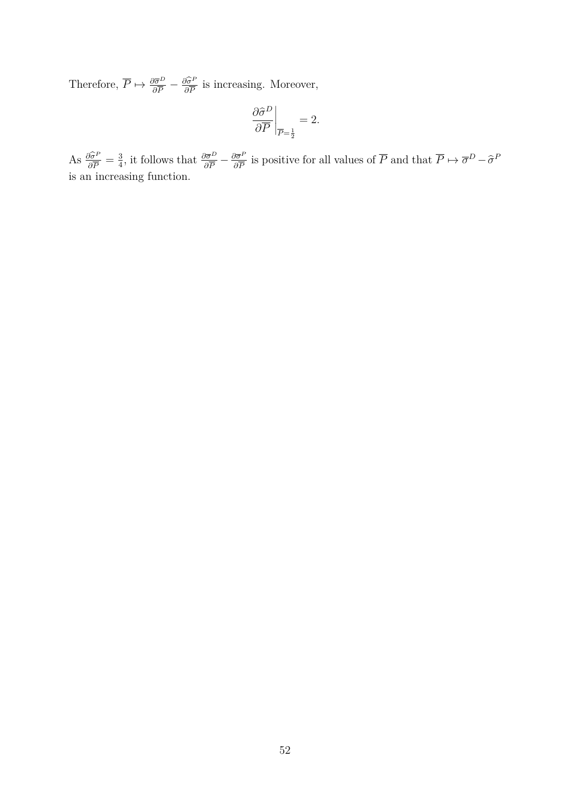Therefore,  $\overline{P} \mapsto \frac{\partial \overline{\sigma}^D}{\partial \overline{P}} - \frac{\partial \widehat{\sigma}^P}{\partial \overline{P}}$  $\frac{\partial \sigma^r}{\partial \overline{P}}$  is increasing. Moreover,

$$
\left. \frac{\partial \hat{\sigma}^D}{\partial \overline{P}} \right|_{\overline{P} = \frac{1}{2}} = 2.
$$

 $\text{As} \frac{\partial \widehat{\sigma}^P}{\partial \overline{P}}$  $\frac{\partial \widehat{\sigma}^P}{\partial \overline{P}} = \frac{3}{4}$  $\frac{3}{4}$ , it follows that  $\frac{\partial \overline{\sigma}^D}{\partial \overline{P}} - \frac{\partial \overline{\sigma}^P}{\partial \overline{P}}$  $\frac{\partial \bar{\sigma}^P}{\partial \bar{P}}$  is positive for all values of  $\bar{P}$  and that  $\bar{P} \mapsto \bar{\sigma}^D - \hat{\sigma}^P$ is an increasing function.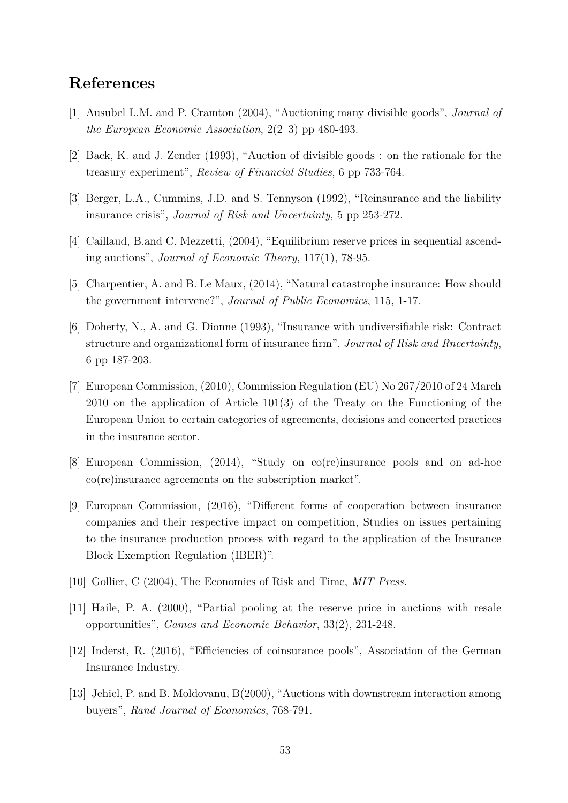## **References**

- [1] Ausubel L.M. and P. Cramton (2004), "Auctioning many divisible goods", *Journal of the European Economic Association*, 2(2–3) pp 480-493.
- [2] Back, K. and J. Zender (1993), "Auction of divisible goods : on the rationale for the treasury experiment", *Review of Financial Studies*, 6 pp 733-764.
- [3] Berger, L.A., Cummins, J.D. and S. Tennyson (1992), "Reinsurance and the liability insurance crisis", *Journal of Risk and Uncertainty,* 5 pp 253-272.
- [4] Caillaud, B.and C. Mezzetti, (2004), "Equilibrium reserve prices in sequential ascending auctions", *Journal of Economic Theory*, 117(1), 78-95.
- [5] Charpentier, A. and B. Le Maux, (2014), "Natural catastrophe insurance: How should the government intervene?", *Journal of Public Economics*, 115, 1-17.
- [6] Doherty, N., A. and G. Dionne (1993), "Insurance with undiversifiable risk: Contract structure and organizational form of insurance firm", *Journal of Risk and Rncertainty*, 6 pp 187-203.
- [7] European Commission, (2010), Commission Regulation (EU) No 267/2010 of 24 March 2010 on the application of Article 101(3) of the Treaty on the Functioning of the European Union to certain categories of agreements, decisions and concerted practices in the insurance sector.
- [8] European Commission, (2014), "Study on co(re)insurance pools and on ad-hoc co(re)insurance agreements on the subscription market".
- [9] European Commission, (2016), "Different forms of cooperation between insurance companies and their respective impact on competition, Studies on issues pertaining to the insurance production process with regard to the application of the Insurance Block Exemption Regulation (IBER)".
- [10] Gollier, C (2004), The Economics of Risk and Time, *MIT Press.*
- [11] Haile, P. A. (2000), "Partial pooling at the reserve price in auctions with resale opportunities", *Games and Economic Behavior*, 33(2), 231-248.
- [12] Inderst, R. (2016), "Efficiencies of coinsurance pools", Association of the German Insurance Industry.
- [13] Jehiel, P. and B. Moldovanu, B(2000), "Auctions with downstream interaction among buyers", *Rand Journal of Economics*, 768-791.